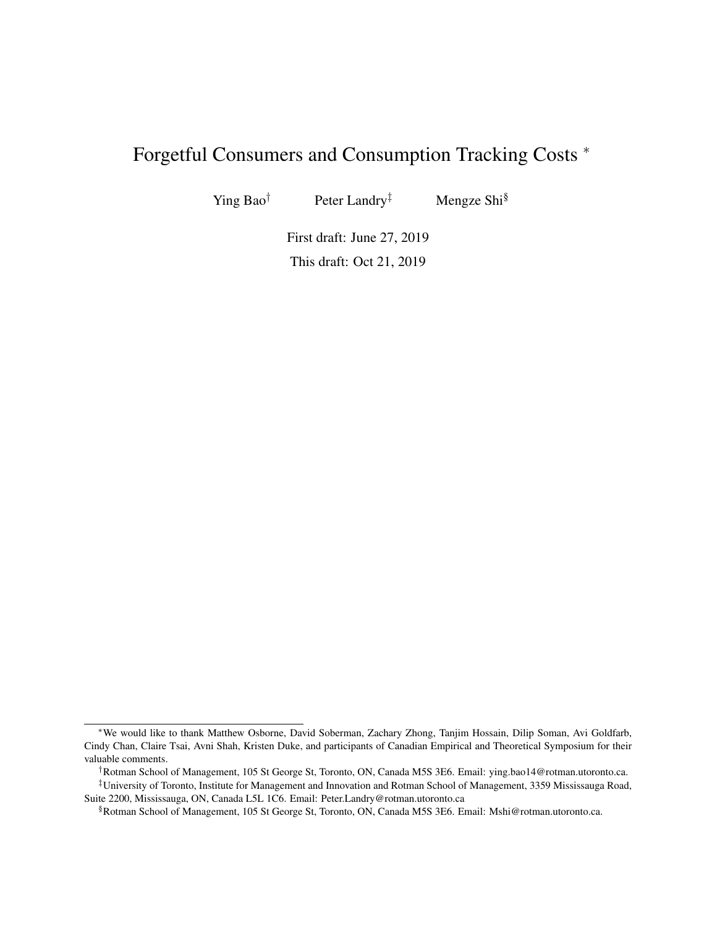# Forgetful Consumers and Consumption Tracking Costs <sup>∗</sup>

Ying Bao<sup>†</sup> Peter Landry<sup>‡</sup> Mengze Shi<sup>§</sup>

First draft: June 27, 2019 This draft: Oct 21, 2019

<sup>∗</sup>We would like to thank Matthew Osborne, David Soberman, Zachary Zhong, Tanjim Hossain, Dilip Soman, Avi Goldfarb, Cindy Chan, Claire Tsai, Avni Shah, Kristen Duke, and participants of Canadian Empirical and Theoretical Symposium for their valuable comments.

<sup>†</sup>Rotman School of Management, 105 St George St, Toronto, ON, Canada M5S 3E6. Email: ying.bao14@rotman.utoronto.ca.

<sup>‡</sup>University of Toronto, Institute for Management and Innovation and Rotman School of Management, 3359 Mississauga Road, Suite 2200, Mississauga, ON, Canada L5L 1C6. Email: Peter.Landry@rotman.utoronto.ca

<sup>§</sup>Rotman School of Management, 105 St George St, Toronto, ON, Canada M5S 3E6. Email: Mshi@rotman.utoronto.ca.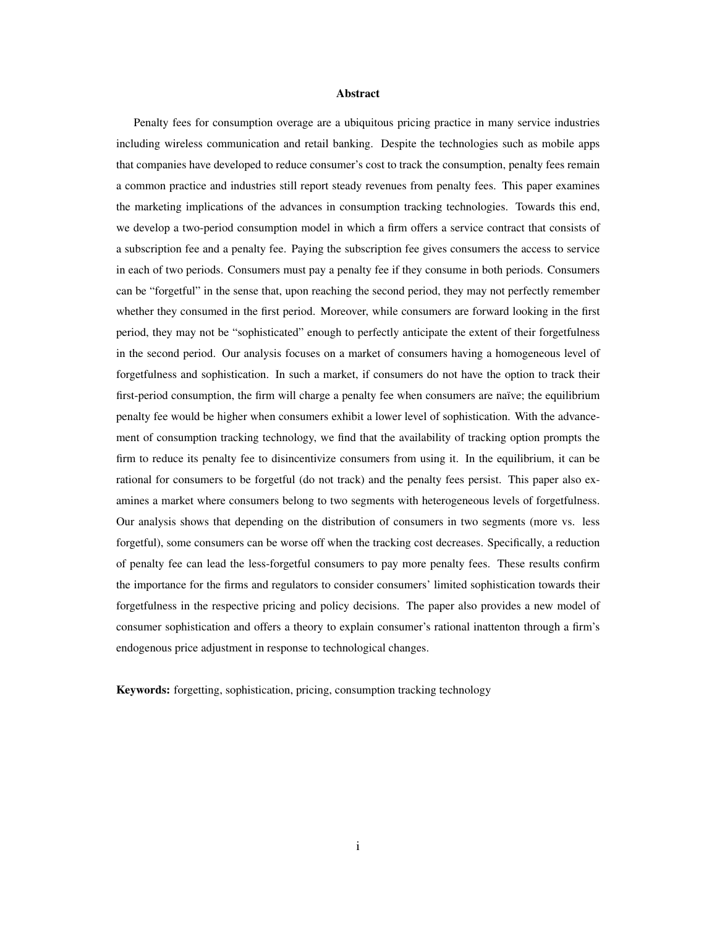#### Abstract

Penalty fees for consumption overage are a ubiquitous pricing practice in many service industries including wireless communication and retail banking. Despite the technologies such as mobile apps that companies have developed to reduce consumer's cost to track the consumption, penalty fees remain a common practice and industries still report steady revenues from penalty fees. This paper examines the marketing implications of the advances in consumption tracking technologies. Towards this end, we develop a two-period consumption model in which a firm offers a service contract that consists of a subscription fee and a penalty fee. Paying the subscription fee gives consumers the access to service in each of two periods. Consumers must pay a penalty fee if they consume in both periods. Consumers can be "forgetful" in the sense that, upon reaching the second period, they may not perfectly remember whether they consumed in the first period. Moreover, while consumers are forward looking in the first period, they may not be "sophisticated" enough to perfectly anticipate the extent of their forgetfulness in the second period. Our analysis focuses on a market of consumers having a homogeneous level of forgetfulness and sophistication. In such a market, if consumers do not have the option to track their first-period consumption, the firm will charge a penalty fee when consumers are naïve; the equilibrium penalty fee would be higher when consumers exhibit a lower level of sophistication. With the advancement of consumption tracking technology, we find that the availability of tracking option prompts the firm to reduce its penalty fee to disincentivize consumers from using it. In the equilibrium, it can be rational for consumers to be forgetful (do not track) and the penalty fees persist. This paper also examines a market where consumers belong to two segments with heterogeneous levels of forgetfulness. Our analysis shows that depending on the distribution of consumers in two segments (more vs. less forgetful), some consumers can be worse off when the tracking cost decreases. Specifically, a reduction of penalty fee can lead the less-forgetful consumers to pay more penalty fees. These results confirm the importance for the firms and regulators to consider consumers' limited sophistication towards their forgetfulness in the respective pricing and policy decisions. The paper also provides a new model of consumer sophistication and offers a theory to explain consumer's rational inattenton through a firm's endogenous price adjustment in response to technological changes.

Keywords: forgetting, sophistication, pricing, consumption tracking technology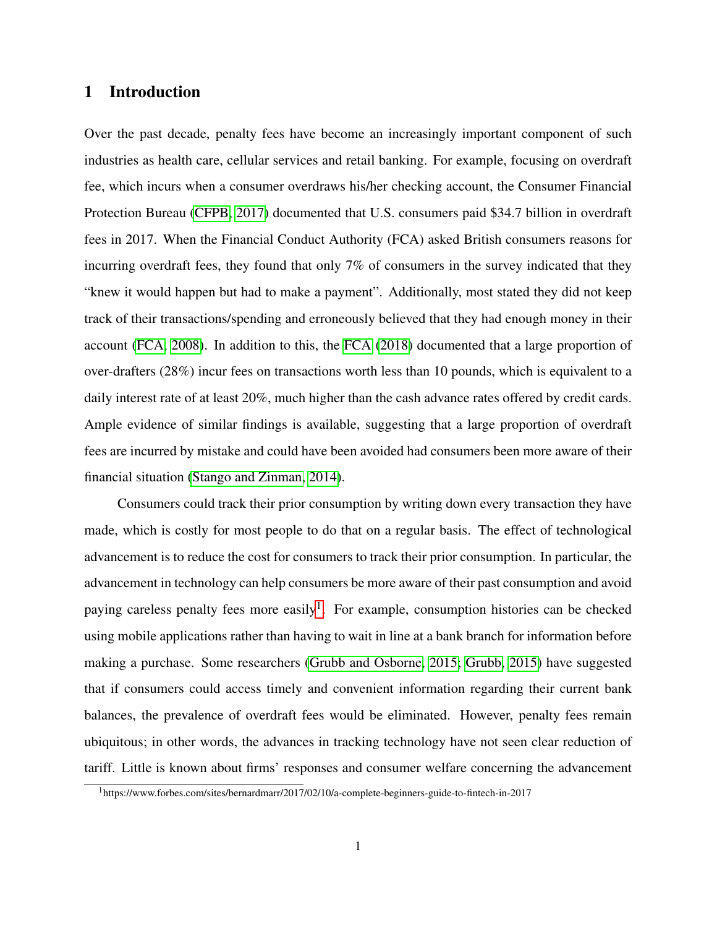### 1 Introduction

Over the past decade, penalty fees have become an increasingly important component of such industries as health care, cellular services and retail banking. For example, focusing on overdraft fee, which incurs when a consumer overdraws his/her checking account, the Consumer Financial Protection Bureau [\(CFPB, 2017\)](#page-40-0) documented that U.S. consumers paid \$34.7 billion in overdraft fees in 2017. When the Financial Conduct Authority (FCA) asked British consumers reasons for incurring overdraft fees, they found that only 7% of consumers in the survey indicated that they "knew it would happen but had to make a payment". Additionally, most stated they did not keep track of their transactions/spending and erroneously believed that they had enough money in their account [\(FCA, 2008\)](#page-40-1). In addition to this, the [FCA](#page-40-2) [\(2018\)](#page-40-2) documented that a large proportion of over-drafters (28%) incur fees on transactions worth less than 10 pounds, which is equivalent to a daily interest rate of at least 20%, much higher than the cash advance rates offered by credit cards. Ample evidence of similar findings is available, suggesting that a large proportion of overdraft fees are incurred by mistake and could have been avoided had consumers been more aware of their financial situation [\(Stango and Zinman, 2014\)](#page-41-0).

Consumers could track their prior consumption by writing down every transaction they have made, which is costly for most people to do that on a regular basis. The effect of technological advancement is to reduce the cost for consumers to track their prior consumption. In particular, the advancement in technology can help consumers be more aware of their past consumption and avoid paying careless penalty fees more easily<sup>[1](#page-2-0)</sup>. For example, consumption histories can be checked using mobile applications rather than having to wait in line at a bank branch for information before making a purchase. Some researchers [\(Grubb and Osborne, 2015;](#page-40-3) [Grubb, 2015\)](#page-40-4) have suggested that if consumers could access timely and convenient information regarding their current bank balances, the prevalence of overdraft fees would be eliminated. However, penalty fees remain ubiquitous; in other words, the advances in tracking technology have not seen clear reduction of tariff. Little is known about firms' responses and consumer welfare concerning the advancement

<span id="page-2-0"></span><sup>1</sup>https://www.forbes.com/sites/bernardmarr/2017/02/10/a-complete-beginners-guide-to-fintech-in-2017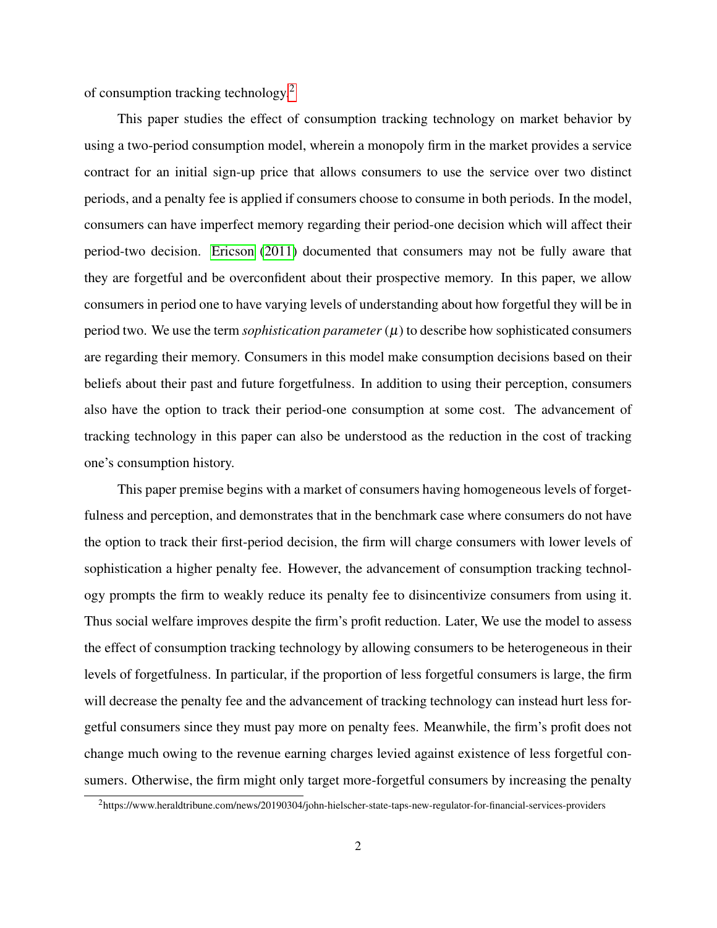of consumption tracking technology.[2](#page-3-0)

This paper studies the effect of consumption tracking technology on market behavior by using a two-period consumption model, wherein a monopoly firm in the market provides a service contract for an initial sign-up price that allows consumers to use the service over two distinct periods, and a penalty fee is applied if consumers choose to consume in both periods. In the model, consumers can have imperfect memory regarding their period-one decision which will affect their period-two decision. [Ericson](#page-40-5) [\(2011\)](#page-40-5) documented that consumers may not be fully aware that they are forgetful and be overconfident about their prospective memory. In this paper, we allow consumers in period one to have varying levels of understanding about how forgetful they will be in period two. We use the term *sophistication parameter*  $(\mu)$  to describe how sophisticated consumers are regarding their memory. Consumers in this model make consumption decisions based on their beliefs about their past and future forgetfulness. In addition to using their perception, consumers also have the option to track their period-one consumption at some cost. The advancement of tracking technology in this paper can also be understood as the reduction in the cost of tracking one's consumption history.

This paper premise begins with a market of consumers having homogeneous levels of forgetfulness and perception, and demonstrates that in the benchmark case where consumers do not have the option to track their first-period decision, the firm will charge consumers with lower levels of sophistication a higher penalty fee. However, the advancement of consumption tracking technology prompts the firm to weakly reduce its penalty fee to disincentivize consumers from using it. Thus social welfare improves despite the firm's profit reduction. Later, We use the model to assess the effect of consumption tracking technology by allowing consumers to be heterogeneous in their levels of forgetfulness. In particular, if the proportion of less forgetful consumers is large, the firm will decrease the penalty fee and the advancement of tracking technology can instead hurt less forgetful consumers since they must pay more on penalty fees. Meanwhile, the firm's profit does not change much owing to the revenue earning charges levied against existence of less forgetful consumers. Otherwise, the firm might only target more-forgetful consumers by increasing the penalty

<span id="page-3-0"></span><sup>2</sup>https://www.heraldtribune.com/news/20190304/john-hielscher-state-taps-new-regulator-for-financial-services-providers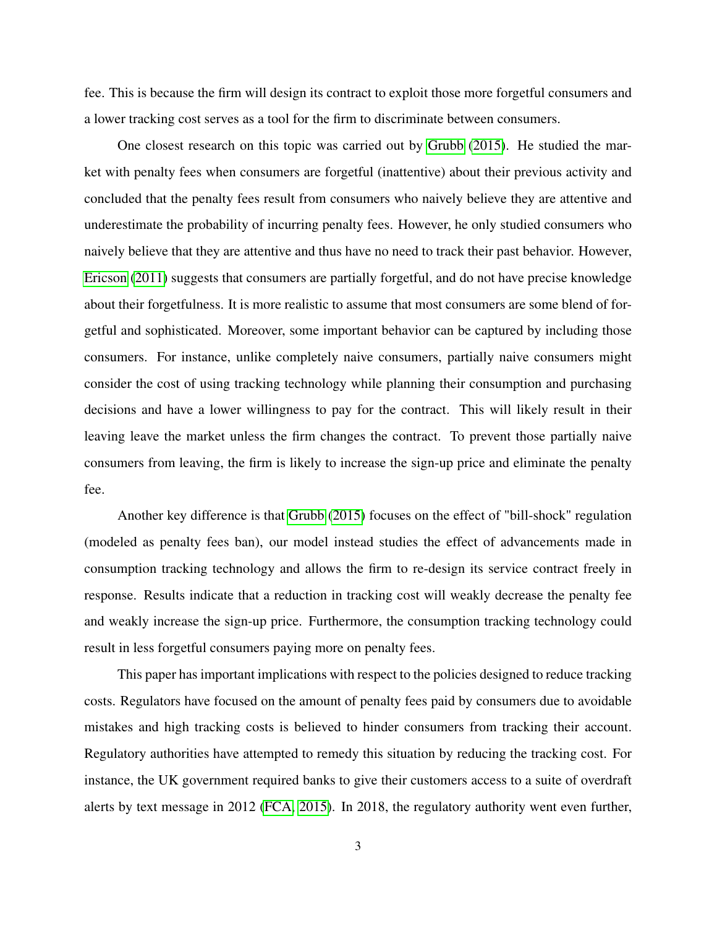fee. This is because the firm will design its contract to exploit those more forgetful consumers and a lower tracking cost serves as a tool for the firm to discriminate between consumers.

One closest research on this topic was carried out by [Grubb](#page-40-4) [\(2015\)](#page-40-4). He studied the market with penalty fees when consumers are forgetful (inattentive) about their previous activity and concluded that the penalty fees result from consumers who naively believe they are attentive and underestimate the probability of incurring penalty fees. However, he only studied consumers who naively believe that they are attentive and thus have no need to track their past behavior. However, [Ericson](#page-40-5) [\(2011\)](#page-40-5) suggests that consumers are partially forgetful, and do not have precise knowledge about their forgetfulness. It is more realistic to assume that most consumers are some blend of forgetful and sophisticated. Moreover, some important behavior can be captured by including those consumers. For instance, unlike completely naive consumers, partially naive consumers might consider the cost of using tracking technology while planning their consumption and purchasing decisions and have a lower willingness to pay for the contract. This will likely result in their leaving leave the market unless the firm changes the contract. To prevent those partially naive consumers from leaving, the firm is likely to increase the sign-up price and eliminate the penalty fee.

Another key difference is that [Grubb](#page-40-4) [\(2015\)](#page-40-4) focuses on the effect of "bill-shock" regulation (modeled as penalty fees ban), our model instead studies the effect of advancements made in consumption tracking technology and allows the firm to re-design its service contract freely in response. Results indicate that a reduction in tracking cost will weakly decrease the penalty fee and weakly increase the sign-up price. Furthermore, the consumption tracking technology could result in less forgetful consumers paying more on penalty fees.

This paper has important implications with respect to the policies designed to reduce tracking costs. Regulators have focused on the amount of penalty fees paid by consumers due to avoidable mistakes and high tracking costs is believed to hinder consumers from tracking their account. Regulatory authorities have attempted to remedy this situation by reducing the tracking cost. For instance, the UK government required banks to give their customers access to a suite of overdraft alerts by text message in 2012 [\(FCA, 2015\)](#page-40-6). In 2018, the regulatory authority went even further,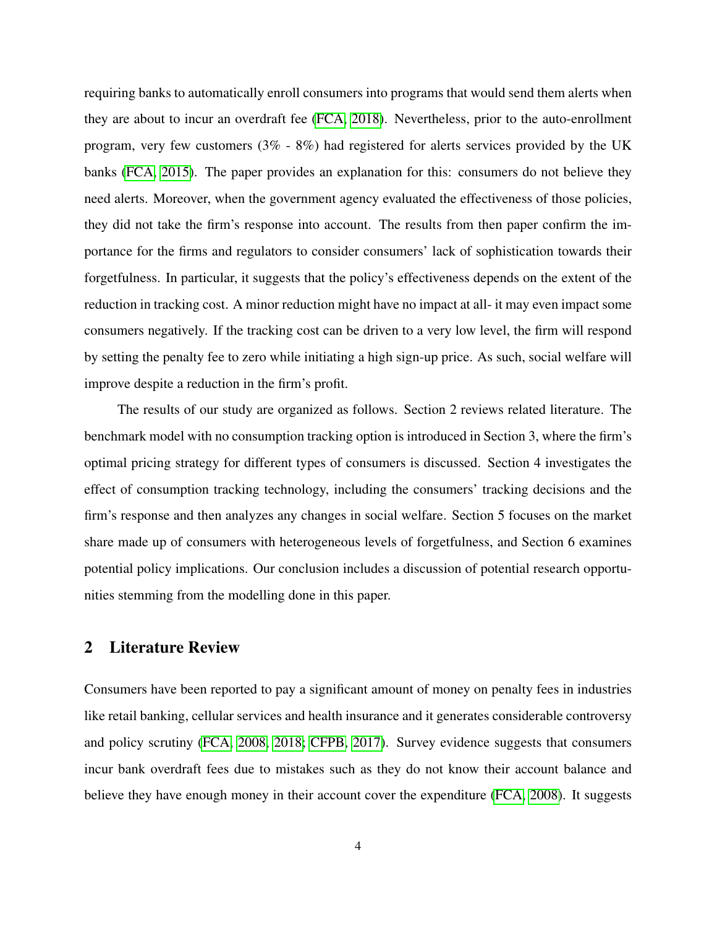requiring banks to automatically enroll consumers into programs that would send them alerts when they are about to incur an overdraft fee [\(FCA, 2018\)](#page-40-2). Nevertheless, prior to the auto-enrollment program, very few customers (3% - 8%) had registered for alerts services provided by the UK banks [\(FCA, 2015\)](#page-40-6). The paper provides an explanation for this: consumers do not believe they need alerts. Moreover, when the government agency evaluated the effectiveness of those policies, they did not take the firm's response into account. The results from then paper confirm the importance for the firms and regulators to consider consumers' lack of sophistication towards their forgetfulness. In particular, it suggests that the policy's effectiveness depends on the extent of the reduction in tracking cost. A minor reduction might have no impact at all- it may even impact some consumers negatively. If the tracking cost can be driven to a very low level, the firm will respond by setting the penalty fee to zero while initiating a high sign-up price. As such, social welfare will improve despite a reduction in the firm's profit.

The results of our study are organized as follows. Section 2 reviews related literature. The benchmark model with no consumption tracking option is introduced in Section 3, where the firm's optimal pricing strategy for different types of consumers is discussed. Section 4 investigates the effect of consumption tracking technology, including the consumers' tracking decisions and the firm's response and then analyzes any changes in social welfare. Section 5 focuses on the market share made up of consumers with heterogeneous levels of forgetfulness, and Section 6 examines potential policy implications. Our conclusion includes a discussion of potential research opportunities stemming from the modelling done in this paper.

### 2 Literature Review

Consumers have been reported to pay a significant amount of money on penalty fees in industries like retail banking, cellular services and health insurance and it generates considerable controversy and policy scrutiny [\(FCA, 2008,](#page-40-1) [2018;](#page-40-2) [CFPB, 2017\)](#page-40-0). Survey evidence suggests that consumers incur bank overdraft fees due to mistakes such as they do not know their account balance and believe they have enough money in their account cover the expenditure [\(FCA, 2008\)](#page-40-1). It suggests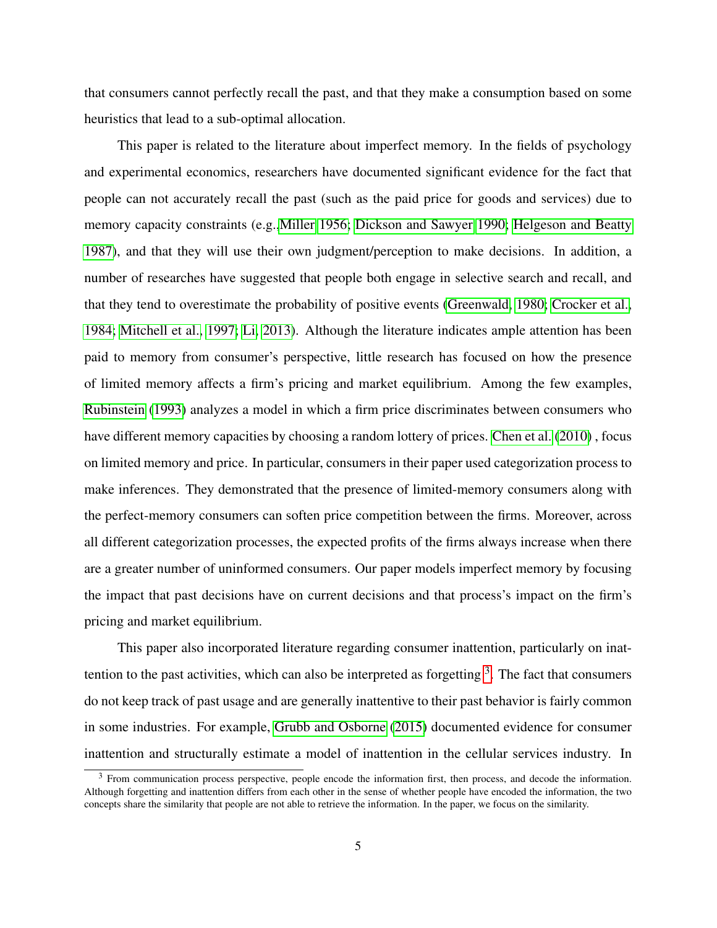that consumers cannot perfectly recall the past, and that they make a consumption based on some heuristics that lead to a sub-optimal allocation.

This paper is related to the literature about imperfect memory. In the fields of psychology and experimental economics, researchers have documented significant evidence for the fact that people can not accurately recall the past (such as the paid price for goods and services) due to memory capacity constraints (e.g.[,Miller 1956;](#page-41-1) [Dickson and Sawyer 1990;](#page-40-7) [Helgeson and Beatty](#page-40-8) [1987\)](#page-40-8), and that they will use their own judgment/perception to make decisions. In addition, a number of researches have suggested that people both engage in selective search and recall, and that they tend to overestimate the probability of positive events [\(Greenwald, 1980;](#page-40-9) [Crocker et al.,](#page-40-10) [1984;](#page-40-10) [Mitchell et al., 1997;](#page-41-2) [Li, 2013\)](#page-41-3). Although the literature indicates ample attention has been paid to memory from consumer's perspective, little research has focused on how the presence of limited memory affects a firm's pricing and market equilibrium. Among the few examples, [Rubinstein](#page-41-4) [\(1993\)](#page-41-4) analyzes a model in which a firm price discriminates between consumers who have different memory capacities by choosing a random lottery of prices. [Chen et al.](#page-40-11) [\(2010\)](#page-40-11), focus on limited memory and price. In particular, consumers in their paper used categorization process to make inferences. They demonstrated that the presence of limited-memory consumers along with the perfect-memory consumers can soften price competition between the firms. Moreover, across all different categorization processes, the expected profits of the firms always increase when there are a greater number of uninformed consumers. Our paper models imperfect memory by focusing the impact that past decisions have on current decisions and that process's impact on the firm's pricing and market equilibrium.

This paper also incorporated literature regarding consumer inattention, particularly on inattention to the past activities, which can also be interpreted as forgetting  $3$ . The fact that consumers do not keep track of past usage and are generally inattentive to their past behavior is fairly common in some industries. For example, [Grubb and Osborne](#page-40-3) [\(2015\)](#page-40-3) documented evidence for consumer inattention and structurally estimate a model of inattention in the cellular services industry. In

<span id="page-6-0"></span><sup>3</sup> From communication process perspective, people encode the information first, then process, and decode the information. Although forgetting and inattention differs from each other in the sense of whether people have encoded the information, the two concepts share the similarity that people are not able to retrieve the information. In the paper, we focus on the similarity.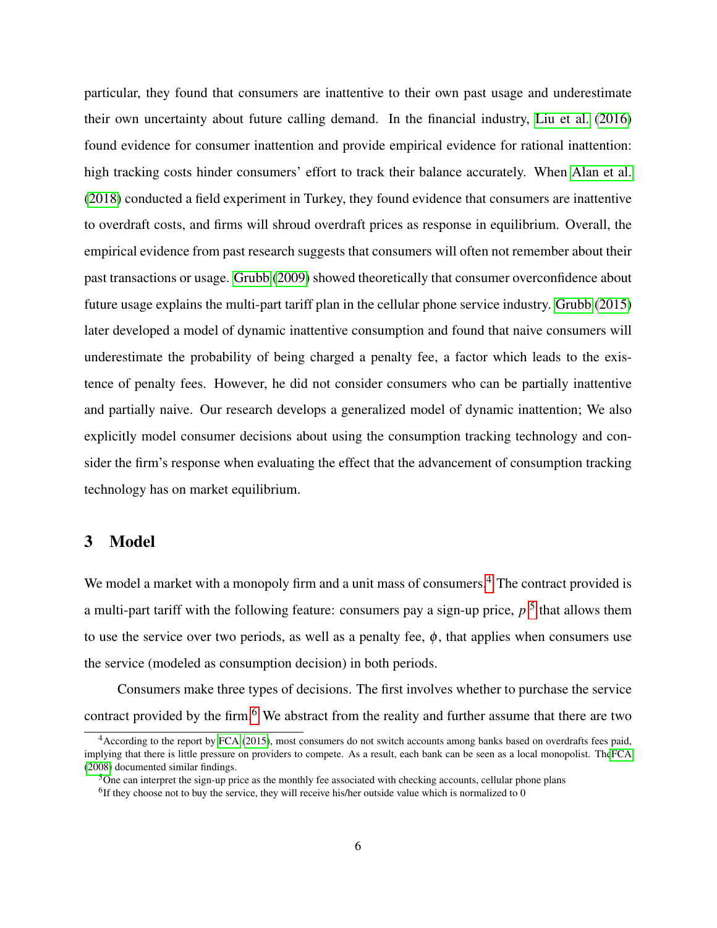particular, they found that consumers are inattentive to their own past usage and underestimate their own uncertainty about future calling demand. In the financial industry, [Liu et al.](#page-41-5) [\(2016\)](#page-41-5) found evidence for consumer inattention and provide empirical evidence for rational inattention: high tracking costs hinder consumers' effort to track their balance accurately. When [Alan et al.](#page-40-12) [\(2018\)](#page-40-12) conducted a field experiment in Turkey, they found evidence that consumers are inattentive to overdraft costs, and firms will shroud overdraft prices as response in equilibrium. Overall, the empirical evidence from past research suggests that consumers will often not remember about their past transactions or usage. [Grubb](#page-40-13) [\(2009\)](#page-40-13) showed theoretically that consumer overconfidence about future usage explains the multi-part tariff plan in the cellular phone service industry. [Grubb](#page-40-4) [\(2015\)](#page-40-4) later developed a model of dynamic inattentive consumption and found that naive consumers will underestimate the probability of being charged a penalty fee, a factor which leads to the existence of penalty fees. However, he did not consider consumers who can be partially inattentive and partially naive. Our research develops a generalized model of dynamic inattention; We also explicitly model consumer decisions about using the consumption tracking technology and consider the firm's response when evaluating the effect that the advancement of consumption tracking technology has on market equilibrium.

# 3 Model

We model a market with a monopoly firm and a unit mass of consumers.<sup>[4](#page-7-0)</sup> The contract provided is a multi-part tariff with the following feature: consumers pay a sign-up price, *p* [5](#page-7-1) that allows them to use the service over two periods, as well as a penalty fee,  $\phi$ , that applies when consumers use the service (modeled as consumption decision) in both periods.

Consumers make three types of decisions. The first involves whether to purchase the service contract provided by the firm.<sup>[6](#page-7-2)</sup> We abstract from the reality and further assume that there are two

<span id="page-7-0"></span><sup>4</sup>According to the report by [FCA](#page-40-6) [\(2015\)](#page-40-6), most consumers do not switch accounts among banks based on overdrafts fees paid, implying that there is little pressure on providers to compete. As a result, each bank can be seen as a local monopolist. Th[eFCA](#page-40-1) [\(2008\)](#page-40-1) documented similar findings.

<span id="page-7-1"></span><sup>5</sup>One can interpret the sign-up price as the monthly fee associated with checking accounts, cellular phone plans

<span id="page-7-2"></span> $<sup>6</sup>$ If they choose not to buy the service, they will receive his/her outside value which is normalized to 0</sup>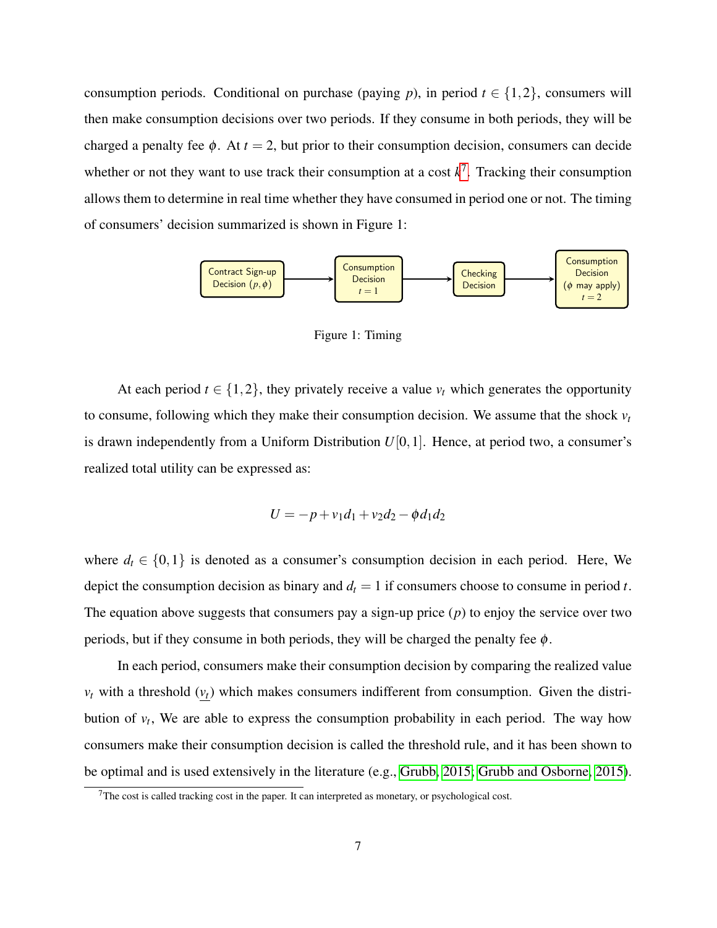consumption periods. Conditional on purchase (paying *p*), in period  $t \in \{1,2\}$ , consumers will then make consumption decisions over two periods. If they consume in both periods, they will be charged a penalty fee  $\phi$ . At  $t = 2$ , but prior to their consumption decision, consumers can decide whether or not they want to use track their consumption at a cost  $k^7$  $k^7$ . Tracking their consumption allows them to determine in real time whether they have consumed in period one or not. The timing of consumers' decision summarized is shown in Figure 1:



Figure 1: Timing

At each period  $t \in \{1,2\}$ , they privately receive a value  $v_t$  which generates the opportunity to consume, following which they make their consumption decision. We assume that the shock  $v_t$ is drawn independently from a Uniform Distribution  $U[0,1]$ . Hence, at period two, a consumer's realized total utility can be expressed as:

$$
U = -p + v_1 d_1 + v_2 d_2 - \phi d_1 d_2
$$

where  $d_t \in \{0,1\}$  is denoted as a consumer's consumption decision in each period. Here, We depict the consumption decision as binary and  $d_t = 1$  if consumers choose to consume in period *t*. The equation above suggests that consumers pay a sign-up price  $(p)$  to enjoy the service over two periods, but if they consume in both periods, they will be charged the penalty fee  $\phi$ .

In each period, consumers make their consumption decision by comparing the realized value  $v_t$  with a threshold  $(v_t)$  which makes consumers indifferent from consumption. Given the distribution of  $v_t$ , We are able to express the consumption probability in each period. The way how consumers make their consumption decision is called the threshold rule, and it has been shown to be optimal and is used extensively in the literature (e.g., [Grubb, 2015;](#page-40-4) [Grubb and Osborne, 2015\)](#page-40-3).

<span id="page-8-0"></span> $7$ The cost is called tracking cost in the paper. It can interpreted as monetary, or psychological cost.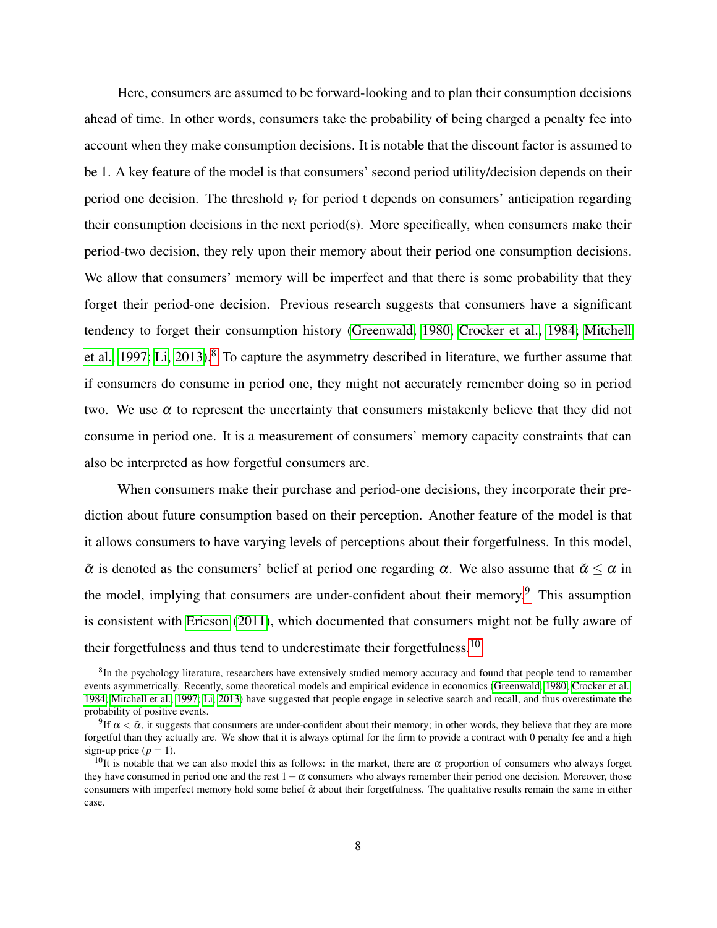Here, consumers are assumed to be forward-looking and to plan their consumption decisions ahead of time. In other words, consumers take the probability of being charged a penalty fee into account when they make consumption decisions. It is notable that the discount factor is assumed to be 1. A key feature of the model is that consumers' second period utility/decision depends on their period one decision. The threshold *v<sup>t</sup>* for period t depends on consumers' anticipation regarding their consumption decisions in the next period(s). More specifically, when consumers make their period-two decision, they rely upon their memory about their period one consumption decisions. We allow that consumers' memory will be imperfect and that there is some probability that they forget their period-one decision. Previous research suggests that consumers have a significant tendency to forget their consumption history [\(Greenwald, 1980;](#page-40-9) [Crocker et al., 1984;](#page-40-10) [Mitchell](#page-41-2) [et al., 1997;](#page-41-2) [Li, 2013\)](#page-41-3).<sup>[8](#page-9-0)</sup> To capture the asymmetry described in literature, we further assume that if consumers do consume in period one, they might not accurately remember doing so in period two. We use  $\alpha$  to represent the uncertainty that consumers mistakenly believe that they did not consume in period one. It is a measurement of consumers' memory capacity constraints that can also be interpreted as how forgetful consumers are.

When consumers make their purchase and period-one decisions, they incorporate their prediction about future consumption based on their perception. Another feature of the model is that it allows consumers to have varying levels of perceptions about their forgetfulness. In this model,  $\tilde{\alpha}$  is denoted as the consumers' belief at period one regarding  $\alpha$ . We also assume that  $\tilde{\alpha} \leq \alpha$  in the model, implying that consumers are under-confident about their memory.<sup>[9](#page-9-1)</sup> This assumption is consistent with [Ericson](#page-40-5) [\(2011\)](#page-40-5), which documented that consumers might not be fully aware of their forgetfulness and thus tend to underestimate their forgetfulness.<sup>[10](#page-9-2)</sup>

<span id="page-9-0"></span> ${}^{8}$ In the psychology literature, researchers have extensively studied memory accuracy and found that people tend to remember events asymmetrically. Recently, some theoretical models and empirical evidence in economics [\(Greenwald, 1980;](#page-40-9) [Crocker et al.,](#page-40-10) [1984;](#page-40-10) [Mitchell et al., 1997;](#page-41-2) [Li, 2013\)](#page-41-3) have suggested that people engage in selective search and recall, and thus overestimate the probability of positive events.

<span id="page-9-1"></span><sup>&</sup>lt;sup>9</sup>If  $\alpha < \tilde{\alpha}$ , it suggests that consumers are under-confident about their memory; in other words, they believe that they are more forgetful than they actually are. We show that it is always optimal for the firm to provide a contract with 0 penalty fee and a high sign-up price  $(p = 1)$ .

<span id="page-9-2"></span><sup>&</sup>lt;sup>10</sup>It is notable that we can also model this as follows: in the market, there are α proportion of consumers who always forget they have consumed in period one and the rest  $1-\alpha$  consumers who always remember their period one decision. Moreover, those consumers with imperfect memory hold some belief  $\tilde{\alpha}$  about their forgetfulness. The qualitative results remain the same in either case.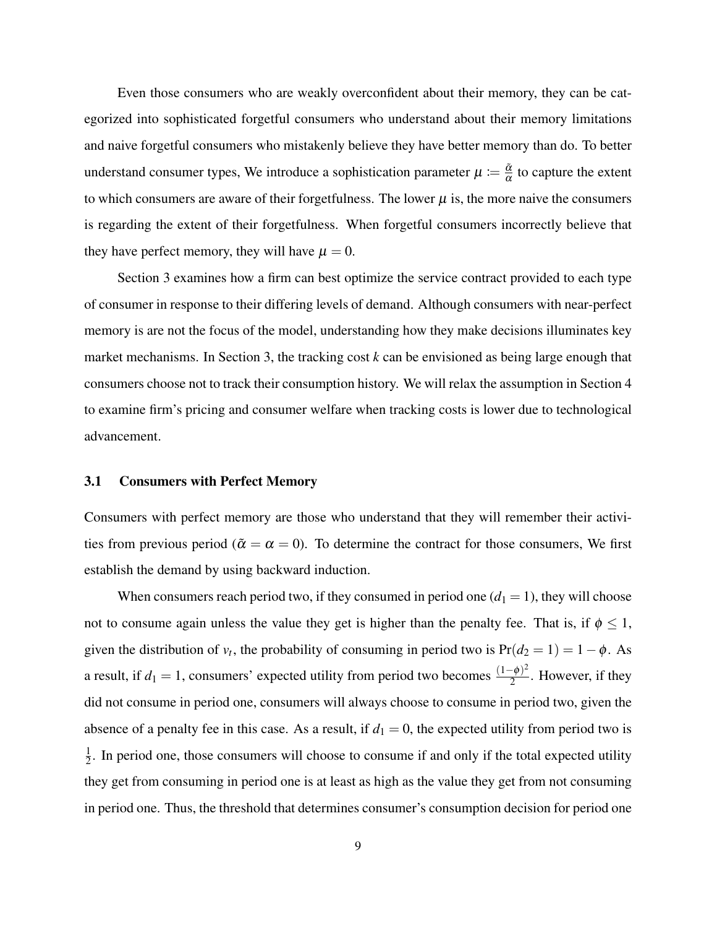Even those consumers who are weakly overconfident about their memory, they can be categorized into sophisticated forgetful consumers who understand about their memory limitations and naive forgetful consumers who mistakenly believe they have better memory than do. To better understand consumer types, We introduce a sophistication parameter  $\mu \coloneqq \frac{\tilde{\alpha}}{\alpha}$  $\frac{\alpha}{\alpha}$  to capture the extent to which consumers are aware of their forgetfulness. The lower  $\mu$  is, the more naive the consumers is regarding the extent of their forgetfulness. When forgetful consumers incorrectly believe that they have perfect memory, they will have  $\mu = 0$ .

Section 3 examines how a firm can best optimize the service contract provided to each type of consumer in response to their differing levels of demand. Although consumers with near-perfect memory is are not the focus of the model, understanding how they make decisions illuminates key market mechanisms. In Section 3, the tracking cost *k* can be envisioned as being large enough that consumers choose not to track their consumption history. We will relax the assumption in Section 4 to examine firm's pricing and consumer welfare when tracking costs is lower due to technological advancement.

#### 3.1 Consumers with Perfect Memory

Consumers with perfect memory are those who understand that they will remember their activities from previous period ( $\tilde{\alpha} = \alpha = 0$ ). To determine the contract for those consumers, We first establish the demand by using backward induction.

When consumers reach period two, if they consumed in period one  $(d_1 = 1)$ , they will choose not to consume again unless the value they get is higher than the penalty fee. That is, if  $\phi \leq 1$ , given the distribution of  $v_t$ , the probability of consuming in period two is  $Pr(d_2 = 1) = 1 - \phi$ . As a result, if  $d_1 = 1$ , consumers' expected utility from period two becomes  $\frac{(1-\phi)^2}{2}$  $\frac{(-\varphi)}{2}$ . However, if they did not consume in period one, consumers will always choose to consume in period two, given the absence of a penalty fee in this case. As a result, if  $d_1 = 0$ , the expected utility from period two is 1  $\frac{1}{2}$ . In period one, those consumers will choose to consume if and only if the total expected utility they get from consuming in period one is at least as high as the value they get from not consuming in period one. Thus, the threshold that determines consumer's consumption decision for period one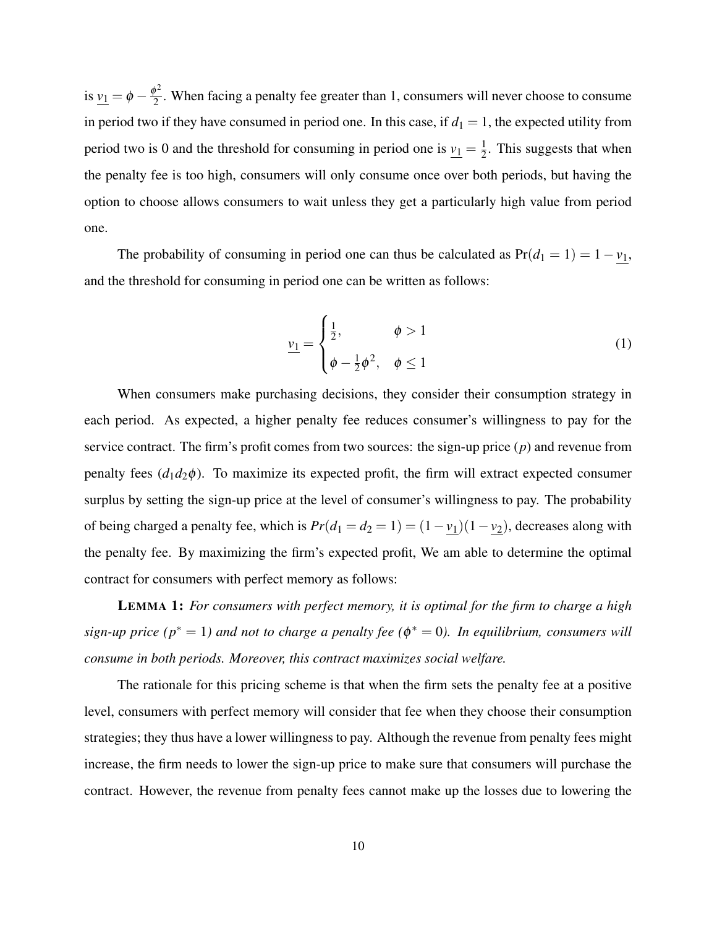is  $v_1 = \phi - \frac{\phi^2}{2}$  $\frac{p}{2}$ . When facing a penalty fee greater than 1, consumers will never choose to consume in period two if they have consumed in period one. In this case, if  $d_1 = 1$ , the expected utility from period two is 0 and the threshold for consuming in period one is  $v_1 = \frac{1}{2}$  $\frac{1}{2}$ . This suggests that when the penalty fee is too high, consumers will only consume once over both periods, but having the option to choose allows consumers to wait unless they get a particularly high value from period one.

The probability of consuming in period one can thus be calculated as  $Pr(d_1 = 1) = 1 - v_1$ , and the threshold for consuming in period one can be written as follows:

$$
\underline{v_1} = \begin{cases} \frac{1}{2}, & \phi > 1 \\ \phi - \frac{1}{2}\phi^2, & \phi \le 1 \end{cases}
$$
 (1)

When consumers make purchasing decisions, they consider their consumption strategy in each period. As expected, a higher penalty fee reduces consumer's willingness to pay for the service contract. The firm's profit comes from two sources: the sign-up price (*p*) and revenue from penalty fees  $(d_1d_2\phi)$ . To maximize its expected profit, the firm will extract expected consumer surplus by setting the sign-up price at the level of consumer's willingness to pay. The probability of being charged a penalty fee, which is  $Pr(d_1 = d_2 = 1) = (1 - v_1)(1 - v_2)$ , decreases along with the penalty fee. By maximizing the firm's expected profit, We am able to determine the optimal contract for consumers with perfect memory as follows:

LEMMA 1: *For consumers with perfect memory, it is optimal for the firm to charge a high sign-up price (p*<sup>∗</sup> = 1*) and not to charge a penalty fee (*φ <sup>∗</sup> = 0*). In equilibrium, consumers will consume in both periods. Moreover, this contract maximizes social welfare.*

The rationale for this pricing scheme is that when the firm sets the penalty fee at a positive level, consumers with perfect memory will consider that fee when they choose their consumption strategies; they thus have a lower willingness to pay. Although the revenue from penalty fees might increase, the firm needs to lower the sign-up price to make sure that consumers will purchase the contract. However, the revenue from penalty fees cannot make up the losses due to lowering the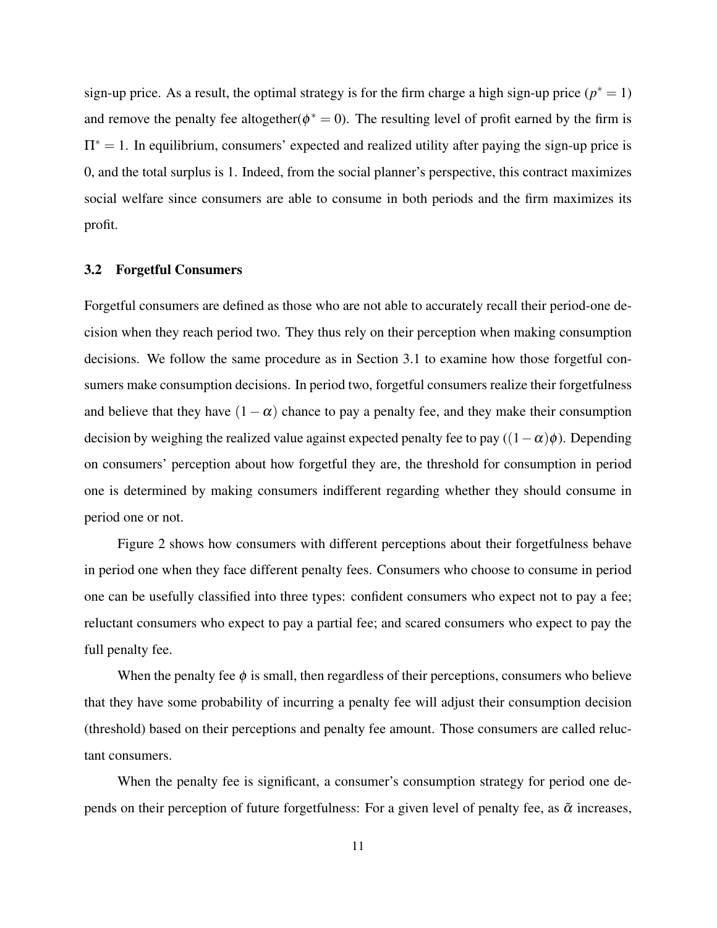sign-up price. As a result, the optimal strategy is for the firm charge a high sign-up price  $(p^* = 1)$ and remove the penalty fee altogether( $\phi^* = 0$ ). The resulting level of profit earned by the firm is  $\Pi^* = 1$ . In equilibrium, consumers' expected and realized utility after paying the sign-up price is 0, and the total surplus is 1. Indeed, from the social planner's perspective, this contract maximizes social welfare since consumers are able to consume in both periods and the firm maximizes its profit.

### 3.2 Forgetful Consumers

Forgetful consumers are defined as those who are not able to accurately recall their period-one decision when they reach period two. They thus rely on their perception when making consumption decisions. We follow the same procedure as in Section 3.1 to examine how those forgetful consumers make consumption decisions. In period two, forgetful consumers realize their forgetfulness and believe that they have  $(1-\alpha)$  chance to pay a penalty fee, and they make their consumption decision by weighing the realized value against expected penalty fee to pay  $((1-\alpha)\phi)$ . Depending on consumers' perception about how forgetful they are, the threshold for consumption in period one is determined by making consumers indifferent regarding whether they should consume in period one or not.

Figure 2 shows how consumers with different perceptions about their forgetfulness behave in period one when they face different penalty fees. Consumers who choose to consume in period one can be usefully classified into three types: confident consumers who expect not to pay a fee; reluctant consumers who expect to pay a partial fee; and scared consumers who expect to pay the full penalty fee.

When the penalty fee  $\phi$  is small, then regardless of their perceptions, consumers who believe that they have some probability of incurring a penalty fee will adjust their consumption decision (threshold) based on their perceptions and penalty fee amount. Those consumers are called reluctant consumers.

When the penalty fee is significant, a consumer's consumption strategy for period one depends on their perception of future forgetfulness: For a given level of penalty fee, as  $\tilde{\alpha}$  increases,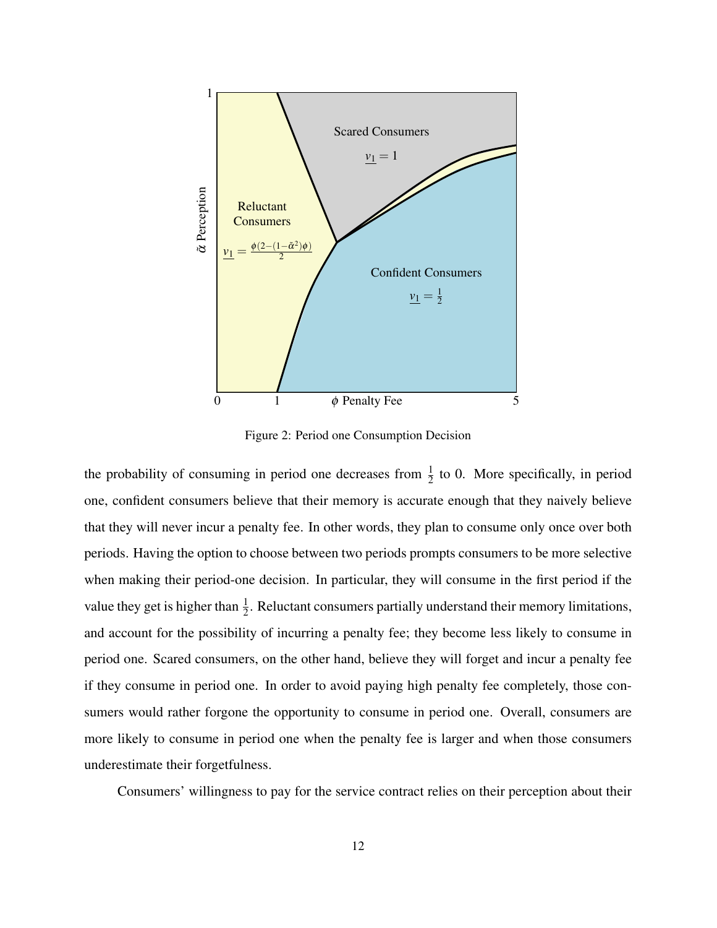

<span id="page-13-0"></span>Figure 2: Period one Consumption Decision

the probability of consuming in period one decreases from  $\frac{1}{2}$  to 0. More specifically, in period one, confident consumers believe that their memory is accurate enough that they naively believe that they will never incur a penalty fee. In other words, they plan to consume only once over both periods. Having the option to choose between two periods prompts consumers to be more selective when making their period-one decision. In particular, they will consume in the first period if the value they get is higher than  $\frac{1}{2}$ . Reluctant consumers partially understand their memory limitations, and account for the possibility of incurring a penalty fee; they become less likely to consume in period one. Scared consumers, on the other hand, believe they will forget and incur a penalty fee if they consume in period one. In order to avoid paying high penalty fee completely, those consumers would rather forgone the opportunity to consume in period one. Overall, consumers are more likely to consume in period one when the penalty fee is larger and when those consumers underestimate their forgetfulness.

Consumers' willingness to pay for the service contract relies on their perception about their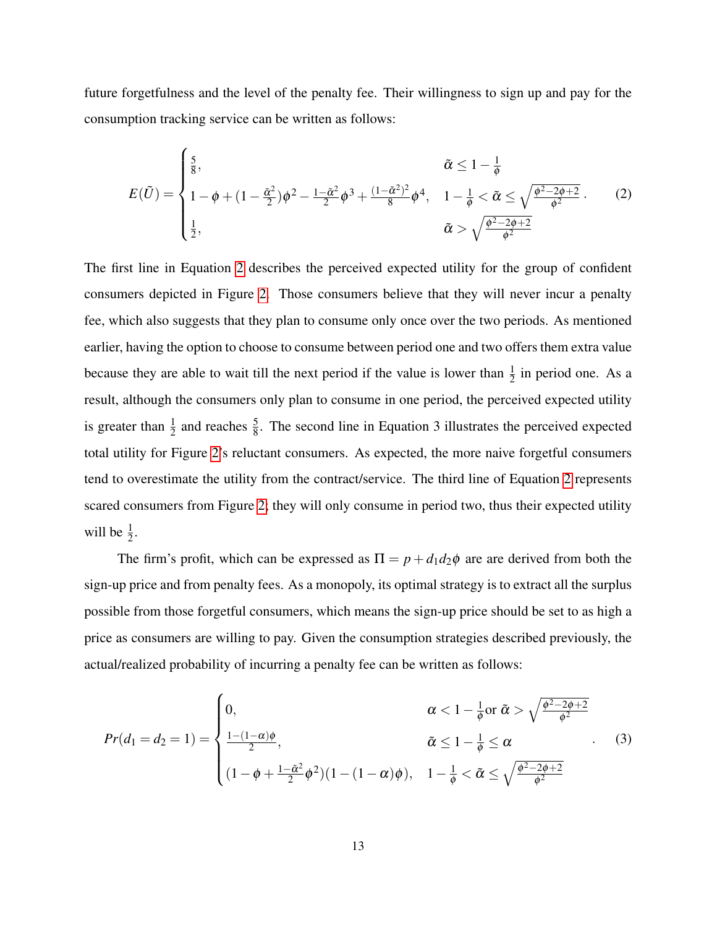future forgetfulness and the level of the penalty fee. Their willingness to sign up and pay for the consumption tracking service can be written as follows:

<span id="page-14-0"></span>
$$
E(\tilde{U}) = \begin{cases} \frac{5}{8}, & \tilde{\alpha} \le 1 - \frac{1}{\phi} \\ 1 - \phi + (1 - \frac{\tilde{\alpha}^2}{2})\phi^2 - \frac{1 - \tilde{\alpha}^2}{2}\phi^3 + \frac{(1 - \tilde{\alpha}^2)^2}{8}\phi^4, & 1 - \frac{1}{\phi} < \tilde{\alpha} \le \sqrt{\frac{\phi^2 - 2\phi + 2}{\phi^2}} \\ \frac{1}{2}, & \tilde{\alpha} > \sqrt{\frac{\phi^2 - 2\phi + 2}{\phi^2}} \end{cases}
$$
(2)

The first line in Equation [2](#page-14-0) describes the perceived expected utility for the group of confident consumers depicted in Figure [2.](#page-13-0) Those consumers believe that they will never incur a penalty fee, which also suggests that they plan to consume only once over the two periods. As mentioned earlier, having the option to choose to consume between period one and two offers them extra value because they are able to wait till the next period if the value is lower than  $\frac{1}{2}$  in period one. As a result, although the consumers only plan to consume in one period, the perceived expected utility is greater than  $\frac{1}{2}$  and reaches  $\frac{5}{8}$ . The second line in Equation 3 illustrates the perceived expected total utility for Figure [2'](#page-13-0)s reluctant consumers. As expected, the more naive forgetful consumers tend to overestimate the utility from the contract/service. The third line of Equation [2](#page-14-0) represents scared consumers from Figure [2;](#page-13-0) they will only consume in period two, thus their expected utility will be  $\frac{1}{2}$ .

The firm's profit, which can be expressed as  $\Pi = p + d_1 d_2 \phi$  are are derived from both the sign-up price and from penalty fees. As a monopoly, its optimal strategy is to extract all the surplus possible from those forgetful consumers, which means the sign-up price should be set to as high a price as consumers are willing to pay. Given the consumption strategies described previously, the actual/realized probability of incurring a penalty fee can be written as follows:

<span id="page-14-1"></span>
$$
Pr(d_1 = d_2 = 1) = \begin{cases} 0, & \alpha < 1 - \frac{1}{\phi} \text{ or } \tilde{\alpha} > \sqrt{\frac{\phi^2 - 2\phi + 2}{\phi^2}} \\ \frac{1 - (1 - \alpha)\phi}{2}, & \tilde{\alpha} \le 1 - \frac{1}{\phi} \le \alpha \\ (1 - \phi + \frac{1 - \tilde{\alpha}^2}{2}\phi^2)(1 - (1 - \alpha)\phi), & 1 - \frac{1}{\phi} < \tilde{\alpha} \le \sqrt{\frac{\phi^2 - 2\phi + 2}{\phi^2}} \end{cases} (3)
$$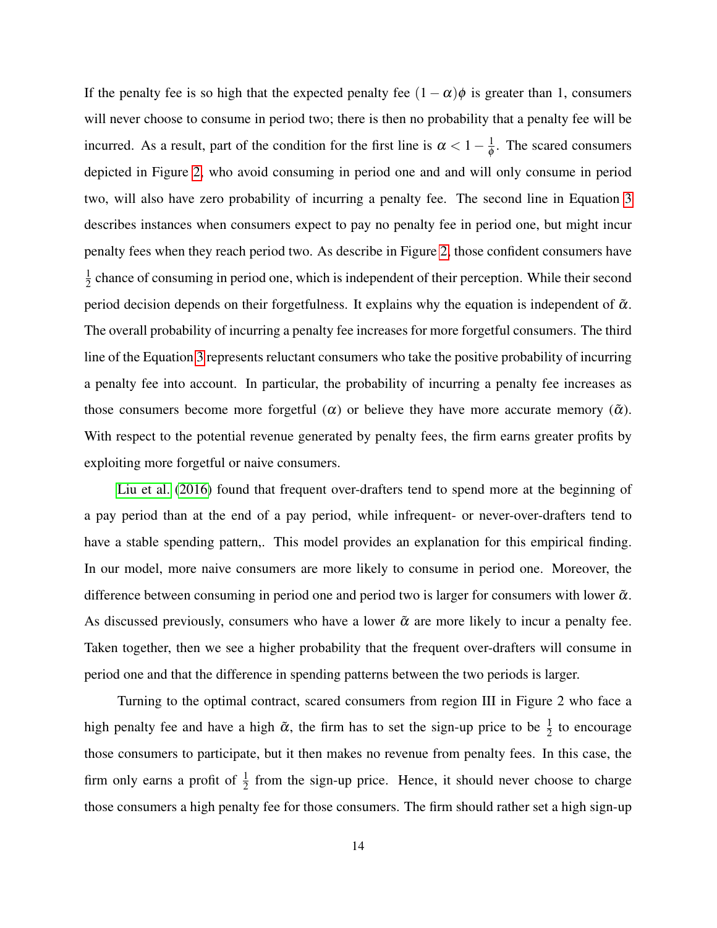If the penalty fee is so high that the expected penalty fee  $(1 - \alpha)\phi$  is greater than 1, consumers will never choose to consume in period two; there is then no probability that a penalty fee will be incurred. As a result, part of the condition for the first line is  $\alpha < 1 - \frac{1}{\phi}$  $\frac{1}{\phi}$ . The scared consumers depicted in Figure [2,](#page-13-0) who avoid consuming in period one and and will only consume in period two, will also have zero probability of incurring a penalty fee. The second line in Equation [3](#page-14-1) describes instances when consumers expect to pay no penalty fee in period one, but might incur penalty fees when they reach period two. As describe in Figure [2,](#page-13-0) those confident consumers have 1  $\frac{1}{2}$  chance of consuming in period one, which is independent of their perception. While their second period decision depends on their forgetfulness. It explains why the equation is independent of  $\tilde{\alpha}$ . The overall probability of incurring a penalty fee increases for more forgetful consumers. The third line of the Equation [3](#page-14-1) represents reluctant consumers who take the positive probability of incurring a penalty fee into account. In particular, the probability of incurring a penalty fee increases as those consumers become more forgetful  $(\alpha)$  or believe they have more accurate memory  $(\tilde{\alpha})$ . With respect to the potential revenue generated by penalty fees, the firm earns greater profits by exploiting more forgetful or naive consumers.

[Liu et al.](#page-41-5) [\(2016\)](#page-41-5) found that frequent over-drafters tend to spend more at the beginning of a pay period than at the end of a pay period, while infrequent- or never-over-drafters tend to have a stable spending pattern,. This model provides an explanation for this empirical finding. In our model, more naive consumers are more likely to consume in period one. Moreover, the difference between consuming in period one and period two is larger for consumers with lower  $\tilde{\alpha}$ . As discussed previously, consumers who have a lower  $\tilde{\alpha}$  are more likely to incur a penalty fee. Taken together, then we see a higher probability that the frequent over-drafters will consume in period one and that the difference in spending patterns between the two periods is larger.

Turning to the optimal contract, scared consumers from region III in Figure 2 who face a high penalty fee and have a high  $\tilde{\alpha}$ , the firm has to set the sign-up price to be  $\frac{1}{2}$  to encourage those consumers to participate, but it then makes no revenue from penalty fees. In this case, the firm only earns a profit of  $\frac{1}{2}$  from the sign-up price. Hence, it should never choose to charge those consumers a high penalty fee for those consumers. The firm should rather set a high sign-up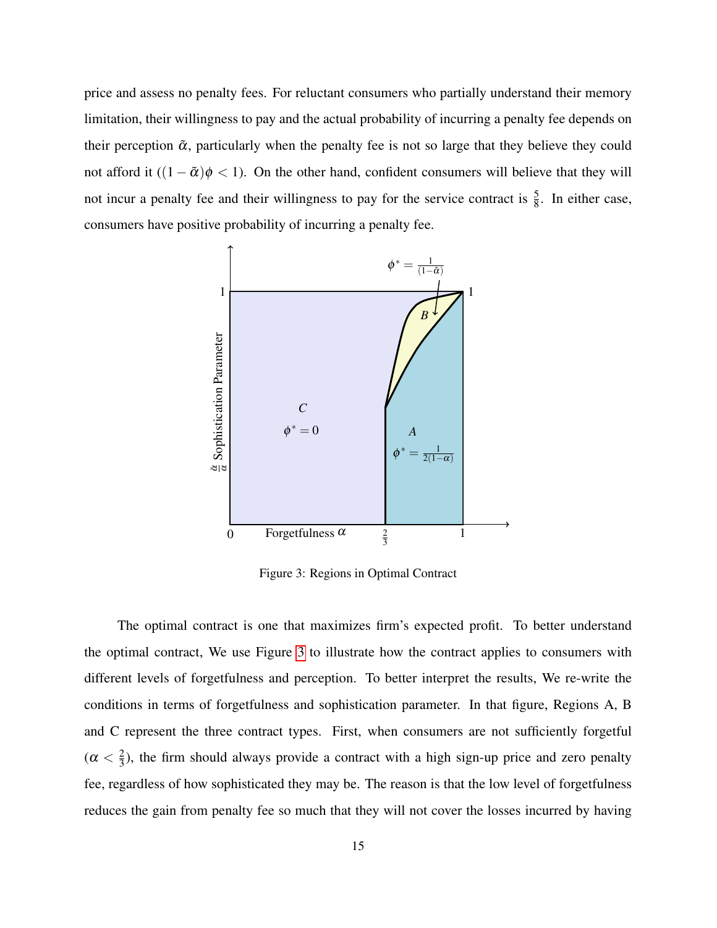price and assess no penalty fees. For reluctant consumers who partially understand their memory limitation, their willingness to pay and the actual probability of incurring a penalty fee depends on their perception  $\tilde{\alpha}$ , particularly when the penalty fee is not so large that they believe they could not afford it  $((1 - \tilde{\alpha})\phi < 1)$ . On the other hand, confident consumers will believe that they will not incur a penalty fee and their willingness to pay for the service contract is  $\frac{5}{8}$ . In either case, consumers have positive probability of incurring a penalty fee.



<span id="page-16-0"></span>Figure 3: Regions in Optimal Contract

The optimal contract is one that maximizes firm's expected profit. To better understand the optimal contract, We use Figure [3](#page-16-0) to illustrate how the contract applies to consumers with different levels of forgetfulness and perception. To better interpret the results, We re-write the conditions in terms of forgetfulness and sophistication parameter. In that figure, Regions A, B and C represent the three contract types. First, when consumers are not sufficiently forgetful  $(\alpha < \frac{2}{3})$  $\frac{2}{3}$ ), the firm should always provide a contract with a high sign-up price and zero penalty fee, regardless of how sophisticated they may be. The reason is that the low level of forgetfulness reduces the gain from penalty fee so much that they will not cover the losses incurred by having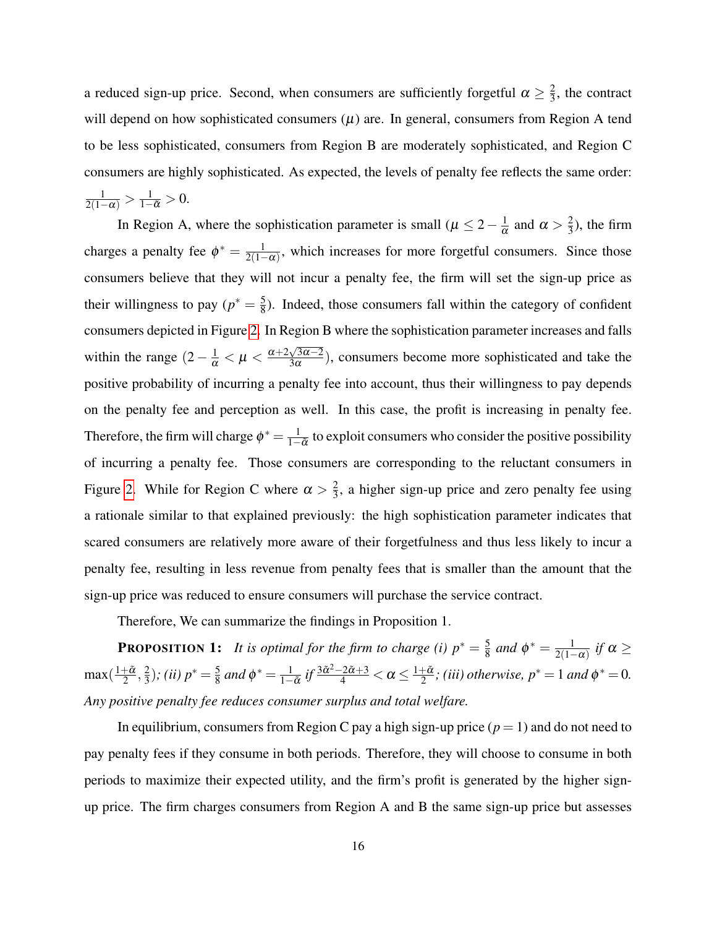a reduced sign-up price. Second, when consumers are sufficiently forgetful  $\alpha \geq \frac{2}{3}$  $\frac{2}{3}$ , the contract will depend on how sophisticated consumers  $(\mu)$  are. In general, consumers from Region A tend to be less sophisticated, consumers from Region B are moderately sophisticated, and Region C consumers are highly sophisticated. As expected, the levels of penalty fee reflects the same order:  $\frac{1}{2(1-\alpha)} > \frac{1}{1-\tilde{\alpha}} > 0.$ 

In Region A, where the sophistication parameter is small ( $\mu \leq 2 - \frac{1}{\alpha}$ )  $\frac{1}{\alpha}$  and  $\alpha > \frac{2}{3}$  $\frac{2}{3}$ ), the firm charges a penalty fee  $\phi^* = \frac{1}{2(1-\frac{1}{\sqrt{3}})}$  $\frac{1}{2(1-\alpha)}$ , which increases for more forgetful consumers. Since those consumers believe that they will not incur a penalty fee, the firm will set the sign-up price as their willingness to pay  $(p^* = \frac{5}{8})$  $\frac{5}{8}$ ). Indeed, those consumers fall within the category of confident consumers depicted in Figure [2.](#page-13-0) In Region B where the sophistication parameter increases and falls within the range  $(2 - \frac{1}{\alpha} < \mu < \frac{\alpha + 2\sqrt{3\alpha - 2}}{3\alpha})$  $\frac{\sqrt{3\alpha-2}}{3\alpha}$ , consumers become more sophisticated and take the positive probability of incurring a penalty fee into account, thus their willingness to pay depends on the penalty fee and perception as well. In this case, the profit is increasing in penalty fee. Therefore, the firm will charge  $\phi^* = \frac{1}{1-\phi^*}$  $\frac{1}{1-\tilde{\alpha}}$  to exploit consumers who consider the positive possibility of incurring a penalty fee. Those consumers are corresponding to the reluctant consumers in Figure [2.](#page-13-0) While for Region C where  $\alpha > \frac{2}{3}$  $\frac{2}{3}$ , a higher sign-up price and zero penalty fee using a rationale similar to that explained previously: the high sophistication parameter indicates that scared consumers are relatively more aware of their forgetfulness and thus less likely to incur a penalty fee, resulting in less revenue from penalty fees that is smaller than the amount that the sign-up price was reduced to ensure consumers will purchase the service contract.

Therefore, We can summarize the findings in Proposition 1.

**PROPOSITION 1:** *It is optimal for the firm to charge (i)*  $p^* = \frac{5}{8}$  $\frac{5}{8}$  and  $\phi^* = \frac{1}{2(1-\frac{1}{2})}$  $\frac{1}{2(1-\alpha)}$  *if* α ≥ max $(\frac{1+\tilde{\alpha}}{2})$  $\frac{1}{2}$ ,  $\frac{2}{3}$  $(\frac{2}{3})$ ; (*ii*)  $p^* = \frac{5}{8}$  $\frac{5}{8}$  and  $\phi^* = \frac{1}{1-}$  $\frac{1}{1-\tilde{\alpha}}$  *if*  $\frac{3\tilde{\alpha}^2-2\tilde{\alpha}+3}{4}<\alpha\leq\frac{1+\tilde{\alpha}}{2}$  $\frac{1-\tilde{\alpha}}{2}$ ; (iii) otherwise,  $p^* = 1$  and  $\phi^* = 0$ . *Any positive penalty fee reduces consumer surplus and total welfare.*

In equilibrium, consumers from Region C pay a high sign-up price  $(p = 1)$  and do not need to pay penalty fees if they consume in both periods. Therefore, they will choose to consume in both periods to maximize their expected utility, and the firm's profit is generated by the higher signup price. The firm charges consumers from Region A and B the same sign-up price but assesses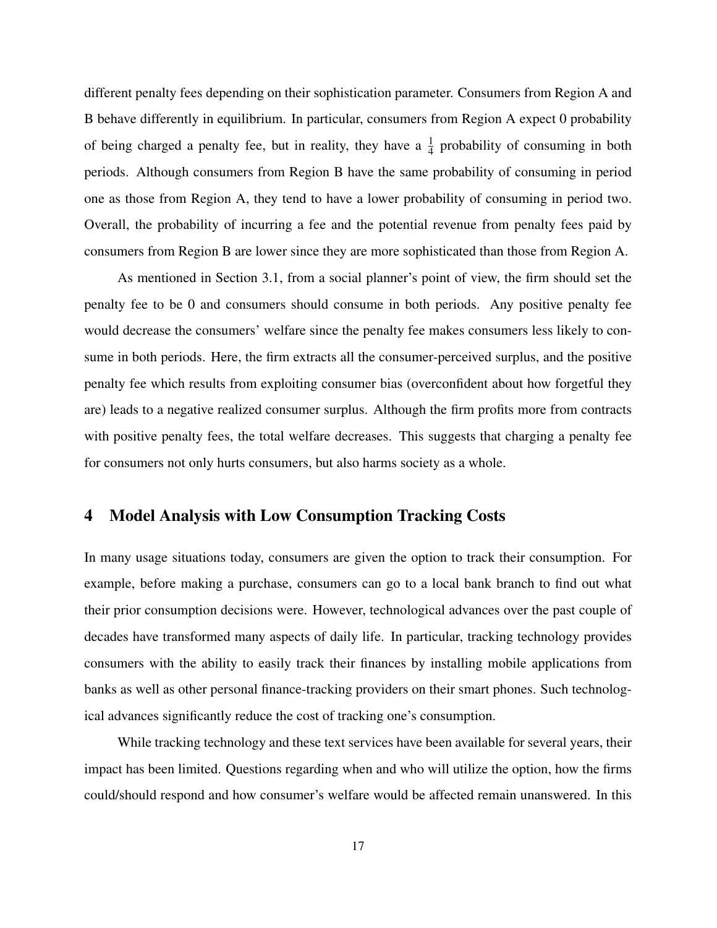different penalty fees depending on their sophistication parameter. Consumers from Region A and B behave differently in equilibrium. In particular, consumers from Region A expect 0 probability of being charged a penalty fee, but in reality, they have a  $\frac{1}{4}$  probability of consuming in both periods. Although consumers from Region B have the same probability of consuming in period one as those from Region A, they tend to have a lower probability of consuming in period two. Overall, the probability of incurring a fee and the potential revenue from penalty fees paid by consumers from Region B are lower since they are more sophisticated than those from Region A.

As mentioned in Section 3.1, from a social planner's point of view, the firm should set the penalty fee to be 0 and consumers should consume in both periods. Any positive penalty fee would decrease the consumers' welfare since the penalty fee makes consumers less likely to consume in both periods. Here, the firm extracts all the consumer-perceived surplus, and the positive penalty fee which results from exploiting consumer bias (overconfident about how forgetful they are) leads to a negative realized consumer surplus. Although the firm profits more from contracts with positive penalty fees, the total welfare decreases. This suggests that charging a penalty fee for consumers not only hurts consumers, but also harms society as a whole.

### 4 Model Analysis with Low Consumption Tracking Costs

In many usage situations today, consumers are given the option to track their consumption. For example, before making a purchase, consumers can go to a local bank branch to find out what their prior consumption decisions were. However, technological advances over the past couple of decades have transformed many aspects of daily life. In particular, tracking technology provides consumers with the ability to easily track their finances by installing mobile applications from banks as well as other personal finance-tracking providers on their smart phones. Such technological advances significantly reduce the cost of tracking one's consumption.

While tracking technology and these text services have been available for several years, their impact has been limited. Questions regarding when and who will utilize the option, how the firms could/should respond and how consumer's welfare would be affected remain unanswered. In this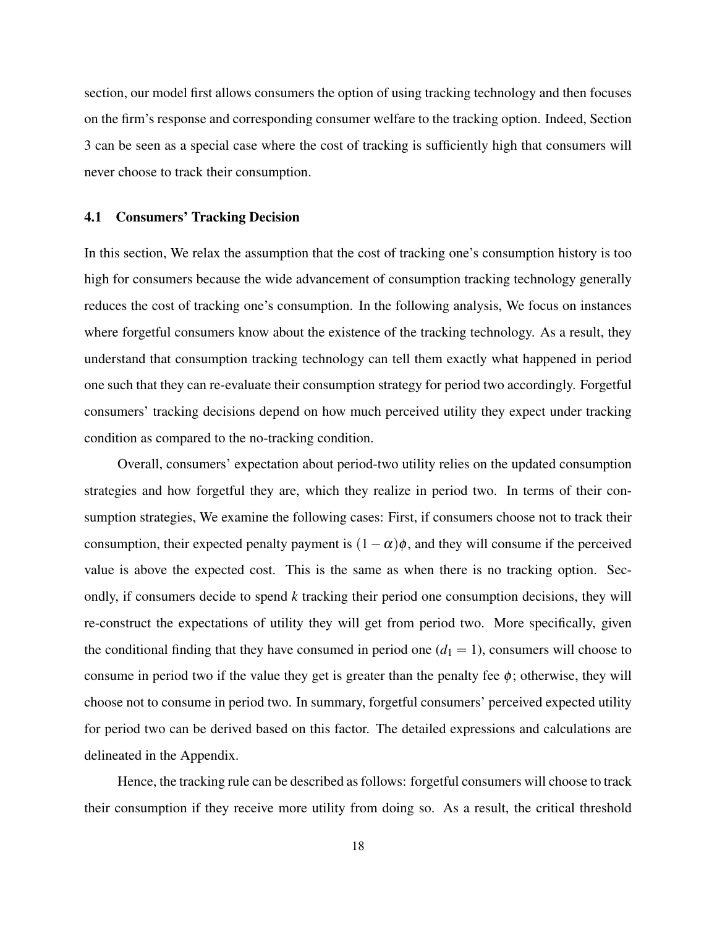section, our model first allows consumers the option of using tracking technology and then focuses on the firm's response and corresponding consumer welfare to the tracking option. Indeed, Section 3 can be seen as a special case where the cost of tracking is sufficiently high that consumers will never choose to track their consumption.

#### 4.1 Consumers' Tracking Decision

In this section, We relax the assumption that the cost of tracking one's consumption history is too high for consumers because the wide advancement of consumption tracking technology generally reduces the cost of tracking one's consumption. In the following analysis, We focus on instances where forgetful consumers know about the existence of the tracking technology. As a result, they understand that consumption tracking technology can tell them exactly what happened in period one such that they can re-evaluate their consumption strategy for period two accordingly. Forgetful consumers' tracking decisions depend on how much perceived utility they expect under tracking condition as compared to the no-tracking condition.

Overall, consumers' expectation about period-two utility relies on the updated consumption strategies and how forgetful they are, which they realize in period two. In terms of their consumption strategies, We examine the following cases: First, if consumers choose not to track their consumption, their expected penalty payment is  $(1 - \alpha)\phi$ , and they will consume if the perceived value is above the expected cost. This is the same as when there is no tracking option. Secondly, if consumers decide to spend *k* tracking their period one consumption decisions, they will re-construct the expectations of utility they will get from period two. More specifically, given the conditional finding that they have consumed in period one  $(d_1 = 1)$ , consumers will choose to consume in period two if the value they get is greater than the penalty fee  $\phi$ ; otherwise, they will choose not to consume in period two. In summary, forgetful consumers' perceived expected utility for period two can be derived based on this factor. The detailed expressions and calculations are delineated in the Appendix.

Hence, the tracking rule can be described as follows: forgetful consumers will choose to track their consumption if they receive more utility from doing so. As a result, the critical threshold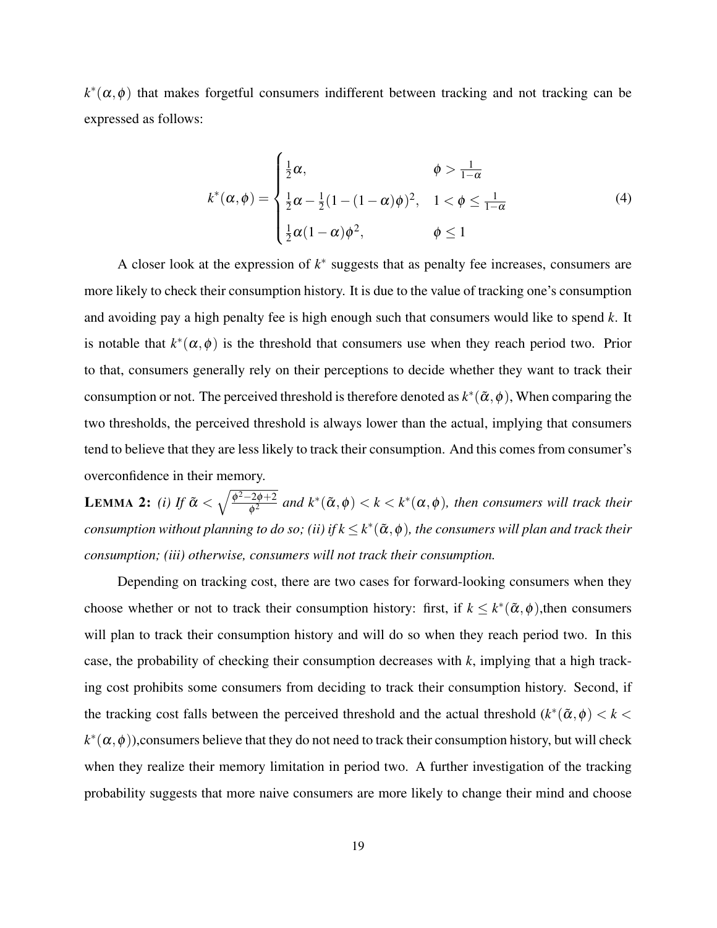$k^*(\alpha, \phi)$  that makes forgetful consumers indifferent between tracking and not tracking can be expressed as follows:

$$
k^*(\alpha,\phi) = \begin{cases} \frac{1}{2}\alpha, & \phi > \frac{1}{1-\alpha} \\ \frac{1}{2}\alpha - \frac{1}{2}(1 - (1-\alpha)\phi)^2, & 1 < \phi \leq \frac{1}{1-\alpha} \\ \frac{1}{2}\alpha(1-\alpha)\phi^2, & \phi \leq 1 \end{cases}
$$
(4)

A closer look at the expression of  $k^*$  suggests that as penalty fee increases, consumers are more likely to check their consumption history. It is due to the value of tracking one's consumption and avoiding pay a high penalty fee is high enough such that consumers would like to spend *k*. It is notable that  $k^*(\alpha, \phi)$  is the threshold that consumers use when they reach period two. Prior to that, consumers generally rely on their perceptions to decide whether they want to track their consumption or not. The perceived threshold is therefore denoted as  $k^*(\tilde{\alpha}, \phi)$ , When comparing the two thresholds, the perceived threshold is always lower than the actual, implying that consumers tend to believe that they are less likely to track their consumption. And this comes from consumer's overconfidence in their memory.

**LEMMA 2:** *(i)* If  $\tilde{\alpha} < \sqrt{\frac{\phi^2 - 2\phi + 2}{\phi^2}}$  $\frac{2\phi+2}{\phi^2}$  and  $k^*(\tilde{\alpha},\phi) < k < k^*(\alpha,\phi)$ , then consumers will track their  $\it consumption$  without planning to do so; (ii) if  $k$   $\leq$   $k^*(\tilde{\alpha},\phi)$ , the consumers will plan and track their *consumption; (iii) otherwise, consumers will not track their consumption.*

Depending on tracking cost, there are two cases for forward-looking consumers when they choose whether or not to track their consumption history: first, if  $k \leq k^*(\tilde{\alpha}, \phi)$ , then consumers will plan to track their consumption history and will do so when they reach period two. In this case, the probability of checking their consumption decreases with *k*, implying that a high tracking cost prohibits some consumers from deciding to track their consumption history. Second, if the tracking cost falls between the perceived threshold and the actual threshold  $(k^*(\tilde{\alpha}, \phi) < k <$  $k^*(\alpha,\phi)$ ),consumers believe that they do not need to track their consumption history, but will check when they realize their memory limitation in period two. A further investigation of the tracking probability suggests that more naive consumers are more likely to change their mind and choose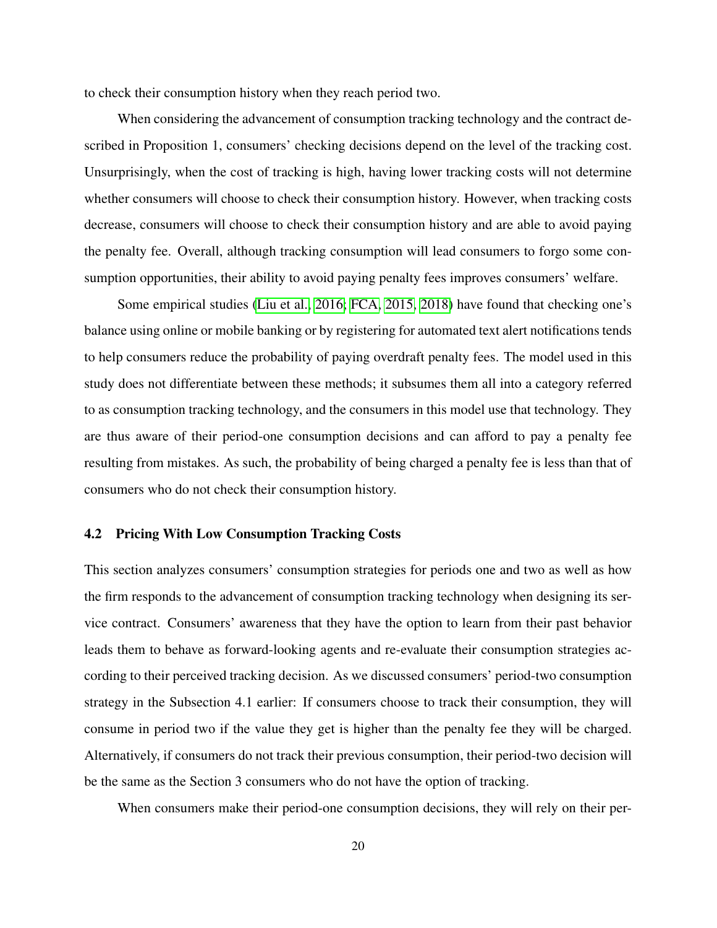to check their consumption history when they reach period two.

When considering the advancement of consumption tracking technology and the contract described in Proposition 1, consumers' checking decisions depend on the level of the tracking cost. Unsurprisingly, when the cost of tracking is high, having lower tracking costs will not determine whether consumers will choose to check their consumption history. However, when tracking costs decrease, consumers will choose to check their consumption history and are able to avoid paying the penalty fee. Overall, although tracking consumption will lead consumers to forgo some consumption opportunities, their ability to avoid paying penalty fees improves consumers' welfare.

Some empirical studies [\(Liu et al., 2016;](#page-41-5) [FCA, 2015,](#page-40-6) [2018\)](#page-40-2) have found that checking one's balance using online or mobile banking or by registering for automated text alert notifications tends to help consumers reduce the probability of paying overdraft penalty fees. The model used in this study does not differentiate between these methods; it subsumes them all into a category referred to as consumption tracking technology, and the consumers in this model use that technology. They are thus aware of their period-one consumption decisions and can afford to pay a penalty fee resulting from mistakes. As such, the probability of being charged a penalty fee is less than that of consumers who do not check their consumption history.

### 4.2 Pricing With Low Consumption Tracking Costs

This section analyzes consumers' consumption strategies for periods one and two as well as how the firm responds to the advancement of consumption tracking technology when designing its service contract. Consumers' awareness that they have the option to learn from their past behavior leads them to behave as forward-looking agents and re-evaluate their consumption strategies according to their perceived tracking decision. As we discussed consumers' period-two consumption strategy in the Subsection 4.1 earlier: If consumers choose to track their consumption, they will consume in period two if the value they get is higher than the penalty fee they will be charged. Alternatively, if consumers do not track their previous consumption, their period-two decision will be the same as the Section 3 consumers who do not have the option of tracking.

When consumers make their period-one consumption decisions, they will rely on their per-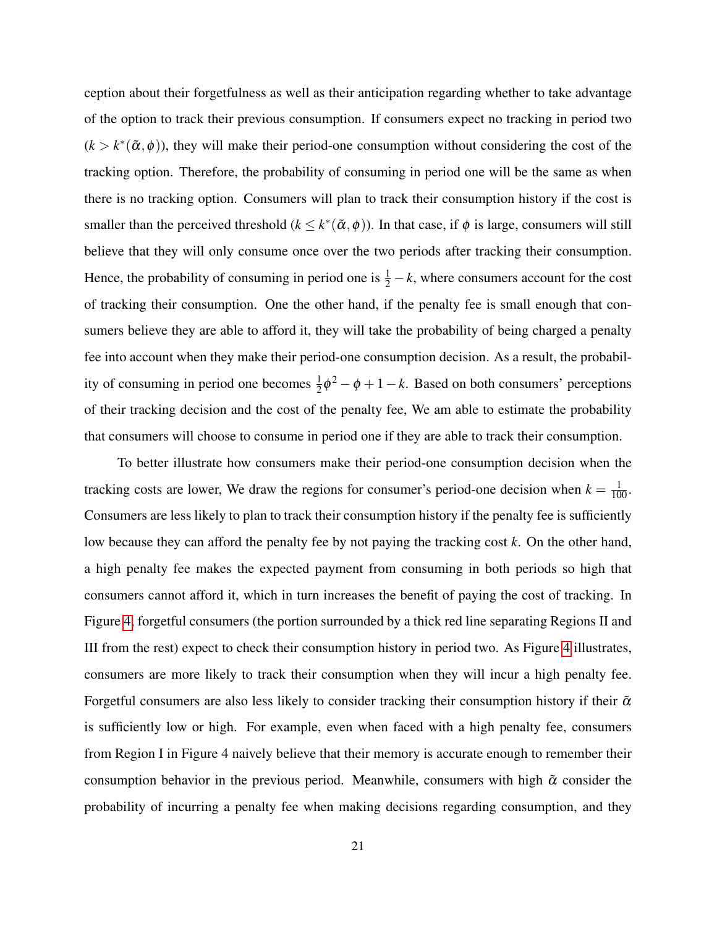ception about their forgetfulness as well as their anticipation regarding whether to take advantage of the option to track their previous consumption. If consumers expect no tracking in period two  $(k > k^*(\tilde{\alpha}, \phi))$ , they will make their period-one consumption without considering the cost of the tracking option. Therefore, the probability of consuming in period one will be the same as when there is no tracking option. Consumers will plan to track their consumption history if the cost is smaller than the perceived threshold  $(k \leq k^*(\tilde{\alpha}, \phi))$ . In that case, if  $\phi$  is large, consumers will still believe that they will only consume once over the two periods after tracking their consumption. Hence, the probability of consuming in period one is  $\frac{1}{2} - k$ , where consumers account for the cost of tracking their consumption. One the other hand, if the penalty fee is small enough that consumers believe they are able to afford it, they will take the probability of being charged a penalty fee into account when they make their period-one consumption decision. As a result, the probability of consuming in period one becomes  $\frac{1}{2}\phi^2 - \phi + 1 - k$ . Based on both consumers' perceptions of their tracking decision and the cost of the penalty fee, We am able to estimate the probability that consumers will choose to consume in period one if they are able to track their consumption.

To better illustrate how consumers make their period-one consumption decision when the tracking costs are lower, We draw the regions for consumer's period-one decision when  $k = \frac{1}{100}$ . Consumers are less likely to plan to track their consumption history if the penalty fee is sufficiently low because they can afford the penalty fee by not paying the tracking cost *k*. On the other hand, a high penalty fee makes the expected payment from consuming in both periods so high that consumers cannot afford it, which in turn increases the benefit of paying the cost of tracking. In Figure [4,](#page-23-0) forgetful consumers (the portion surrounded by a thick red line separating Regions II and III from the rest) expect to check their consumption history in period two. As Figure [4](#page-23-0) illustrates, consumers are more likely to track their consumption when they will incur a high penalty fee. Forgetful consumers are also less likely to consider tracking their consumption history if their  $\tilde{\alpha}$ is sufficiently low or high. For example, even when faced with a high penalty fee, consumers from Region I in Figure 4 naively believe that their memory is accurate enough to remember their consumption behavior in the previous period. Meanwhile, consumers with high  $\tilde{\alpha}$  consider the probability of incurring a penalty fee when making decisions regarding consumption, and they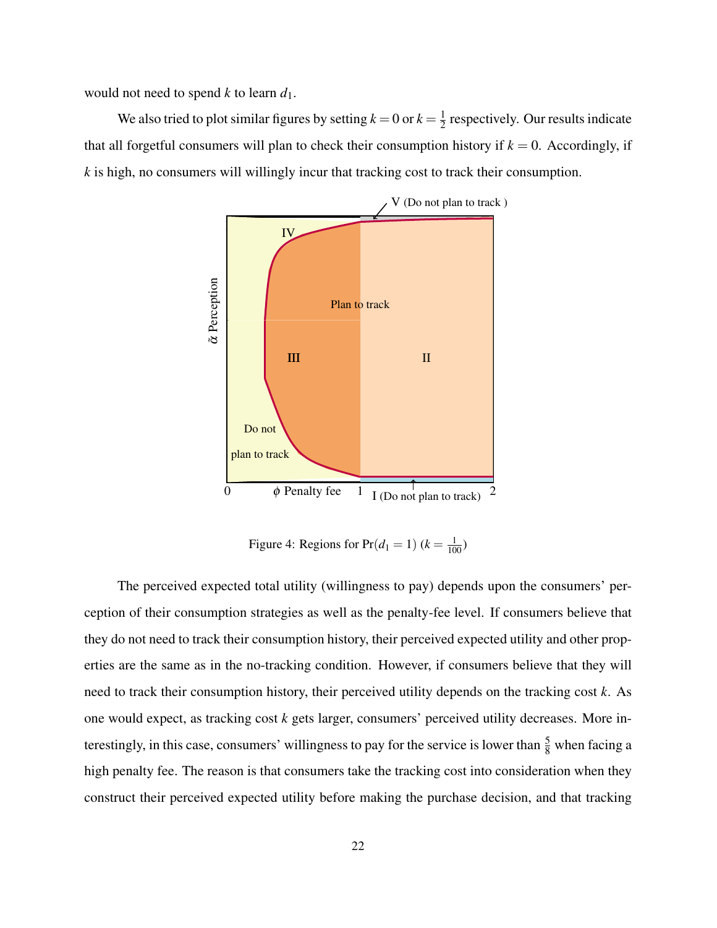would not need to spend *k* to learn *d*1.

We also tried to plot similar figures by setting  $k = 0$  or  $k = \frac{1}{2}$  $\frac{1}{2}$  respectively. Our results indicate that all forgetful consumers will plan to check their consumption history if  $k = 0$ . Accordingly, if *k* is high, no consumers will willingly incur that tracking cost to track their consumption.



<span id="page-23-0"></span>Figure 4: Regions for  $Pr(d_1 = 1)$  ( $k = \frac{1}{100}$ )

The perceived expected total utility (willingness to pay) depends upon the consumers' perception of their consumption strategies as well as the penalty-fee level. If consumers believe that they do not need to track their consumption history, their perceived expected utility and other properties are the same as in the no-tracking condition. However, if consumers believe that they will need to track their consumption history, their perceived utility depends on the tracking cost *k*. As one would expect, as tracking cost *k* gets larger, consumers' perceived utility decreases. More interestingly, in this case, consumers' willingness to pay for the service is lower than  $\frac{5}{8}$  when facing a high penalty fee. The reason is that consumers take the tracking cost into consideration when they construct their perceived expected utility before making the purchase decision, and that tracking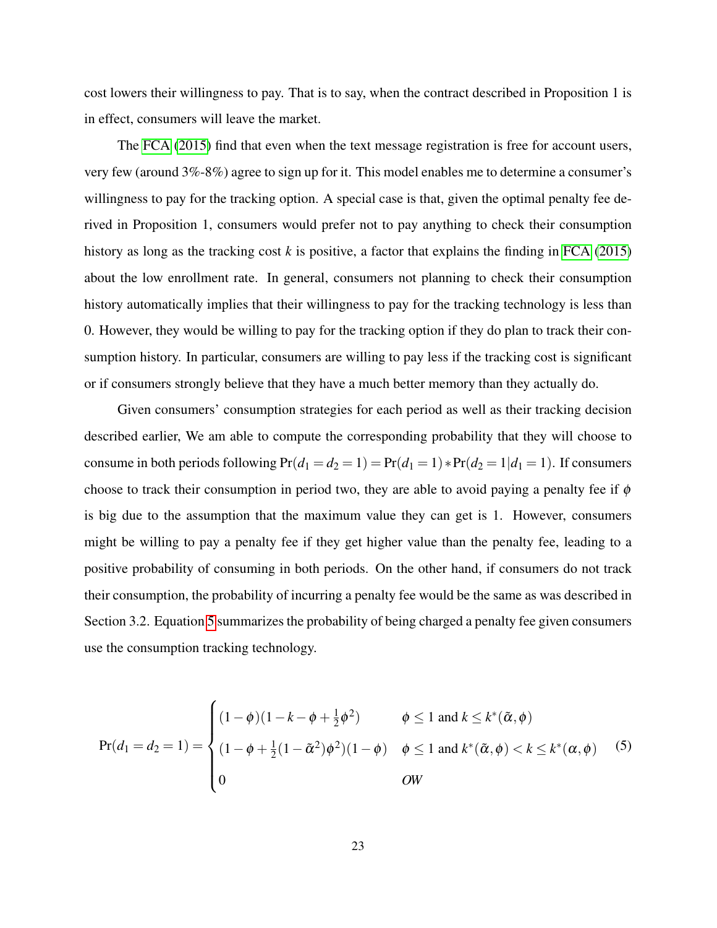cost lowers their willingness to pay. That is to say, when the contract described in Proposition 1 is in effect, consumers will leave the market.

The [FCA](#page-40-6) [\(2015\)](#page-40-6) find that even when the text message registration is free for account users, very few (around 3%-8%) agree to sign up for it. This model enables me to determine a consumer's willingness to pay for the tracking option. A special case is that, given the optimal penalty fee derived in Proposition 1, consumers would prefer not to pay anything to check their consumption history as long as the tracking cost *k* is positive, a factor that explains the finding in [FCA](#page-40-6) [\(2015\)](#page-40-6) about the low enrollment rate. In general, consumers not planning to check their consumption history automatically implies that their willingness to pay for the tracking technology is less than 0. However, they would be willing to pay for the tracking option if they do plan to track their consumption history. In particular, consumers are willing to pay less if the tracking cost is significant or if consumers strongly believe that they have a much better memory than they actually do.

Given consumers' consumption strategies for each period as well as their tracking decision described earlier, We am able to compute the corresponding probability that they will choose to consume in both periods following  $Pr(d_1 = d_2 = 1) = Pr(d_1 = 1) * Pr(d_2 = 1 | d_1 = 1)$ . If consumers choose to track their consumption in period two, they are able to avoid paying a penalty fee if  $\phi$ is big due to the assumption that the maximum value they can get is 1. However, consumers might be willing to pay a penalty fee if they get higher value than the penalty fee, leading to a positive probability of consuming in both periods. On the other hand, if consumers do not track their consumption, the probability of incurring a penalty fee would be the same as was described in Section 3.2. Equation [5](#page-24-0) summarizes the probability of being charged a penalty fee given consumers use the consumption tracking technology.

<span id="page-24-0"></span>
$$
\Pr(d_1 = d_2 = 1) = \begin{cases} (1 - \phi)(1 - k - \phi + \frac{1}{2}\phi^2) & \phi \le 1 \text{ and } k \le k^*(\tilde{\alpha}, \phi) \\ (1 - \phi + \frac{1}{2}(1 - \tilde{\alpha}^2)\phi^2)(1 - \phi) & \phi \le 1 \text{ and } k^*(\tilde{\alpha}, \phi) < k \le k^*(\alpha, \phi) \\ 0 & \text{OW} \end{cases}
$$
(5)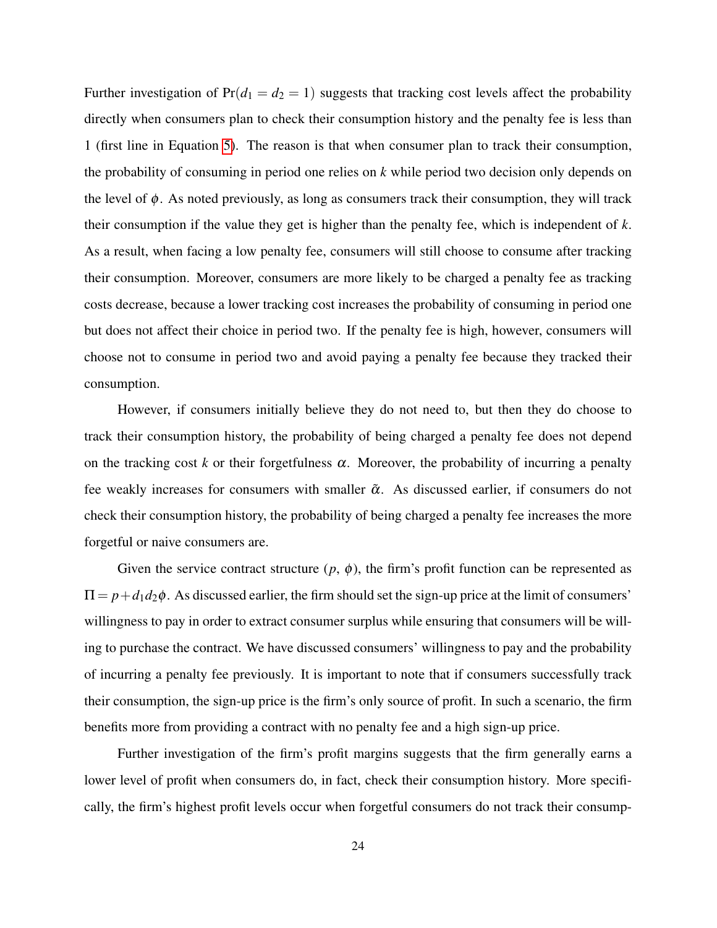Further investigation of  $Pr(d_1 = d_2 = 1)$  suggests that tracking cost levels affect the probability directly when consumers plan to check their consumption history and the penalty fee is less than 1 (first line in Equation [5\)](#page-24-0). The reason is that when consumer plan to track their consumption, the probability of consuming in period one relies on *k* while period two decision only depends on the level of  $\phi$ . As noted previously, as long as consumers track their consumption, they will track their consumption if the value they get is higher than the penalty fee, which is independent of *k*. As a result, when facing a low penalty fee, consumers will still choose to consume after tracking their consumption. Moreover, consumers are more likely to be charged a penalty fee as tracking costs decrease, because a lower tracking cost increases the probability of consuming in period one but does not affect their choice in period two. If the penalty fee is high, however, consumers will choose not to consume in period two and avoid paying a penalty fee because they tracked their consumption.

However, if consumers initially believe they do not need to, but then they do choose to track their consumption history, the probability of being charged a penalty fee does not depend on the tracking cost  $k$  or their forgetfulness  $\alpha$ . Moreover, the probability of incurring a penalty fee weakly increases for consumers with smaller  $\tilde{\alpha}$ . As discussed earlier, if consumers do not check their consumption history, the probability of being charged a penalty fee increases the more forgetful or naive consumers are.

Given the service contract structure  $(p, \phi)$ , the firm's profit function can be represented as  $\Pi = p + d_1 d_2 \phi$ . As discussed earlier, the firm should set the sign-up price at the limit of consumers' willingness to pay in order to extract consumer surplus while ensuring that consumers will be willing to purchase the contract. We have discussed consumers' willingness to pay and the probability of incurring a penalty fee previously. It is important to note that if consumers successfully track their consumption, the sign-up price is the firm's only source of profit. In such a scenario, the firm benefits more from providing a contract with no penalty fee and a high sign-up price.

Further investigation of the firm's profit margins suggests that the firm generally earns a lower level of profit when consumers do, in fact, check their consumption history. More specifically, the firm's highest profit levels occur when forgetful consumers do not track their consump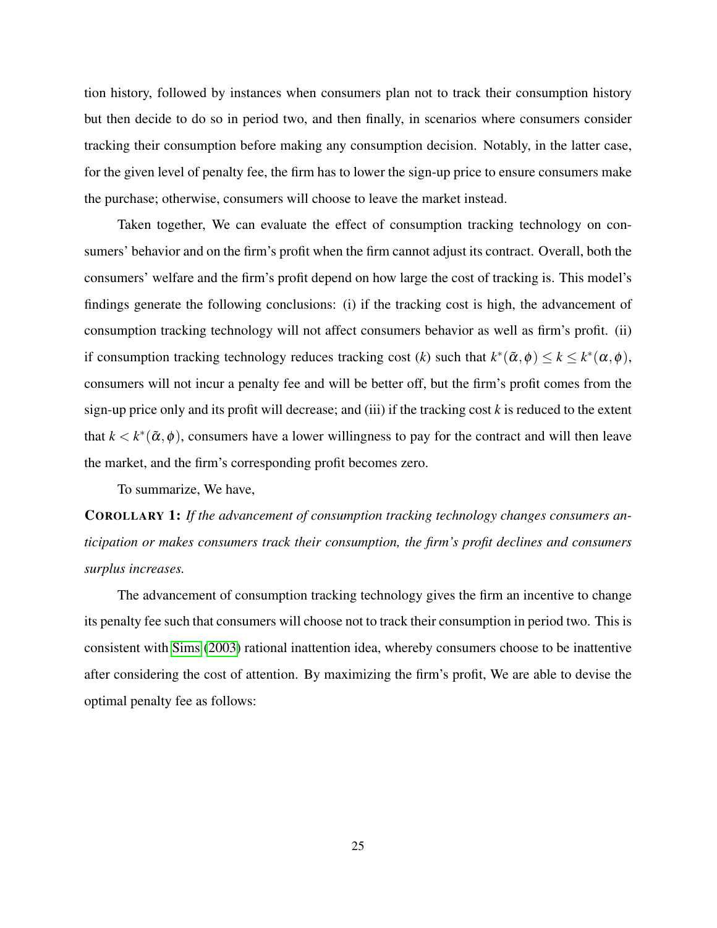tion history, followed by instances when consumers plan not to track their consumption history but then decide to do so in period two, and then finally, in scenarios where consumers consider tracking their consumption before making any consumption decision. Notably, in the latter case, for the given level of penalty fee, the firm has to lower the sign-up price to ensure consumers make the purchase; otherwise, consumers will choose to leave the market instead.

Taken together, We can evaluate the effect of consumption tracking technology on consumers' behavior and on the firm's profit when the firm cannot adjust its contract. Overall, both the consumers' welfare and the firm's profit depend on how large the cost of tracking is. This model's findings generate the following conclusions: (i) if the tracking cost is high, the advancement of consumption tracking technology will not affect consumers behavior as well as firm's profit. (ii) if consumption tracking technology reduces tracking cost  $(k)$  such that  $k^*(\tilde{\alpha}, \phi) \leq k \leq k^*(\alpha, \phi)$ , consumers will not incur a penalty fee and will be better off, but the firm's profit comes from the sign-up price only and its profit will decrease; and (iii) if the tracking cost *k* is reduced to the extent that  $k < k^*(\tilde{\alpha}, \phi)$ , consumers have a lower willingness to pay for the contract and will then leave the market, and the firm's corresponding profit becomes zero.

To summarize, We have,

COROLLARY 1: *If the advancement of consumption tracking technology changes consumers anticipation or makes consumers track their consumption, the firm's profit declines and consumers surplus increases.*

The advancement of consumption tracking technology gives the firm an incentive to change its penalty fee such that consumers will choose not to track their consumption in period two. This is consistent with [Sims](#page-41-6) [\(2003\)](#page-41-6) rational inattention idea, whereby consumers choose to be inattentive after considering the cost of attention. By maximizing the firm's profit, We are able to devise the optimal penalty fee as follows: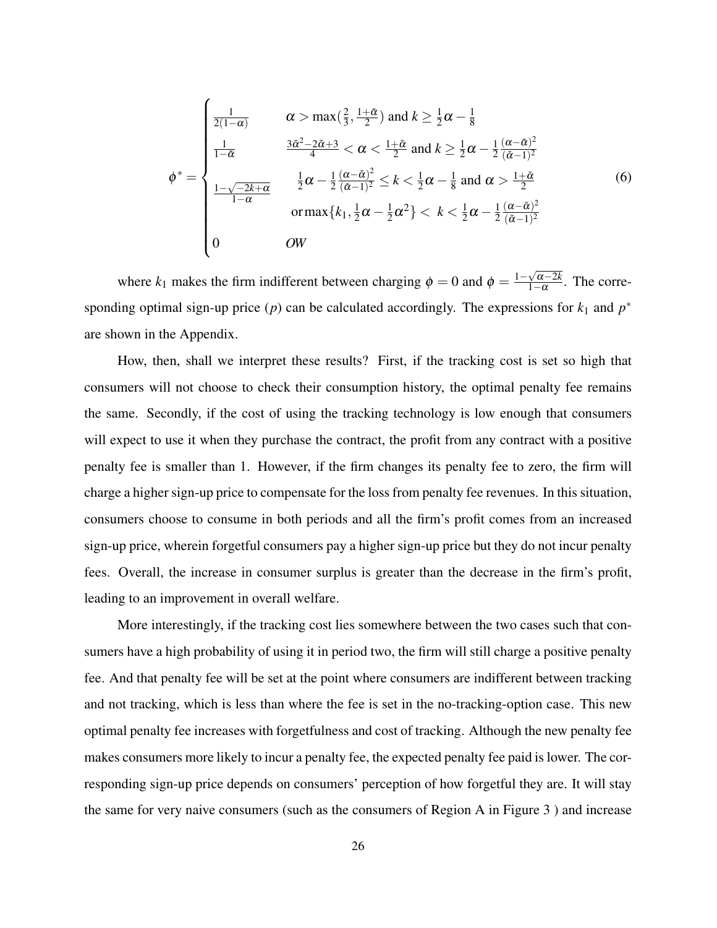<span id="page-27-0"></span>
$$
\phi^* = \begin{cases}\n\frac{1}{2(1-\alpha)} & \alpha > \max\left(\frac{2}{3}, \frac{1+\tilde{\alpha}}{2}\right) \text{ and } k \ge \frac{1}{2}\alpha - \frac{1}{8} \\
\frac{1}{1-\tilde{\alpha}} & \frac{3\tilde{\alpha}^2 - 2\tilde{\alpha} + 3}{4} < \alpha < \frac{1+\tilde{\alpha}}{2} \text{ and } k \ge \frac{1}{2}\alpha - \frac{1}{2}\frac{(\alpha - \tilde{\alpha})^2}{(\tilde{\alpha} - 1)^2} \\
\frac{1-\sqrt{-2k+\alpha}}{1-\alpha} & \frac{1}{2}\alpha - \frac{1}{2}\frac{(\alpha - \tilde{\alpha})^2}{(\tilde{\alpha} - 1)^2} \le k < \frac{1}{2}\alpha - \frac{1}{8} \text{ and } \alpha > \frac{1+\tilde{\alpha}}{2} \\
\text{or } \max\{k_1, \frac{1}{2}\alpha - \frac{1}{2}\alpha^2\} < k < \frac{1}{2}\alpha - \frac{1}{2}\frac{(\alpha - \tilde{\alpha})^2}{(\tilde{\alpha} - 1)^2} \\
0 & \text{OW}\n\end{cases} \tag{6}
$$

where  $k_1$  makes the firm indifferent between charging  $\phi = 0$  and  $\phi = \frac{1-\sqrt{\alpha-2k}}{1-\alpha}$  $\frac{\sqrt{\alpha-2\kappa}}{1-\alpha}$ . The corresponding optimal sign-up price (*p*) can be calculated accordingly. The expressions for  $k_1$  and  $p^*$ are shown in the Appendix.

How, then, shall we interpret these results? First, if the tracking cost is set so high that consumers will not choose to check their consumption history, the optimal penalty fee remains the same. Secondly, if the cost of using the tracking technology is low enough that consumers will expect to use it when they purchase the contract, the profit from any contract with a positive penalty fee is smaller than 1. However, if the firm changes its penalty fee to zero, the firm will charge a higher sign-up price to compensate for the loss from penalty fee revenues. In this situation, consumers choose to consume in both periods and all the firm's profit comes from an increased sign-up price, wherein forgetful consumers pay a higher sign-up price but they do not incur penalty fees. Overall, the increase in consumer surplus is greater than the decrease in the firm's profit, leading to an improvement in overall welfare.

More interestingly, if the tracking cost lies somewhere between the two cases such that consumers have a high probability of using it in period two, the firm will still charge a positive penalty fee. And that penalty fee will be set at the point where consumers are indifferent between tracking and not tracking, which is less than where the fee is set in the no-tracking-option case. This new optimal penalty fee increases with forgetfulness and cost of tracking. Although the new penalty fee makes consumers more likely to incur a penalty fee, the expected penalty fee paid is lower. The corresponding sign-up price depends on consumers' perception of how forgetful they are. It will stay the same for very naive consumers (such as the consumers of Region A in Figure 3 ) and increase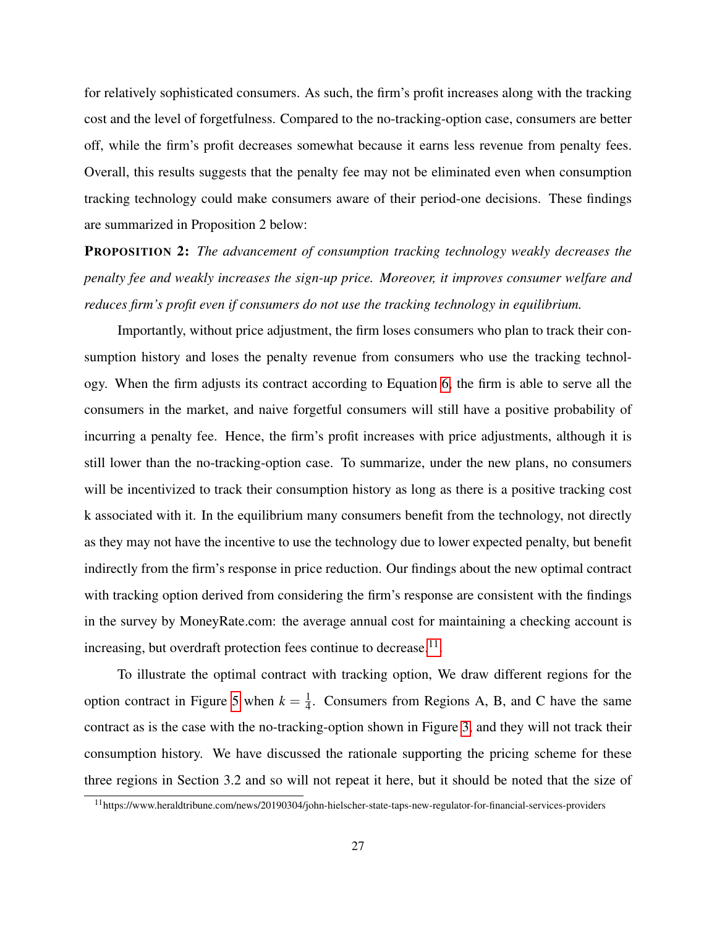for relatively sophisticated consumers. As such, the firm's profit increases along with the tracking cost and the level of forgetfulness. Compared to the no-tracking-option case, consumers are better off, while the firm's profit decreases somewhat because it earns less revenue from penalty fees. Overall, this results suggests that the penalty fee may not be eliminated even when consumption tracking technology could make consumers aware of their period-one decisions. These findings are summarized in Proposition 2 below:

PROPOSITION 2: *The advancement of consumption tracking technology weakly decreases the penalty fee and weakly increases the sign-up price. Moreover, it improves consumer welfare and reduces firm's profit even if consumers do not use the tracking technology in equilibrium.*

Importantly, without price adjustment, the firm loses consumers who plan to track their consumption history and loses the penalty revenue from consumers who use the tracking technology. When the firm adjusts its contract according to Equation [6,](#page-27-0) the firm is able to serve all the consumers in the market, and naive forgetful consumers will still have a positive probability of incurring a penalty fee. Hence, the firm's profit increases with price adjustments, although it is still lower than the no-tracking-option case. To summarize, under the new plans, no consumers will be incentivized to track their consumption history as long as there is a positive tracking cost k associated with it. In the equilibrium many consumers benefit from the technology, not directly as they may not have the incentive to use the technology due to lower expected penalty, but benefit indirectly from the firm's response in price reduction. Our findings about the new optimal contract with tracking option derived from considering the firm's response are consistent with the findings in the survey by MoneyRate.com: the average annual cost for maintaining a checking account is increasing, but overdraft protection fees continue to decrease. $^{11}$  $^{11}$  $^{11}$ .

To illustrate the optimal contract with tracking option, We draw different regions for the option contract in Figure [5](#page-29-0) when  $k = \frac{1}{4}$  $\frac{1}{4}$ . Consumers from Regions A, B, and C have the same contract as is the case with the no-tracking-option shown in Figure [3,](#page-16-0) and they will not track their consumption history. We have discussed the rationale supporting the pricing scheme for these three regions in Section 3.2 and so will not repeat it here, but it should be noted that the size of

<span id="page-28-0"></span><sup>11</sup>https://www.heraldtribune.com/news/20190304/john-hielscher-state-taps-new-regulator-for-financial-services-providers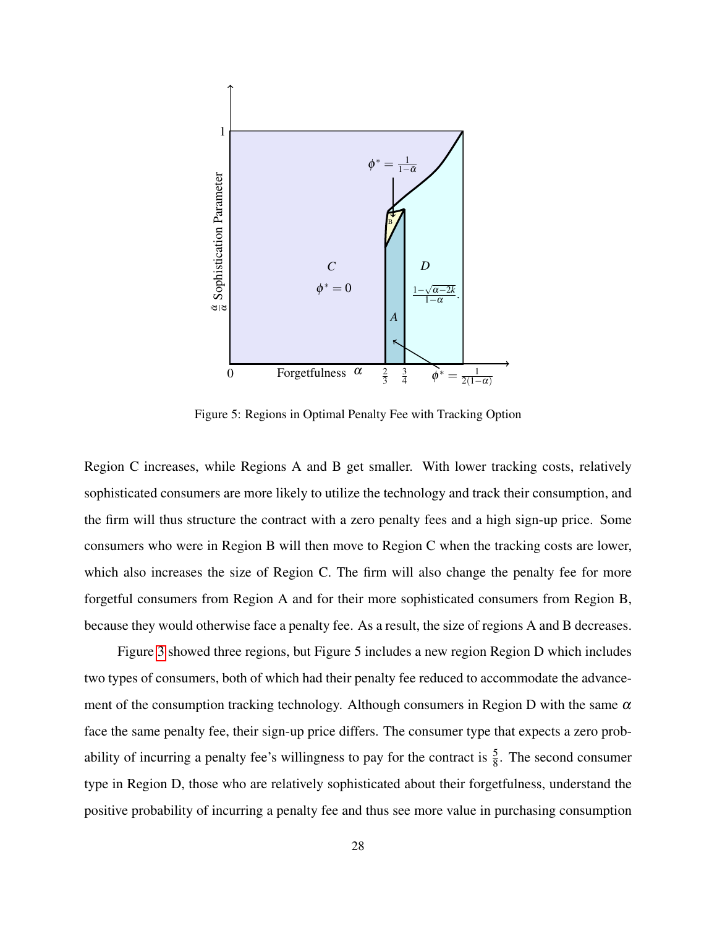

<span id="page-29-0"></span>Figure 5: Regions in Optimal Penalty Fee with Tracking Option

Region C increases, while Regions A and B get smaller. With lower tracking costs, relatively sophisticated consumers are more likely to utilize the technology and track their consumption, and the firm will thus structure the contract with a zero penalty fees and a high sign-up price. Some consumers who were in Region B will then move to Region C when the tracking costs are lower, which also increases the size of Region C. The firm will also change the penalty fee for more forgetful consumers from Region A and for their more sophisticated consumers from Region B, because they would otherwise face a penalty fee. As a result, the size of regions A and B decreases.

Figure [3](#page-16-0) showed three regions, but Figure 5 includes a new region Region D which includes two types of consumers, both of which had their penalty fee reduced to accommodate the advancement of the consumption tracking technology. Although consumers in Region D with the same  $\alpha$ face the same penalty fee, their sign-up price differs. The consumer type that expects a zero probability of incurring a penalty fee's willingness to pay for the contract is  $\frac{5}{8}$ . The second consumer type in Region D, those who are relatively sophisticated about their forgetfulness, understand the positive probability of incurring a penalty fee and thus see more value in purchasing consumption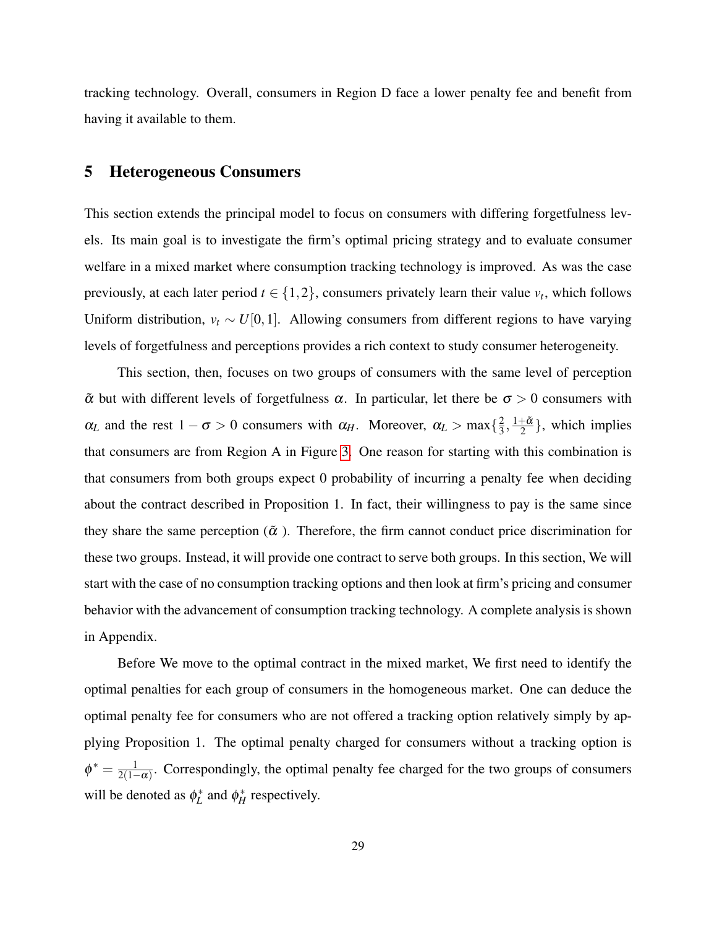tracking technology. Overall, consumers in Region D face a lower penalty fee and benefit from having it available to them.

### 5 Heterogeneous Consumers

This section extends the principal model to focus on consumers with differing forgetfulness levels. Its main goal is to investigate the firm's optimal pricing strategy and to evaluate consumer welfare in a mixed market where consumption tracking technology is improved. As was the case previously, at each later period  $t \in \{1,2\}$ , consumers privately learn their value  $v_t$ , which follows Uniform distribution,  $v_t \sim U[0,1]$ . Allowing consumers from different regions to have varying levels of forgetfulness and perceptions provides a rich context to study consumer heterogeneity.

This section, then, focuses on two groups of consumers with the same level of perception  $\tilde{\alpha}$  but with different levels of forgetfulness  $\alpha$ . In particular, let there be  $\sigma > 0$  consumers with  $\alpha_L$  and the rest  $1 - \sigma > 0$  consumers with  $\alpha_H$ . Moreover,  $\alpha_L > \max\{\frac{2}{3}\}$  $\frac{2}{3}, \frac{1+\tilde{\alpha}}{2}$  $\frac{1-\alpha}{2}$ , which implies that consumers are from Region A in Figure [3.](#page-16-0) One reason for starting with this combination is that consumers from both groups expect 0 probability of incurring a penalty fee when deciding about the contract described in Proposition 1. In fact, their willingness to pay is the same since they share the same perception ( $\tilde{\alpha}$ ). Therefore, the firm cannot conduct price discrimination for these two groups. Instead, it will provide one contract to serve both groups. In this section, We will start with the case of no consumption tracking options and then look at firm's pricing and consumer behavior with the advancement of consumption tracking technology. A complete analysis is shown in Appendix.

Before We move to the optimal contract in the mixed market, We first need to identify the optimal penalties for each group of consumers in the homogeneous market. One can deduce the optimal penalty fee for consumers who are not offered a tracking option relatively simply by applying Proposition 1. The optimal penalty charged for consumers without a tracking option is  $\phi^* = \frac{1}{2(1-\frac{1}{2})}$  $\frac{1}{2(1-\alpha)}$ . Correspondingly, the optimal penalty fee charged for the two groups of consumers will be denoted as  $\phi_L^*$  and  $\phi_H^*$  respectively.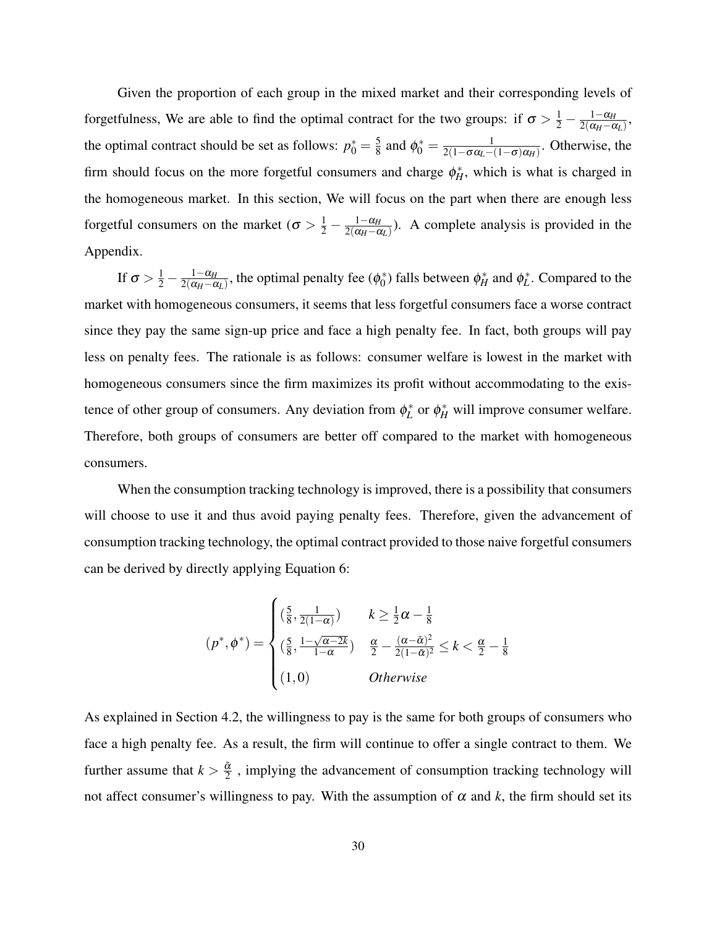Given the proportion of each group in the mixed market and their corresponding levels of forgetfulness, We are able to find the optimal contract for the two groups: if  $\sigma > \frac{1}{2} - \frac{1-\alpha_H}{2(\alpha_H - \epsilon_H)}$  $\frac{1-\alpha_H}{2(\alpha_H-\alpha_L)},$ the optimal contract should be set as follows:  $p_0^* = \frac{5}{8}$  $\frac{5}{8}$  and  $\phi_0^* = \frac{1}{2(1 - \sigma \alpha_L - 1)}$  $\frac{1}{2(1-\sigma\alpha_L-(1-\sigma)\alpha_H)}$ . Otherwise, the firm should focus on the more forgetful consumers and charge  $\phi_H^*$ , which is what is charged in the homogeneous market. In this section, We will focus on the part when there are enough less forgetful consumers on the market ( $\sigma > \frac{1}{2} - \frac{1-\alpha_H}{2(\alpha_H - \epsilon_H)}$  $\frac{1-\alpha_H}{2(\alpha_H-\alpha_L)}$ ). A complete analysis is provided in the Appendix.

If  $\sigma > \frac{1}{2} - \frac{1-\alpha_H}{2(\alpha_H - \alpha_H)}$  $\frac{1-\alpha_H}{2(\alpha_H-\alpha_L)}$ , the optimal penalty fee ( $\phi_0^*$  $\phi_0^*$  falls between  $\phi_H^*$  and  $\phi_L^*$ . Compared to the market with homogeneous consumers, it seems that less forgetful consumers face a worse contract since they pay the same sign-up price and face a high penalty fee. In fact, both groups will pay less on penalty fees. The rationale is as follows: consumer welfare is lowest in the market with homogeneous consumers since the firm maximizes its profit without accommodating to the existence of other group of consumers. Any deviation from  $\phi_L^*$  or  $\phi_H^*$  will improve consumer welfare. Therefore, both groups of consumers are better off compared to the market with homogeneous consumers.

When the consumption tracking technology is improved, there is a possibility that consumers will choose to use it and thus avoid paying penalty fees. Therefore, given the advancement of consumption tracking technology, the optimal contract provided to those naive forgetful consumers can be derived by directly applying Equation 6:

$$
(p^*, \phi^*) = \begin{cases} \left(\frac{5}{8}, \frac{1}{2(1-\alpha)}\right) & k \ge \frac{1}{2}\alpha - \frac{1}{8} \\ \left(\frac{5}{8}, \frac{1-\sqrt{\alpha-2k}}{1-\alpha}\right) & \frac{\alpha}{2} - \frac{(\alpha-\tilde{\alpha})^2}{2(1-\tilde{\alpha})^2} \le k < \frac{\alpha}{2} - \frac{1}{8} \\ (1,0) & Otherwise \end{cases}
$$

As explained in Section 4.2, the willingness to pay is the same for both groups of consumers who face a high penalty fee. As a result, the firm will continue to offer a single contract to them. We further assume that  $k > \frac{\tilde{\alpha}}{2}$  $\frac{\alpha}{2}$ , implying the advancement of consumption tracking technology will not affect consumer's willingness to pay. With the assumption of  $\alpha$  and  $k$ , the firm should set its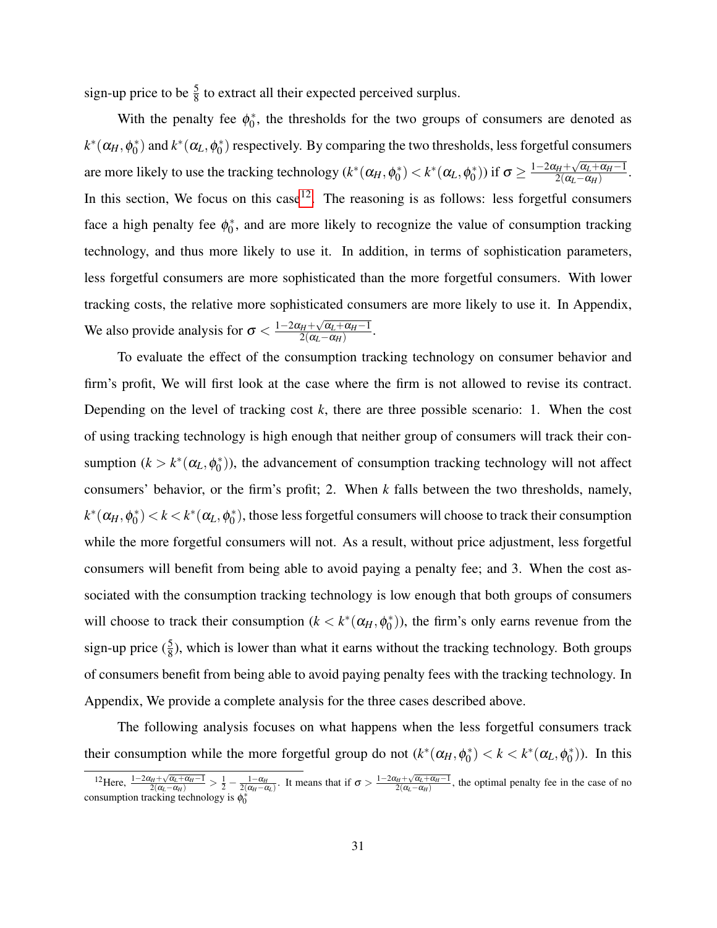sign-up price to be  $\frac{5}{8}$  to extract all their expected perceived surplus.

With the penalty fee  $\phi_0^*$  $_{0}^{*}$ , the thresholds for the two groups of consumers are denoted as  $k^*(\alpha_H, \phi_0^*)$  $\phi_0^*$ ) and  $k^*(\alpha_L, \phi_0^*)$  $\binom{*}{0}$  respectively. By comparing the two thresholds, less forgetful consumers are more likely to use the tracking technology  $(k^*(\alpha_H, \phi_0^*)$  $\phi_0^*$ )  $< k^*$  ( $\alpha_L, \phi_0^*$ <sup>\*</sup><sub>0</sub>)) if  $\sigma \ge \frac{1-2\alpha_H + \sqrt{\alpha_L+\alpha_H-1}}{2(\alpha_L-\alpha_H)}$  $\frac{\alpha_H + \sqrt{\alpha_L + \alpha_H - 1}}{2(\alpha_L - \alpha_H)}.$ In this section, We focus on this case<sup>[12](#page-32-0)</sup>. The reasoning is as follows: less forgetful consumers face a high penalty fee  $\phi_0^*$  $\delta$ , and are more likely to recognize the value of consumption tracking technology, and thus more likely to use it. In addition, in terms of sophistication parameters, less forgetful consumers are more sophisticated than the more forgetful consumers. With lower tracking costs, the relative more sophisticated consumers are more likely to use it. In Appendix, We also provide analysis for  $\sigma < \frac{1-2\alpha_H + \sqrt{\alpha_L + \alpha_H - 1}}{2(\alpha_L - \alpha_H)}$  $\frac{\alpha_{H}+\sqrt{\alpha_{L}+\alpha_{H}-1}}{2(\alpha_{L}-\alpha_{H})}.$ 

To evaluate the effect of the consumption tracking technology on consumer behavior and firm's profit, We will first look at the case where the firm is not allowed to revise its contract. Depending on the level of tracking cost *k*, there are three possible scenario: 1. When the cost of using tracking technology is high enough that neither group of consumers will track their consumption  $(k > k^*(\alpha_L, \phi_0^*)$  $\binom{1}{0}$ ), the advancement of consumption tracking technology will not affect consumers' behavior, or the firm's profit; 2. When *k* falls between the two thresholds, namely,  $k^*(\alpha_H, \phi_0^*)$  $\binom{1}{0} < k < k^* (\alpha_L, \phi_0^*)$  $\binom{*}{0}$ , those less forgetful consumers will choose to track their consumption while the more forgetful consumers will not. As a result, without price adjustment, less forgetful consumers will benefit from being able to avoid paying a penalty fee; and 3. When the cost associated with the consumption tracking technology is low enough that both groups of consumers will choose to track their consumption  $(k < k^*(\alpha_H, \phi_0^*)$  $\binom{1}{0}$ ), the firm's only earns revenue from the sign-up price  $(\frac{5}{8})$ , which is lower than what it earns without the tracking technology. Both groups of consumers benefit from being able to avoid paying penalty fees with the tracking technology. In Appendix, We provide a complete analysis for the three cases described above.

The following analysis focuses on what happens when the less forgetful consumers track their consumption while the more forgetful group do not  $(k^*(\alpha_H, \phi_0^*)$  $\binom{*}{0} < k < k^*(\alpha_L, \phi_0^*)$  $\binom{*}{0}$ ). In this

<span id="page-32-0"></span> $\frac{12}{2}$ Here,  $\frac{1-2\alpha_{H}+\sqrt{\alpha_{L}+\alpha_{H}-1}}{2(\alpha_{L}-\alpha_{H})} > \frac{1}{2} - \frac{1-\alpha_{H}}{2(\alpha_{H}-\alpha_{L})}$ . It means that if  $\sigma > \frac{1-2\alpha_{H}+\sqrt{\alpha_{L}+\alpha_{H}-1}}{2(\alpha_{L}-\alpha_{H})}$ , the optimal penalty fee in the case of no consumption tracking technology is  $\phi_0^*$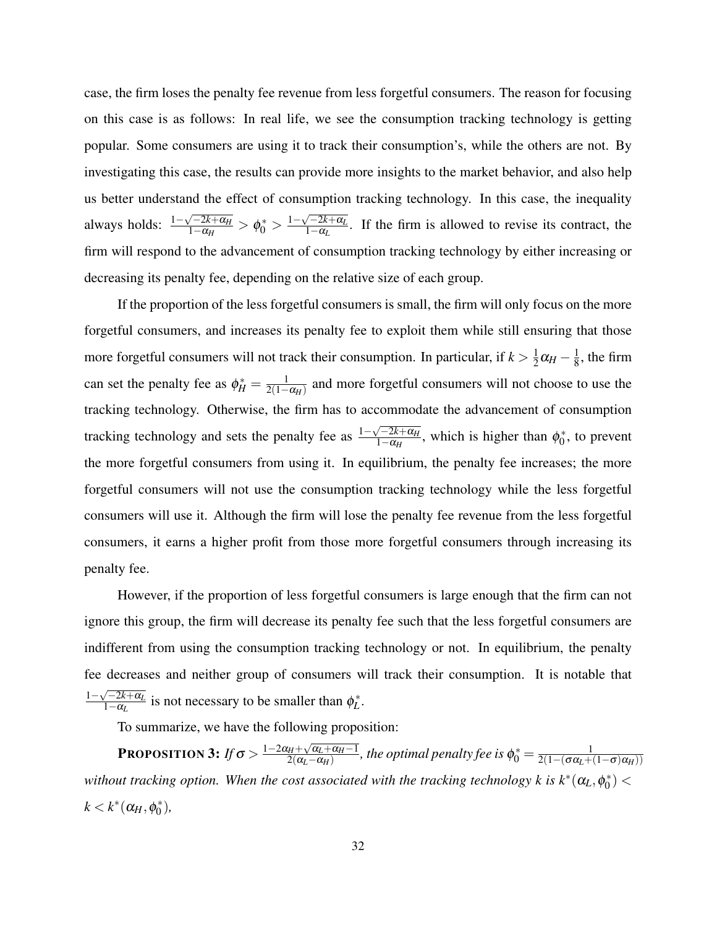case, the firm loses the penalty fee revenue from less forgetful consumers. The reason for focusing on this case is as follows: In real life, we see the consumption tracking technology is getting popular. Some consumers are using it to track their consumption's, while the others are not. By investigating this case, the results can provide more insights to the market behavior, and also help us better understand the effect of consumption tracking technology. In this case, the inequality always holds:  $\frac{1-\sqrt{-2k+\alpha_H}}{1-\alpha_H}$  $\frac{\sqrt{-2k+\alpha_H}}{1-\alpha_H} > \phi_0^* > \frac{1-\sqrt{-2k+\alpha_L}}{1-\alpha_L}$  $\frac{1-2k+ \alpha_L}{1-\alpha_L}$ . If the firm is allowed to revise its contract, the firm will respond to the advancement of consumption tracking technology by either increasing or decreasing its penalty fee, depending on the relative size of each group.

If the proportion of the less forgetful consumers is small, the firm will only focus on the more forgetful consumers, and increases its penalty fee to exploit them while still ensuring that those more forgetful consumers will not track their consumption. In particular, if  $k > \frac{1}{2}$  $\frac{1}{2}\alpha_H - \frac{1}{8}$  $\frac{1}{8}$ , the firm can set the penalty fee as  $\phi_H^* = \frac{1}{2(1-\frac{1}{\phi_H})^2}$  $\frac{1}{2(1-\alpha_H)}$  and more forgetful consumers will not choose to use the tracking technology. Otherwise, the firm has to accommodate the advancement of consumption tracking technology and sets the penalty fee as  $\frac{1-\sqrt{-2k+\alpha_H}}{1-\alpha_H}$  $\frac{1-2k+\alpha_H}{1-\alpha_H}$ , which is higher than  $\phi_0^*$  $v_0^*$ , to prevent the more forgetful consumers from using it. In equilibrium, the penalty fee increases; the more forgetful consumers will not use the consumption tracking technology while the less forgetful consumers will use it. Although the firm will lose the penalty fee revenue from the less forgetful consumers, it earns a higher profit from those more forgetful consumers through increasing its penalty fee.

However, if the proportion of less forgetful consumers is large enough that the firm can not ignore this group, the firm will decrease its penalty fee such that the less forgetful consumers are indifferent from using the consumption tracking technology or not. In equilibrium, the penalty fee decreases and neither group of consumers will track their consumption. It is notable that  $1-\sqrt{-2k+\alpha_L}$  $\frac{\sqrt{-2k+\alpha_L}}{1-\alpha_L}$  is not necessary to be smaller than  $\phi_L^*$ .

To summarize, we have the following proposition:

**PROPOSITION 3:** *If*  $\sigma > \frac{1-2\alpha_H + \sqrt{\alpha_L + \alpha_H - 1}}{2(\alpha_I - \alpha_H)}$  $\frac{d_H + \sqrt{\alpha_L + \alpha_H - 1}}{2(\alpha_L - \alpha_H)}$ , the optimal penalty fee is  $\phi_0^* = \frac{1}{2(1 - (\sigma \alpha_L + 1))}$  $2(1-(\sigma\alpha_L+(1-\sigma)\alpha_H))$ without tracking option. When the cost associated with the tracking technology k is  $k^*(\alpha_L, \phi_0^*)$  $_{0}^{*}$ )  $<$  $k < k^*(\alpha_H, \phi_0^*)$ 0 )*,*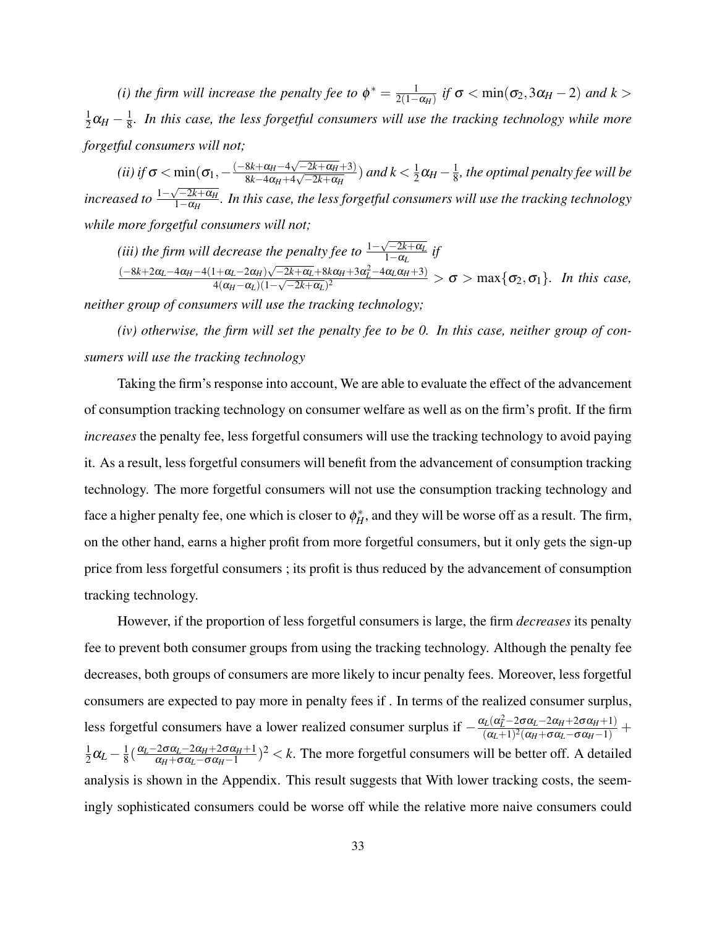(*i*) the firm will increase the penalty fee to  $\phi^* = \frac{1}{2(1-\phi)}$  $\frac{1}{2(1-\alpha_H)}$  *if*  $\sigma < \min(\sigma_2, 3\alpha_H - 2)$  *and*  $k >$ 1  $\frac{1}{2}\alpha_H - \frac{1}{8}$  $\frac{1}{8}$ . In this case, the less forgetful consumers will use the tracking technology while more *forgetful consumers will not;*

 $(iii)$  *if*  $\sigma < \min(\sigma_1, -\frac{(-8k + \alpha_H - 4\sqrt{-2k + \alpha_H} + 3)}{8k - 4\alpha_H + 4\sqrt{-2k + \alpha_H}})$  $\frac{8k+\alpha_H-4\sqrt{-2k+\alpha_H+3)}}{8k-4\alpha_H+4\sqrt{-2k+\alpha_H}}$ ) and  $k<\frac{1}{2}$  $\frac{1}{2}\alpha_H - \frac{1}{8}$  $\frac{1}{8}$ , the optimal penalty fee will be *increased to*  $\frac{1-\sqrt{-2k+\alpha_H}}{1-\alpha_H}$ √ 1−α*<sup>H</sup> . In this case, the less forgetful consumers will use the tracking technology while more forgetful consumers will not;*

(*iii*) the firm will decrease the penalty fee to  $\frac{1-\sqrt{-2k+\alpha_L}}{1-\alpha_L}$  $\frac{1-2k+α_L}{1-α_L}$  if

 $(-8k+2\alpha_L-4\alpha_H-4(1+\alpha_L-2\alpha_H)\sqrt{-2k+\alpha_L}+8k\alpha_H+3\alpha_L^2-4\alpha_L\alpha_H+3)$  $\frac{4(a_{\mu}-a_{\mu})\sqrt{-2k+a_{\mu}+8k\mu+3a_{\mu}-4a_{\mu}+3a_{\mu}}}{4(a_{\mu}-a_{\mu})(1-\sqrt{-2k+a_{\mu}})^2} > \sigma > \max\{\sigma_2,\sigma_1\}.$  In this case,

*neither group of consumers will use the tracking technology;*

*(iv) otherwise, the firm will set the penalty fee to be 0. In this case, neither group of consumers will use the tracking technology*

Taking the firm's response into account, We are able to evaluate the effect of the advancement of consumption tracking technology on consumer welfare as well as on the firm's profit. If the firm *increases* the penalty fee, less forgetful consumers will use the tracking technology to avoid paying it. As a result, less forgetful consumers will benefit from the advancement of consumption tracking technology. The more forgetful consumers will not use the consumption tracking technology and face a higher penalty fee, one which is closer to  $\phi_H^*$ , and they will be worse off as a result. The firm, on the other hand, earns a higher profit from more forgetful consumers, but it only gets the sign-up price from less forgetful consumers ; its profit is thus reduced by the advancement of consumption tracking technology.

However, if the proportion of less forgetful consumers is large, the firm *decreases* its penalty fee to prevent both consumer groups from using the tracking technology. Although the penalty fee decreases, both groups of consumers are more likely to incur penalty fees. Moreover, less forgetful consumers are expected to pay more in penalty fees if . In terms of the realized consumer surplus, less forgetful consumers have a lower realized consumer surplus if  $-\frac{\alpha_L(\alpha_L^2 - 2\sigma\alpha_L - 2\alpha_H + 2\sigma\alpha_H + 1)}{(\alpha_L + 1)^2(\alpha_L + \sigma\alpha_L - \sigma\alpha_H - 1)}$  $\frac{(\alpha_L - 2\alpha_{L} - 2\alpha_{H} + 2\alpha_{H} + 1)}{(\alpha_L + 1)^2(\alpha_{H} + \sigma\alpha_{L} - \sigma\alpha_{H} - 1)}$ 1  $\frac{1}{2}\alpha_L - \frac{1}{8}$  $\frac{1}{8}(\frac{\alpha_L-2\sigma\alpha_L-2\alpha_H+2\sigma\alpha_H+1}{\alpha_H+\sigma\alpha_L-\sigma\alpha_H-1})$  $\frac{2\sigma\alpha_L - 2\alpha_H + 2\sigma\alpha_H + 1}{\alpha_H + \sigma\alpha_L - \sigma\alpha_H - 1}$ )<sup>2</sup> < *k*. The more forgetful consumers will be better off. A detailed analysis is shown in the Appendix. This result suggests that With lower tracking costs, the seemingly sophisticated consumers could be worse off while the relative more naive consumers could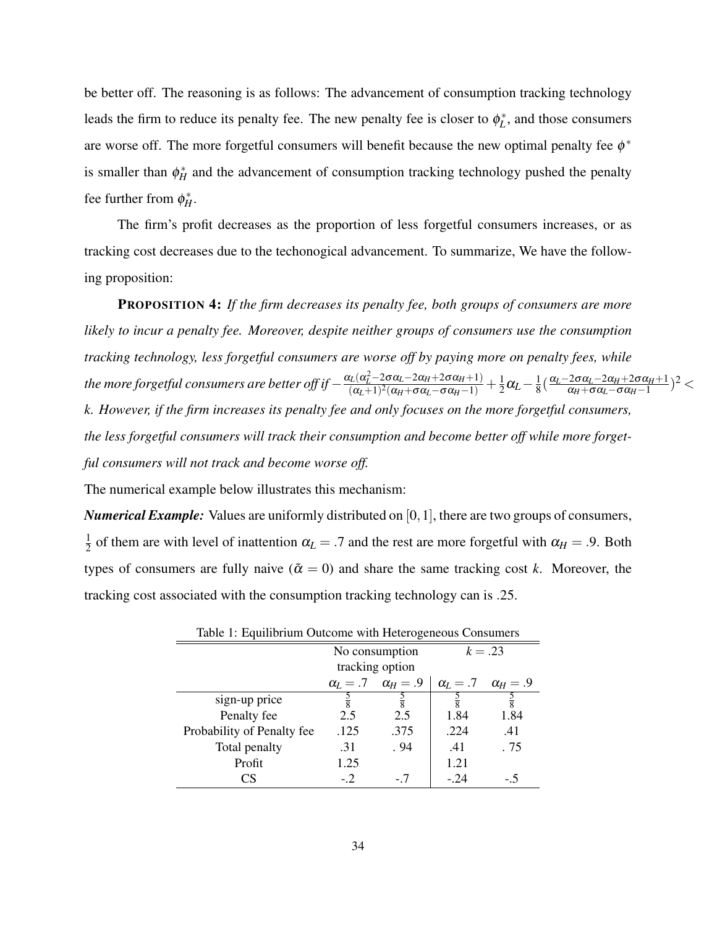be better off. The reasoning is as follows: The advancement of consumption tracking technology leads the firm to reduce its penalty fee. The new penalty fee is closer to  $\phi_L^*$ , and those consumers are worse off. The more forgetful consumers will benefit because the new optimal penalty fee  $\phi^*$ is smaller than  $\phi_H^*$  and the advancement of consumption tracking technology pushed the penalty fee further from  $\phi_H^*$ .

The firm's profit decreases as the proportion of less forgetful consumers increases, or as tracking cost decreases due to the techonogical advancement. To summarize, We have the following proposition:

PROPOSITION 4: *If the firm decreases its penalty fee, both groups of consumers are more likely to incur a penalty fee. Moreover, despite neither groups of consumers use the consumption tracking technology, less forgetful consumers are worse off by paying more on penalty fees, while the more forgetful consumers are better off if*  $-\frac{\alpha_L(\alpha_L^2 - 2\sigma\alpha_L - 2\alpha_H + 2\sigma\alpha_H + 1)}{(\alpha_L + 1)^2(\alpha_L + \sigma\alpha_L - \sigma\alpha_H + 1)}$  $\frac{(\alpha_L - 2\sigma\alpha_L - 2\alpha_H + 2\sigma\alpha_H + 1)}{(\alpha_L + 1)^2(\alpha_H + \sigma\alpha_L - \sigma\alpha_H - 1)} + \frac{1}{2}$  $\frac{1}{2}\alpha_L - \frac{1}{8}$  $\frac{1}{8}(\frac{\alpha_L-2\sigma\alpha_L-2\alpha_H+2\sigma\alpha_H+1}{\alpha_H+\sigma\alpha_L-\sigma\alpha_H-1})$  $\frac{2\sigma\alpha_{L}-2\alpha_{H}+2\sigma\alpha_{H}+1}{\alpha_{H}+\sigma\alpha_{L}-\sigma\alpha_{H}-1})^{2}$   $<$ *k. However, if the firm increases its penalty fee and only focuses on the more forgetful consumers, the less forgetful consumers will track their consumption and become better off while more forgetful consumers will not track and become worse off.*

The numerical example below illustrates this mechanism:

*Numerical Example:* Values are uniformly distributed on [0, 1], there are two groups of consumers, 1  $\frac{1}{2}$  of them are with level of inattention  $\alpha_L = .7$  and the rest are more forgetful with  $\alpha_H = .9$ . Both types of consumers are fully naive ( $\tilde{\alpha} = 0$ ) and share the same tracking cost *k*. Moreover, the tracking cost associated with the consumption tracking technology can is .25.

| Table 1: Equilibrium Outcome with Heterogeneous Consumers |                 |                                     |           |                                     |
|-----------------------------------------------------------|-----------------|-------------------------------------|-----------|-------------------------------------|
|                                                           | No consumption  |                                     | $k = .23$ |                                     |
|                                                           | tracking option |                                     |           |                                     |
|                                                           |                 | $\alpha_l = .7 \quad \alpha_H = .9$ |           | $\alpha_l = .7 \quad \alpha_H = .9$ |
| sign-up price                                             | $\frac{5}{8}$   | $\frac{5}{8}$                       |           | $\frac{5}{8}$                       |
| Penalty fee                                               | 2.5             | 2.5                                 | 1.84      | 1.84                                |
| Probability of Penalty fee                                | .125            | .375                                | .224      | .41                                 |
| Total penalty                                             | .31             | .94                                 | .41       | . 75                                |
| Profit                                                    | 1.25            |                                     | 1.21      |                                     |
| CS                                                        | $-2$            | - 7                                 | $-24$     |                                     |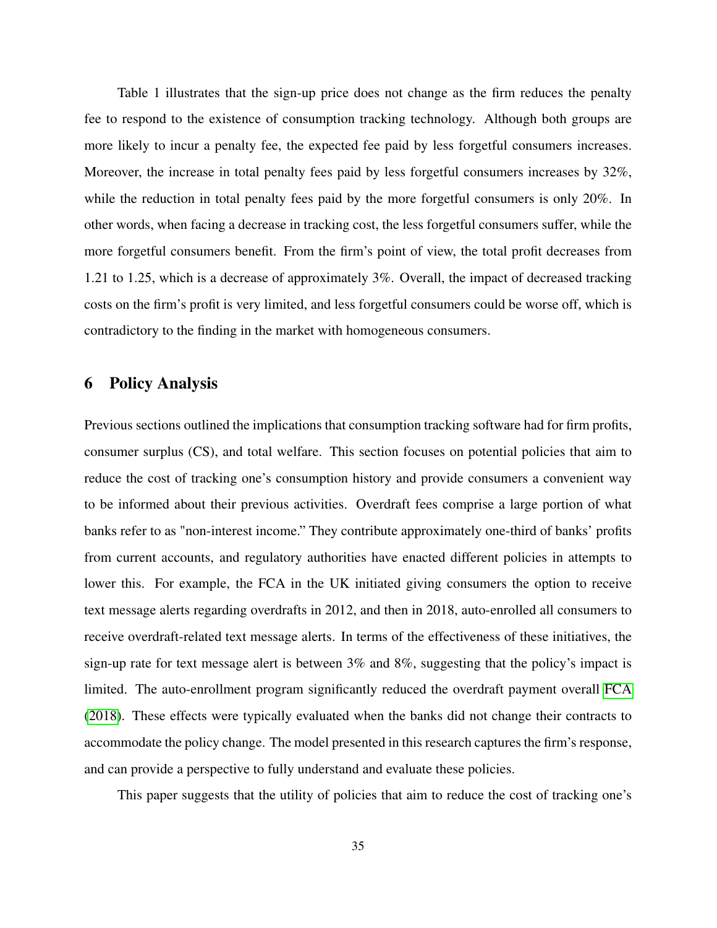Table 1 illustrates that the sign-up price does not change as the firm reduces the penalty fee to respond to the existence of consumption tracking technology. Although both groups are more likely to incur a penalty fee, the expected fee paid by less forgetful consumers increases. Moreover, the increase in total penalty fees paid by less forgetful consumers increases by 32%, while the reduction in total penalty fees paid by the more forgetful consumers is only 20%. In other words, when facing a decrease in tracking cost, the less forgetful consumers suffer, while the more forgetful consumers benefit. From the firm's point of view, the total profit decreases from 1.21 to 1.25, which is a decrease of approximately 3%. Overall, the impact of decreased tracking costs on the firm's profit is very limited, and less forgetful consumers could be worse off, which is contradictory to the finding in the market with homogeneous consumers.

# 6 Policy Analysis

Previous sections outlined the implications that consumption tracking software had for firm profits, consumer surplus (CS), and total welfare. This section focuses on potential policies that aim to reduce the cost of tracking one's consumption history and provide consumers a convenient way to be informed about their previous activities. Overdraft fees comprise a large portion of what banks refer to as "non-interest income." They contribute approximately one-third of banks' profits from current accounts, and regulatory authorities have enacted different policies in attempts to lower this. For example, the FCA in the UK initiated giving consumers the option to receive text message alerts regarding overdrafts in 2012, and then in 2018, auto-enrolled all consumers to receive overdraft-related text message alerts. In terms of the effectiveness of these initiatives, the sign-up rate for text message alert is between 3% and 8%, suggesting that the policy's impact is limited. The auto-enrollment program significantly reduced the overdraft payment overall [FCA](#page-40-2) [\(2018\)](#page-40-2). These effects were typically evaluated when the banks did not change their contracts to accommodate the policy change. The model presented in this research captures the firm's response, and can provide a perspective to fully understand and evaluate these policies.

This paper suggests that the utility of policies that aim to reduce the cost of tracking one's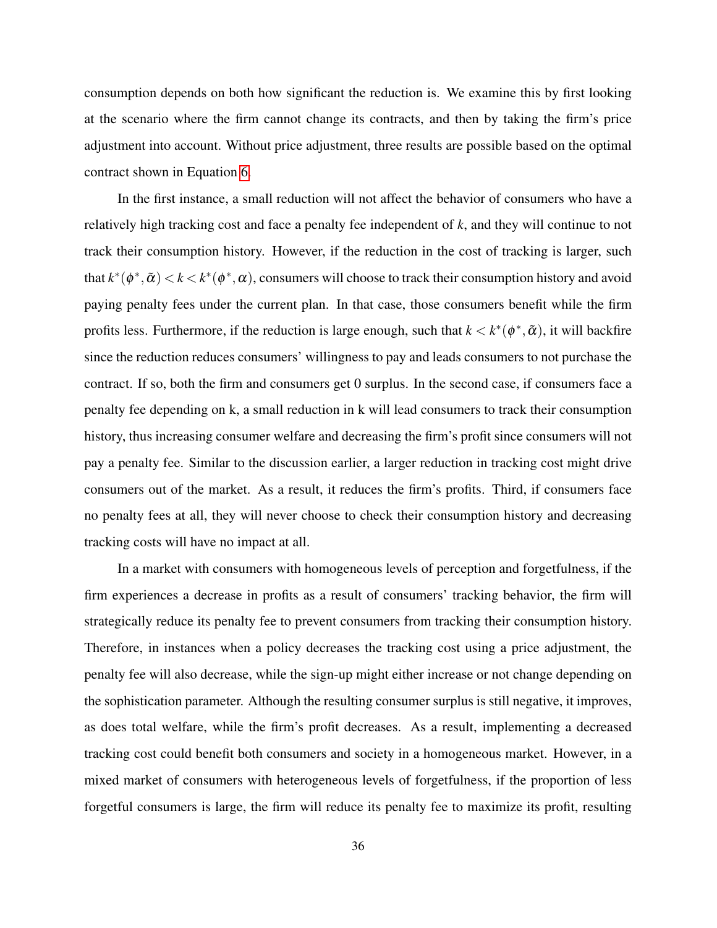consumption depends on both how significant the reduction is. We examine this by first looking at the scenario where the firm cannot change its contracts, and then by taking the firm's price adjustment into account. Without price adjustment, three results are possible based on the optimal contract shown in Equation [6.](#page-27-0)

In the first instance, a small reduction will not affect the behavior of consumers who have a relatively high tracking cost and face a penalty fee independent of *k*, and they will continue to not track their consumption history. However, if the reduction in the cost of tracking is larger, such that  $k^*(\phi^*, \tilde{\alpha}) < k < k^*(\phi^*, \alpha)$ , consumers will choose to track their consumption history and avoid paying penalty fees under the current plan. In that case, those consumers benefit while the firm profits less. Furthermore, if the reduction is large enough, such that  $k < k^*(\phi^*, \tilde{\alpha})$ , it will backfire since the reduction reduces consumers' willingness to pay and leads consumers to not purchase the contract. If so, both the firm and consumers get 0 surplus. In the second case, if consumers face a penalty fee depending on k, a small reduction in k will lead consumers to track their consumption history, thus increasing consumer welfare and decreasing the firm's profit since consumers will not pay a penalty fee. Similar to the discussion earlier, a larger reduction in tracking cost might drive consumers out of the market. As a result, it reduces the firm's profits. Third, if consumers face no penalty fees at all, they will never choose to check their consumption history and decreasing tracking costs will have no impact at all.

In a market with consumers with homogeneous levels of perception and forgetfulness, if the firm experiences a decrease in profits as a result of consumers' tracking behavior, the firm will strategically reduce its penalty fee to prevent consumers from tracking their consumption history. Therefore, in instances when a policy decreases the tracking cost using a price adjustment, the penalty fee will also decrease, while the sign-up might either increase or not change depending on the sophistication parameter. Although the resulting consumer surplus is still negative, it improves, as does total welfare, while the firm's profit decreases. As a result, implementing a decreased tracking cost could benefit both consumers and society in a homogeneous market. However, in a mixed market of consumers with heterogeneous levels of forgetfulness, if the proportion of less forgetful consumers is large, the firm will reduce its penalty fee to maximize its profit, resulting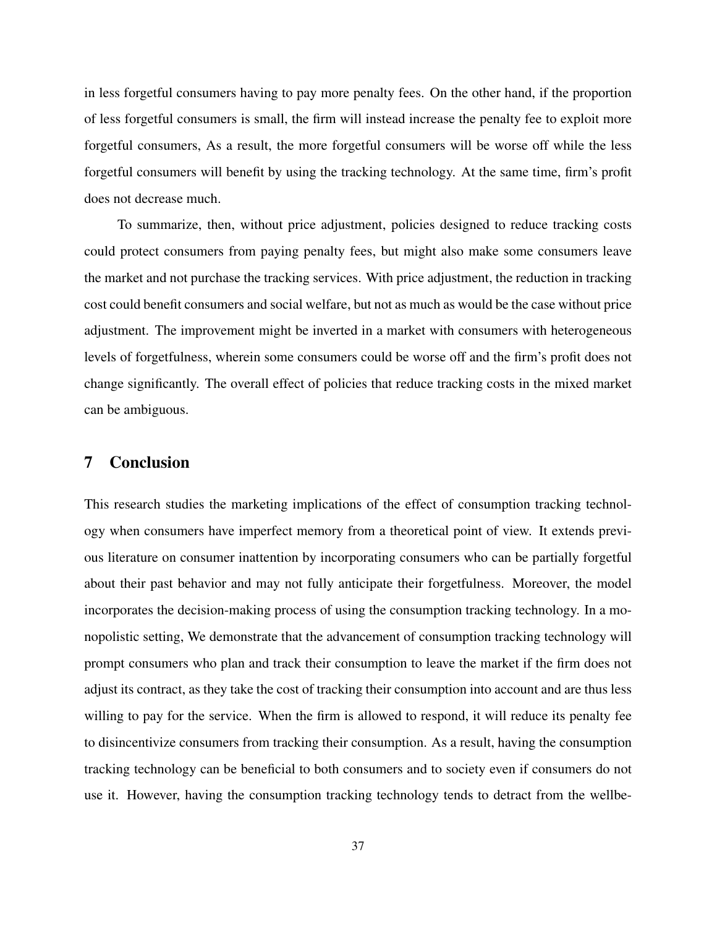in less forgetful consumers having to pay more penalty fees. On the other hand, if the proportion of less forgetful consumers is small, the firm will instead increase the penalty fee to exploit more forgetful consumers, As a result, the more forgetful consumers will be worse off while the less forgetful consumers will benefit by using the tracking technology. At the same time, firm's profit does not decrease much.

To summarize, then, without price adjustment, policies designed to reduce tracking costs could protect consumers from paying penalty fees, but might also make some consumers leave the market and not purchase the tracking services. With price adjustment, the reduction in tracking cost could benefit consumers and social welfare, but not as much as would be the case without price adjustment. The improvement might be inverted in a market with consumers with heterogeneous levels of forgetfulness, wherein some consumers could be worse off and the firm's profit does not change significantly. The overall effect of policies that reduce tracking costs in the mixed market can be ambiguous.

### 7 Conclusion

This research studies the marketing implications of the effect of consumption tracking technology when consumers have imperfect memory from a theoretical point of view. It extends previous literature on consumer inattention by incorporating consumers who can be partially forgetful about their past behavior and may not fully anticipate their forgetfulness. Moreover, the model incorporates the decision-making process of using the consumption tracking technology. In a monopolistic setting, We demonstrate that the advancement of consumption tracking technology will prompt consumers who plan and track their consumption to leave the market if the firm does not adjust its contract, as they take the cost of tracking their consumption into account and are thus less willing to pay for the service. When the firm is allowed to respond, it will reduce its penalty fee to disincentivize consumers from tracking their consumption. As a result, having the consumption tracking technology can be beneficial to both consumers and to society even if consumers do not use it. However, having the consumption tracking technology tends to detract from the wellbe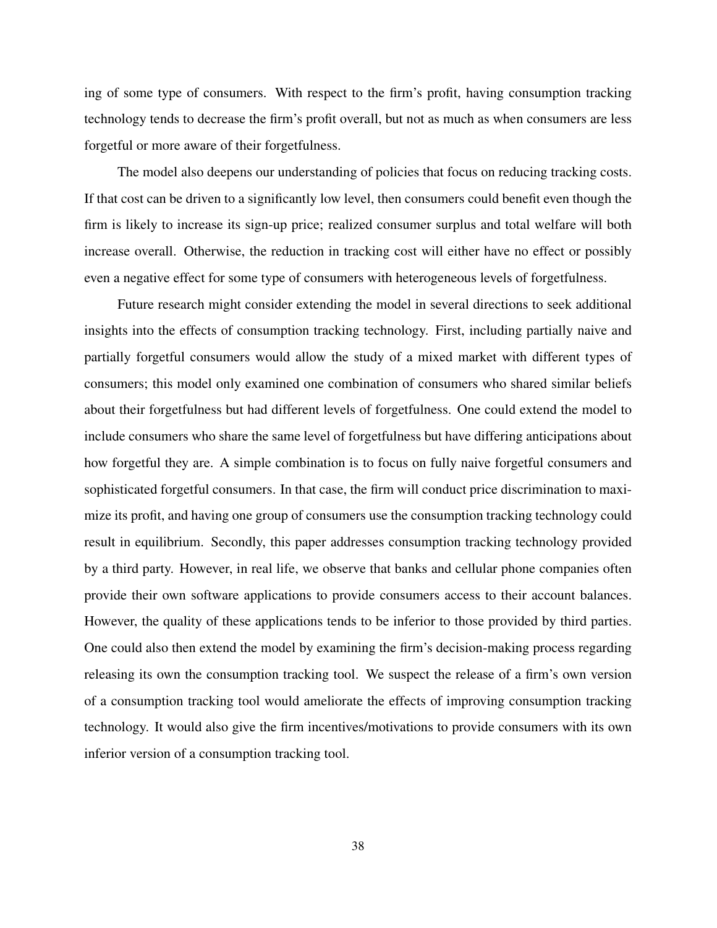ing of some type of consumers. With respect to the firm's profit, having consumption tracking technology tends to decrease the firm's profit overall, but not as much as when consumers are less forgetful or more aware of their forgetfulness.

The model also deepens our understanding of policies that focus on reducing tracking costs. If that cost can be driven to a significantly low level, then consumers could benefit even though the firm is likely to increase its sign-up price; realized consumer surplus and total welfare will both increase overall. Otherwise, the reduction in tracking cost will either have no effect or possibly even a negative effect for some type of consumers with heterogeneous levels of forgetfulness.

Future research might consider extending the model in several directions to seek additional insights into the effects of consumption tracking technology. First, including partially naive and partially forgetful consumers would allow the study of a mixed market with different types of consumers; this model only examined one combination of consumers who shared similar beliefs about their forgetfulness but had different levels of forgetfulness. One could extend the model to include consumers who share the same level of forgetfulness but have differing anticipations about how forgetful they are. A simple combination is to focus on fully naive forgetful consumers and sophisticated forgetful consumers. In that case, the firm will conduct price discrimination to maximize its profit, and having one group of consumers use the consumption tracking technology could result in equilibrium. Secondly, this paper addresses consumption tracking technology provided by a third party. However, in real life, we observe that banks and cellular phone companies often provide their own software applications to provide consumers access to their account balances. However, the quality of these applications tends to be inferior to those provided by third parties. One could also then extend the model by examining the firm's decision-making process regarding releasing its own the consumption tracking tool. We suspect the release of a firm's own version of a consumption tracking tool would ameliorate the effects of improving consumption tracking technology. It would also give the firm incentives/motivations to provide consumers with its own inferior version of a consumption tracking tool.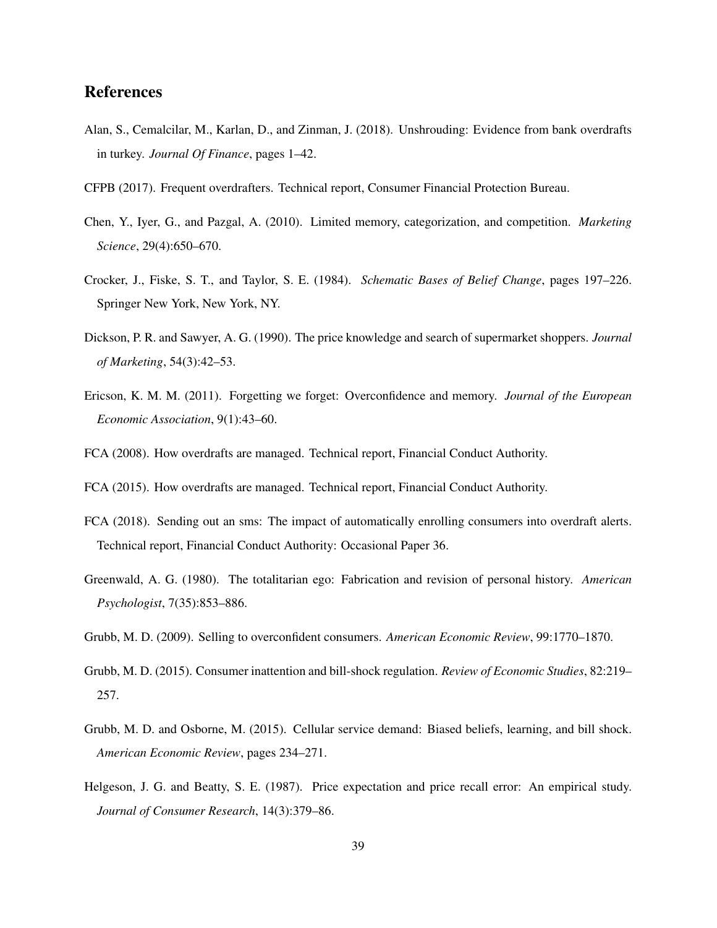## References

- <span id="page-40-12"></span>Alan, S., Cemalcilar, M., Karlan, D., and Zinman, J. (2018). Unshrouding: Evidence from bank overdrafts in turkey. *Journal Of Finance*, pages 1–42.
- <span id="page-40-0"></span>CFPB (2017). Frequent overdrafters. Technical report, Consumer Financial Protection Bureau.
- <span id="page-40-11"></span>Chen, Y., Iyer, G., and Pazgal, A. (2010). Limited memory, categorization, and competition. *Marketing Science*, 29(4):650–670.
- <span id="page-40-10"></span>Crocker, J., Fiske, S. T., and Taylor, S. E. (1984). *Schematic Bases of Belief Change*, pages 197–226. Springer New York, New York, NY.
- <span id="page-40-7"></span>Dickson, P. R. and Sawyer, A. G. (1990). The price knowledge and search of supermarket shoppers. *Journal of Marketing*, 54(3):42–53.
- <span id="page-40-5"></span>Ericson, K. M. M. (2011). Forgetting we forget: Overconfidence and memory. *Journal of the European Economic Association*, 9(1):43–60.
- <span id="page-40-1"></span>FCA (2008). How overdrafts are managed. Technical report, Financial Conduct Authority.
- <span id="page-40-6"></span>FCA (2015). How overdrafts are managed. Technical report, Financial Conduct Authority.
- <span id="page-40-2"></span>FCA (2018). Sending out an sms: The impact of automatically enrolling consumers into overdraft alerts. Technical report, Financial Conduct Authority: Occasional Paper 36.
- <span id="page-40-9"></span>Greenwald, A. G. (1980). The totalitarian ego: Fabrication and revision of personal history. *American Psychologist*, 7(35):853–886.
- <span id="page-40-13"></span>Grubb, M. D. (2009). Selling to overconfident consumers. *American Economic Review*, 99:1770–1870.
- <span id="page-40-4"></span>Grubb, M. D. (2015). Consumer inattention and bill-shock regulation. *Review of Economic Studies*, 82:219– 257.
- <span id="page-40-3"></span>Grubb, M. D. and Osborne, M. (2015). Cellular service demand: Biased beliefs, learning, and bill shock. *American Economic Review*, pages 234–271.
- <span id="page-40-8"></span>Helgeson, J. G. and Beatty, S. E. (1987). Price expectation and price recall error: An empirical study. *Journal of Consumer Research*, 14(3):379–86.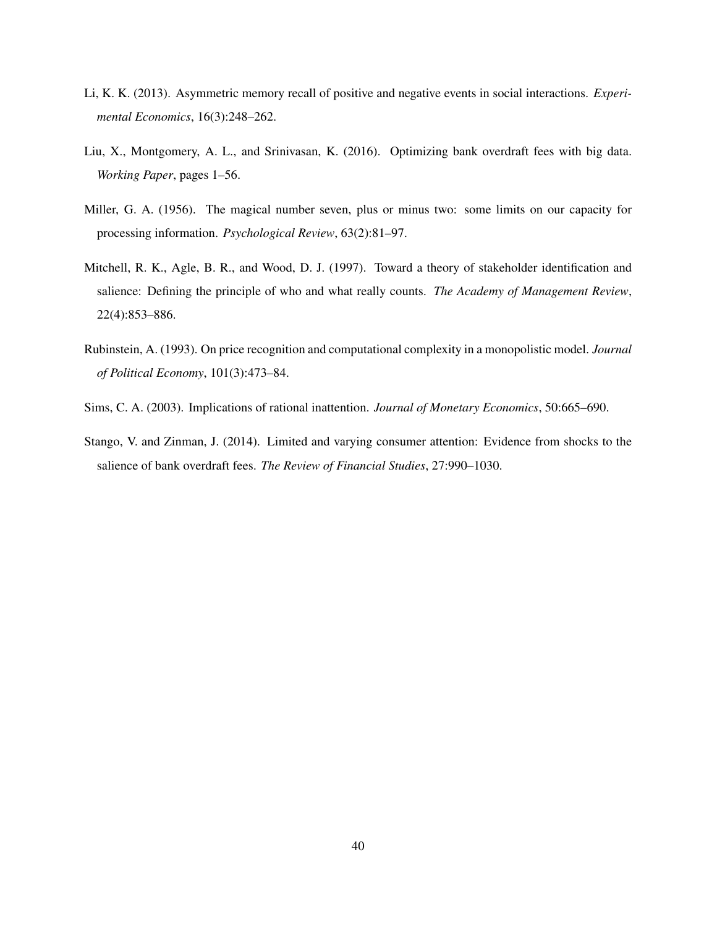- <span id="page-41-3"></span>Li, K. K. (2013). Asymmetric memory recall of positive and negative events in social interactions. *Experimental Economics*, 16(3):248–262.
- <span id="page-41-5"></span>Liu, X., Montgomery, A. L., and Srinivasan, K. (2016). Optimizing bank overdraft fees with big data. *Working Paper*, pages 1–56.
- <span id="page-41-1"></span>Miller, G. A. (1956). The magical number seven, plus or minus two: some limits on our capacity for processing information. *Psychological Review*, 63(2):81–97.
- <span id="page-41-2"></span>Mitchell, R. K., Agle, B. R., and Wood, D. J. (1997). Toward a theory of stakeholder identification and salience: Defining the principle of who and what really counts. *The Academy of Management Review*, 22(4):853–886.
- <span id="page-41-4"></span>Rubinstein, A. (1993). On price recognition and computational complexity in a monopolistic model. *Journal of Political Economy*, 101(3):473–84.
- <span id="page-41-6"></span>Sims, C. A. (2003). Implications of rational inattention. *Journal of Monetary Economics*, 50:665–690.
- <span id="page-41-0"></span>Stango, V. and Zinman, J. (2014). Limited and varying consumer attention: Evidence from shocks to the salience of bank overdraft fees. *The Review of Financial Studies*, 27:990–1030.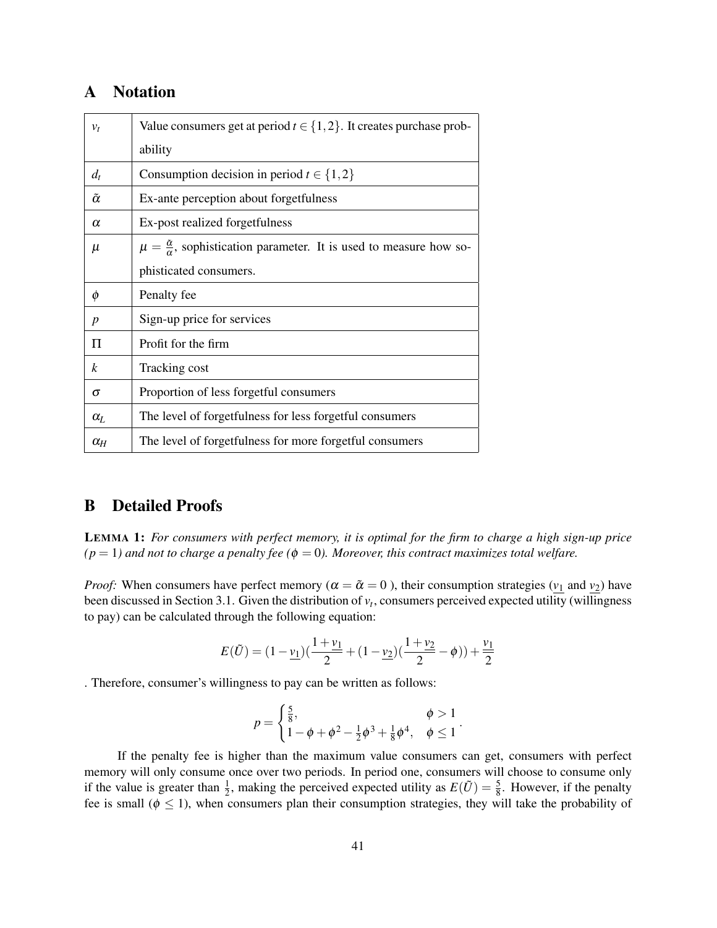# A Notation

| $v_t$                 | Value consumers get at period $t \in \{1, 2\}$ . It creates purchase prob-                 |
|-----------------------|--------------------------------------------------------------------------------------------|
|                       | ability                                                                                    |
| $d_t$                 | Consumption decision in period $t \in \{1,2\}$                                             |
| $\tilde{\alpha}$      | Ex-ante perception about forgetfulness                                                     |
| $\alpha$              | Ex-post realized forgetfulness                                                             |
| $\mu$                 | $\mu = \frac{\tilde{\alpha}}{n}$ , sophistication parameter. It is used to measure how so- |
|                       | phisticated consumers.                                                                     |
| Ø                     | Penalty fee                                                                                |
| p                     | Sign-up price for services                                                                 |
| П                     | Profit for the firm                                                                        |
| k                     | Tracking cost                                                                              |
| σ                     | Proportion of less forgetful consumers                                                     |
| $\alpha$ <sub>L</sub> | The level of forgetfulness for less forgetful consumers                                    |
|                       |                                                                                            |

### B Detailed Proofs

LEMMA 1: *For consumers with perfect memory, it is optimal for the firm to charge a high sign-up price*  $(p = 1)$  and not to charge a penalty fee ( $\phi = 0$ ). Moreover, this contract maximizes total welfare.

*Proof:* When consumers have perfect memory ( $\alpha = \tilde{\alpha} = 0$ ), their consumption strategies ( $v_1$  and  $v_2$ ) have been discussed in Section 3.1. Given the distribution of *v<sup>t</sup>* , consumers perceived expected utility (willingness to pay) can be calculated through the following equation:

$$
E(\tilde{U}) = (1 - \underline{v_1})(\frac{1 + \underline{v_1}}{2} + (1 - \underline{v_2})(\frac{1 + \underline{v_2}}{2} - \phi)) + \frac{\underline{v_1}}{2}
$$

. Therefore, consumer's willingness to pay can be written as follows:

$$
p = \begin{cases} \frac{5}{8}, & \phi > 1 \\ 1 - \phi + \phi^2 - \frac{1}{2}\phi^3 + \frac{1}{8}\phi^4, & \phi \le 1 \end{cases}.
$$

If the penalty fee is higher than the maximum value consumers can get, consumers with perfect memory will only consume once over two periods. In period one, consumers will choose to consume only if the value is greater than  $\frac{1}{2}$ , making the perceived expected utility as  $E(\tilde{U}) = \frac{5}{8}$ . However, if the penalty fee is small ( $\phi \leq 1$ ), when consumers plan their consumption strategies, they will take the probability of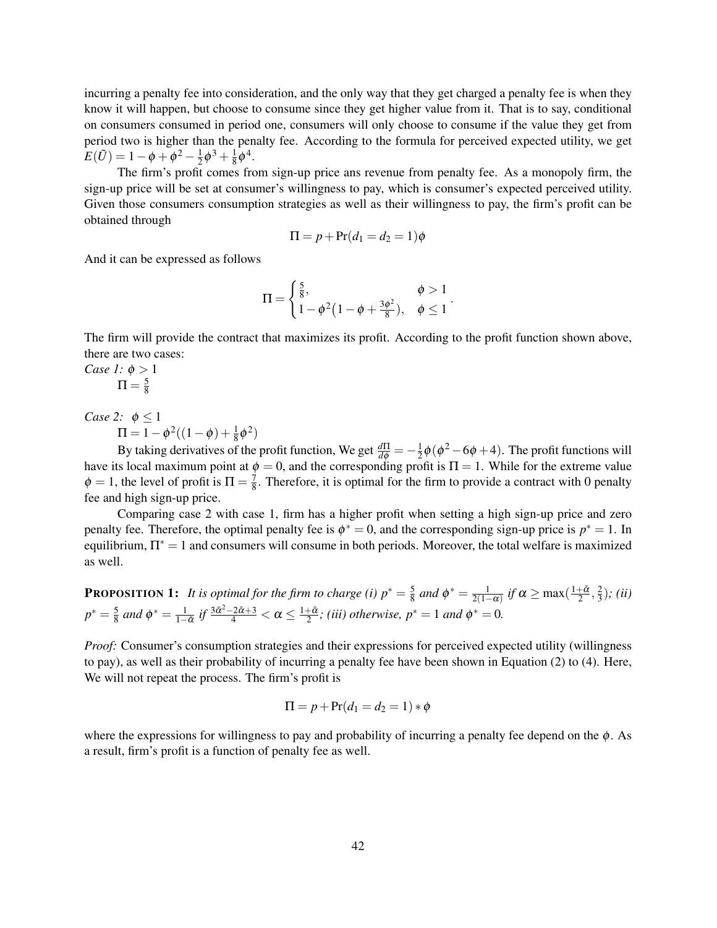incurring a penalty fee into consideration, and the only way that they get charged a penalty fee is when they know it will happen, but choose to consume since they get higher value from it. That is to say, conditional on consumers consumed in period one, consumers will only choose to consume if the value they get from period two is higher than the penalty fee. According to the formula for perceived expected utility, we get  $E(\tilde{U}) = 1 - \phi + \phi^2 - \frac{1}{2}$  $\frac{1}{2}\phi^3 + \frac{1}{8}$  $\frac{1}{8}\phi^4$ .

The firm's profit comes from sign-up price ans revenue from penalty fee. As a monopoly firm, the sign-up price will be set at consumer's willingness to pay, which is consumer's expected perceived utility. Given those consumers consumption strategies as well as their willingness to pay, the firm's profit can be obtained through

$$
\Pi = p + \Pr(d_1 = d_2 = 1)\phi
$$

And it can be expressed as follows

$$
\Pi = \begin{cases} \frac{5}{8}, & \phi > 1 \\ 1 - \phi^2 (1 - \phi + \frac{3\phi^2}{8}), & \phi \le 1 \end{cases}.
$$

The firm will provide the contract that maximizes its profit. According to the profit function shown above, there are two cases:

*Case 1:*  $\phi > 1$  $\Pi = \frac{5}{8}$ 8

*Case 2:*  $\phi \leq 1$ 

 $\Pi = 1 - \phi^2((1 - \phi) + \frac{1}{8}\phi^2)$ 

By taking derivatives of the profit function, We get  $\frac{d\Pi}{d\phi} = -\frac{1}{2}$  $\frac{1}{2}\phi(\phi^2-6\phi+4)$ . The profit functions will have its local maximum point at  $\phi = 0$ , and the corresponding profit is  $\Pi = 1$ . While for the extreme value  $\phi = 1$ , the level of profit is  $\Pi = \frac{7}{8}$  $\frac{7}{8}$ . Therefore, it is optimal for the firm to provide a contract with 0 penalty fee and high sign-up price.

Comparing case 2 with case 1, firm has a higher profit when setting a high sign-up price and zero penalty fee. Therefore, the optimal penalty fee is  $\phi^* = 0$ , and the corresponding sign-up price is  $p^* = 1$ . In equilibrium,  $\Pi^* = 1$  and consumers will consume in both periods. Moreover, the total welfare is maximized as well.

**PROPOSITION 1:** *It is optimal for the firm to charge (i)*  $p^* = \frac{5}{8}$  $\frac{5}{8}$  and  $\phi^* = \frac{1}{2(1-\alpha)}$  if  $\alpha \ge \max(\frac{1+\tilde{\alpha}}{2}, \frac{2}{3})$ 3 )*; (ii)*  $p^* = \frac{5}{8}$  $\frac{5}{8}$  and  $\phi^* = \frac{1}{1-\alpha}$  if  $\frac{3\tilde{\alpha}^2 - 2\tilde{\alpha} + 3}{4} < \alpha \le \frac{1+\tilde{\alpha}}{2}$ ; *(iii) otherwise*,  $p^* = 1$  and  $\phi^* = 0$ .

*Proof:* Consumer's consumption strategies and their expressions for perceived expected utility (willingness) to pay), as well as their probability of incurring a penalty fee have been shown in Equation (2) to (4). Here, We will not repeat the process. The firm's profit is

$$
\Pi = p + \Pr(d_1 = d_2 = 1) * \phi
$$

where the expressions for willingness to pay and probability of incurring a penalty fee depend on the  $\phi$ . As a result, firm's profit is a function of penalty fee as well.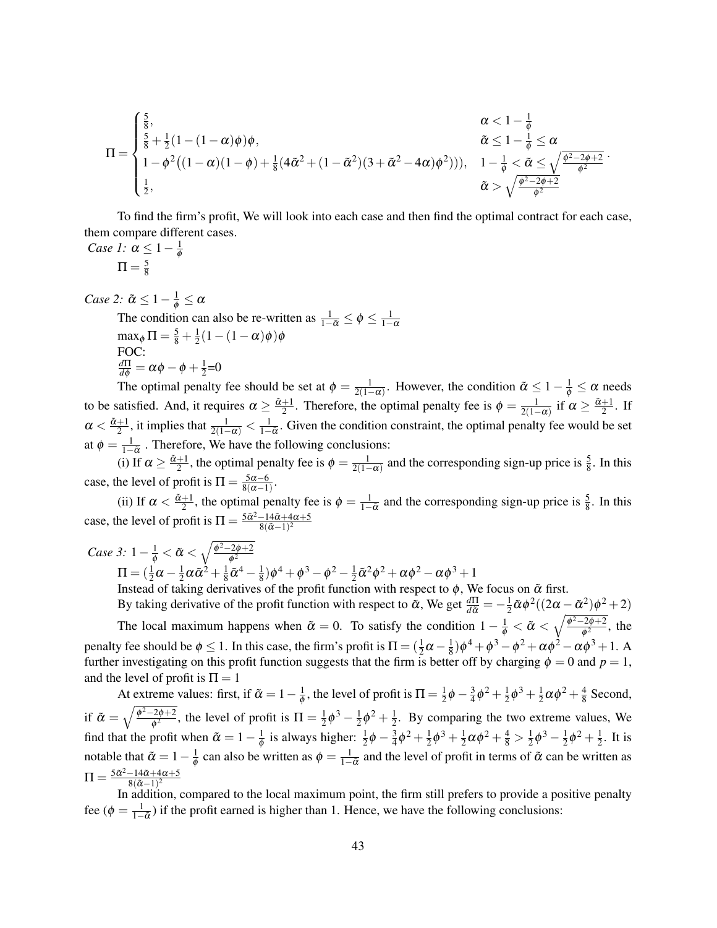$$
\Pi=\begin{cases} \frac{5}{8}, & \alpha<1-\frac{1}{\phi} \\ \frac{5}{8}+\frac{1}{2}(1-(1-\alpha)\phi)\phi, & \tilde{\alpha}\leq 1-\frac{1}{\phi}\leq \alpha \\ 1-\phi^2\big((1-\alpha)(1-\phi)+\frac{1}{8}(4\tilde{\alpha}^2+(1-\tilde{\alpha}^2)(3+\tilde{\alpha}^2-4\alpha)\phi^2))\big), & 1-\frac{1}{\phi}<\tilde{\alpha}\leq \sqrt{\frac{\phi^2-2\phi+2}{\phi^2}} \\ \frac{1}{2}, & \tilde{\alpha}>\sqrt{\frac{\phi^2-2\phi+2}{\phi^2}} \end{cases}.
$$

To find the firm's profit, We will look into each case and then find the optimal contract for each case, them compare different cases.

*Case 1:*  $\alpha \leq 1 - \frac{1}{\phi}$  $\Pi = \frac{5}{8}$ 8

φ

*Case 2:*  $\tilde{\alpha} \leq 1 - \frac{1}{\phi} \leq \alpha$ 

The condition can also be re-written as  $\frac{1}{1-\tilde{\alpha}} \le \phi \le \frac{1}{1-\alpha}$  $\max_{\phi} \Pi = \frac{5}{8} + \frac{1}{2}$  $\frac{1}{2}(1-(1-\alpha)\phi)\phi$ FOC:  $\frac{d\Pi}{d\phi} = \alpha\phi - \phi + \frac{1}{2}$  $\frac{1}{2}$ =0

The optimal penalty fee should be set at  $\phi = \frac{1}{2(1-\alpha)}$ . However, the condition  $\tilde{\alpha} \le 1 - \frac{1}{\phi} \le \alpha$  needs to be satisfied. And, it requires  $\alpha \ge \frac{\tilde{\alpha}+1}{2}$ . Therefore, the optimal penalty fee is  $\phi = \frac{1}{2(1-\alpha)}$  if  $\alpha \ge \frac{\tilde{\alpha}+1}{2}$ . If  $\alpha < \frac{\tilde{\alpha}+1}{2}$ , it implies that  $\frac{1}{2(1-\alpha)} < \frac{1}{1-\tilde{\alpha}}$ . Given the condition constraint, the optimal penalty fee would be set at  $\phi = \frac{1}{1-\alpha}$ . Therefore, We have the following conclusions:

(i) If  $\alpha \ge \frac{\tilde{\alpha}+1}{2}$ , the optimal penalty fee is  $\phi = \frac{1}{2(1-\alpha)}$  and the corresponding sign-up price is  $\frac{5}{8}$ . In this case, the level of profit is  $\Pi = \frac{5\alpha - 6}{8(\alpha - 1)}$  $\frac{5\alpha-6}{8(\alpha-1)}$ .

(ii) If  $\alpha < \frac{\tilde{\alpha}+1}{2}$ , the optimal penalty fee is  $\phi = \frac{1}{1-\tilde{\alpha}}$  and the corresponding sign-up price is  $\frac{5}{8}$ . In this case, the level of profit is  $\Pi = \frac{5\tilde{\alpha}^2 - 14\tilde{\alpha} + 4\alpha + 5}{8(\tilde{\alpha} - 1)^2}$  $8(\tilde{\alpha}-1)^2$ 

*Case 3:*  $1 - \frac{1}{\phi} < \tilde{\alpha} < \sqrt{\frac{\phi^2 - 2\phi + 2}{\phi^2}}$  $\phi^2$  $\Pi = (\frac{1}{2}\alpha - \frac{1}{2})$  $\frac{1}{2}\alpha\tilde{\alpha}^2+\frac{1}{8}$  $\frac{1}{8}\tilde{\alpha}^4-\frac{1}{8}$  $(\frac{1}{8})\phi^4 + \phi^3 - \phi^2 - \frac{1}{2}$  $\frac{1}{2}\tilde{\alpha}^2\phi^2 + \alpha\phi^2 - \alpha\phi^3 + 1$ Instead of taking derivatives of the profit function with respect to  $\phi$ , We focus on  $\tilde{\alpha}$  first.

By taking derivative of the profit function with respect to  $\tilde{\alpha}$ , We get  $\frac{d\Pi}{d\tilde{\alpha}} = -\frac{1}{2}$  $\frac{1}{2}\tilde{\alpha}\phi^2((2\alpha-\tilde{\alpha}^2)\phi^2+2)$ The local maximum happens when  $\tilde{\alpha} = 0$ . To satisfy the condition  $1 - \frac{1}{\phi} < \tilde{\alpha} < \sqrt{\frac{\phi^2 - 2\phi + 2}{\phi^2}}$  $\frac{1}{\phi^2}$ , the penalty fee should be  $\phi \le 1$ . In this case, the firm's profit is  $\Pi = (\frac{1}{2}\alpha - \frac{1}{8})$  $\frac{1}{8}$ ) $\phi^4 + \phi^3 - \phi^2 + \alpha \phi^2 - \alpha \phi^3 + 1$ . A further investigating on this profit function suggests that the firm is better off by charging  $\phi = 0$  and  $p = 1$ , and the level of profit is  $\Pi = 1$ 

At extreme values: first, if  $\tilde{\alpha} = 1 - \frac{1}{\phi}$  $\frac{1}{\phi}$ , the level of profit is  $\Pi = \frac{1}{2}$  $rac{1}{2}\phi - \frac{3}{4}$  $\frac{3}{4}\phi^2 + \frac{1}{2}$  $\frac{1}{2}\phi^3 + \frac{1}{2}$  $\frac{1}{2} \alpha \phi^2 + \frac{4}{8}$  $\frac{4}{8}$  Second, if  $\tilde{\alpha} = \sqrt{\frac{\phi^2 - 2\phi + 2}{\phi^2}}$  $\frac{1}{\phi^2}$ , the level of profit is  $\Pi = \frac{1}{2}$  $rac{1}{2}\phi^3 - \frac{1}{2}$  $rac{1}{2}\phi^2 + \frac{1}{2}$  $\frac{1}{2}$ . By comparing the two extreme values, We find that the profit when  $\tilde{\alpha} = 1 - \frac{1}{\phi}$  $\frac{1}{\phi}$  is always higher:  $\frac{1}{2}\phi - \frac{3}{4}$  $\frac{3}{4}\phi^2 + \frac{1}{2}$  $\frac{1}{2}\phi^3 + \frac{1}{2}$  $\frac{1}{2}\alpha\phi^2 + \frac{4}{8} > \frac{1}{2}$  $rac{1}{2}\phi^3 - \frac{1}{2}$  $\frac{1}{2}\phi^2 + \frac{1}{2}$  $\frac{1}{2}$ . It is notable that  $\tilde{\alpha} = 1 - \frac{1}{\phi}$  $\frac{1}{\phi}$  can also be written as  $\phi = \frac{1}{1-\tilde{\alpha}}$  and the level of profit in terms of  $\tilde{\alpha}$  can be written as  $\Pi = \frac{5\tilde{\alpha}^2 - 14\tilde{\alpha} + 4\alpha + 5}{8(\tilde{\alpha} - 1)^2}$  $8(\tilde{\alpha}-1)^2$ 

In addition, compared to the local maximum point, the firm still prefers to provide a positive penalty fee ( $\phi = \frac{1}{1-\tilde{\alpha}}$ ) if the profit earned is higher than 1. Hence, we have the following conclusions: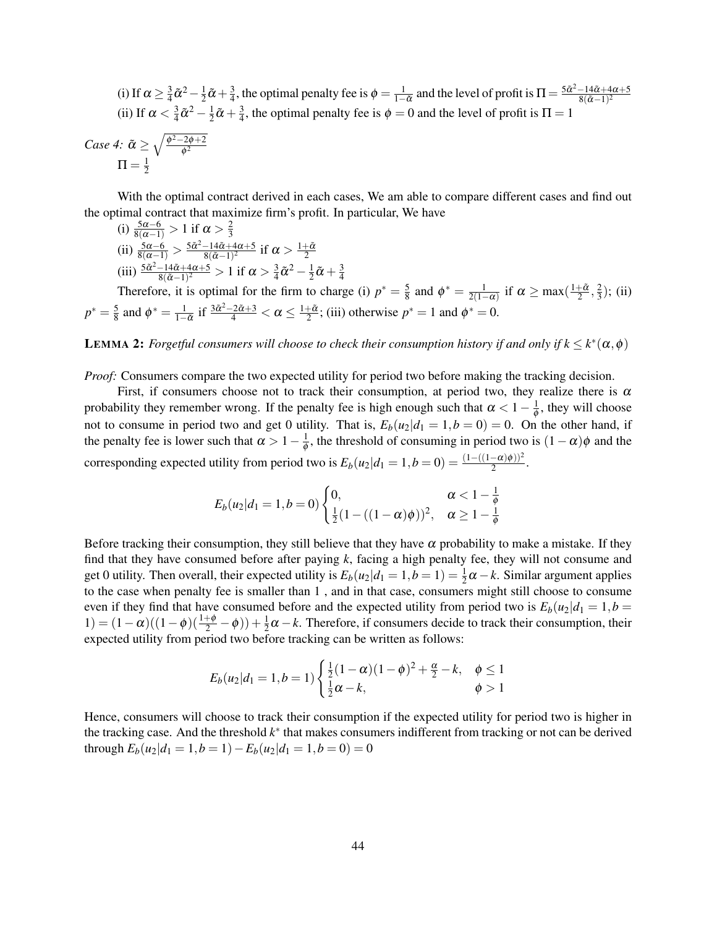(i) If  $\alpha \geq \frac{3}{4}$  $\frac{3}{4}\tilde{\alpha}^2 - \frac{1}{2}$  $\frac{1}{2}\tilde{\alpha}+\frac{3}{4}$  $\frac{3}{4}$ , the optimal penalty fee is  $\phi = \frac{1}{1-\tilde{\alpha}}$  and the level of profit is  $\Pi = \frac{5\tilde{\alpha}^2 - 14\tilde{\alpha} + 4\alpha + 5}{8(\tilde{\alpha} - 1)^2}$  $8(\tilde{\alpha}-1)^2$ (ii) If  $\alpha < \frac{3}{4}$  $\frac{3}{4}\tilde{\alpha}^2 - \frac{1}{2}$  $\frac{1}{2}\tilde{\alpha}+\frac{3}{4}$  $\frac{3}{4}$ , the optimal penalty fee is  $\phi = 0$  and the level of profit is  $\Pi = 1$ 

Case 4: 
$$
\tilde{\alpha} \ge \sqrt{\frac{\phi^2 - 2\phi + 2}{\phi^2}}
$$
  
 $\Pi = \frac{1}{2}$ 

With the optimal contract derived in each cases, We am able to compare different cases and find out the optimal contract that maximize firm's profit. In particular, We have

(i)  $\frac{5\alpha-6}{8(\alpha-1)} > 1$  if  $\alpha > \frac{2}{3}$ 3 (ii)  $\frac{5\alpha-6}{8(\alpha-1)} > \frac{5\tilde{\alpha}^2-14\tilde{\alpha}+4\alpha+5}{8(\tilde{\alpha}-1)^2}$  $\frac{-14\tilde{\alpha}+4\alpha+5}{8(\tilde{\alpha}-1)^2}$  if  $\alpha>\frac{1+\tilde{\alpha}}{2}$ (iii)  $\frac{5\tilde{\alpha}^2-14\tilde{\alpha}+4\alpha+5}{8(\tilde{\alpha}-1)^2}$  $\frac{-14\tilde{\alpha}+4\alpha+5}{8(\tilde{\alpha}-1)^2} > 1$  if  $\alpha > \frac{3}{4}$  $\frac{3}{4}\tilde{\alpha}^2 - \frac{1}{2}$  $\frac{1}{2}\tilde{\alpha}+\frac{3}{4}$ 

Therefore, it is optimal for the firm to charge (i)  $p^* = \frac{5}{8}$  $\frac{5}{8}$  and  $\phi^* = \frac{1}{2(1-\alpha)}$  if  $\alpha \ge \max(\frac{1+\tilde{\alpha}}{2}, \frac{2}{3})$  $(\frac{2}{3})$ ; (ii)  $p^* = \frac{5}{8}$  and  $\phi^* = \frac{1}{1-\tilde{\alpha}}$  if  $\frac{3\tilde{\alpha}^2 - 2\tilde{\alpha} + 3}{4} < \alpha \le \frac{1+\tilde{\alpha}}{2}$ ; (iii) otherwise  $p^* = 1$  and  $\phi^* = 0$ .  $\frac{5}{2}$  and  $\phi^* - \frac{1}{2}$  if  $\frac{3\tilde{\alpha}^2 - 2\tilde{\alpha} + 3}{4} < \alpha < \frac{1+\tilde{\alpha}}{2}$ 

4

**LEMMA 2:** *Forgetful consumers will choose to check their consumption history if and only if*  $k \leq k^*(\alpha, \phi)$ 

*Proof:* Consumers compare the two expected utility for period two before making the tracking decision.

First, if consumers choose not to track their consumption, at period two, they realize there is  $\alpha$ probability they remember wrong. If the penalty fee is high enough such that  $\alpha < 1 - \frac{1}{\phi}$  $\frac{1}{\phi}$ , they will choose not to consume in period two and get 0 utility. That is,  $E_b(u_2|d_1 = 1, b = 0) = 0$ . On the other hand, if the penalty fee is lower such that  $\alpha > 1-\frac{1}{\phi}$  $\frac{1}{\phi}$ , the threshold of consuming in period two is  $(1 - \alpha)\phi$  and the corresponding expected utility from period two is  $E_b(u_2|d_1 = 1, b = 0) = \frac{(1 - ((1 - \alpha)\phi))^2}{2}$ .

$$
E_b(u_2|d_1=1,b=0)\begin{cases}0,&\alpha<1-\frac{1}{\phi}\\ \frac{1}{2}(1-((1-\alpha)\phi))^2,&\alpha\geq 1-\frac{1}{\phi}\end{cases}
$$

Before tracking their consumption, they still believe that they have  $\alpha$  probability to make a mistake. If they find that they have consumed before after paying *k*, facing a high penalty fee, they will not consume and get 0 utility. Then overall, their expected utility is  $E_b(u_2|d_1 = 1, b = 1) = \frac{1}{2}\alpha - k$ . Similar argument applies to the case when penalty fee is smaller than 1 , and in that case, consumers might still choose to consume even if they find that have consumed before and the expected utility from period two is *Eb*(*u*2|*d*<sup>1</sup> = 1,*b* = 1) =  $(1 - \alpha)((1 - \phi)(\frac{1 + \phi}{2} - \phi)) + \frac{1}{2}\alpha - k$ . Therefore, if consumers decide to track their consumption, their expected utility from period two before tracking can be written as follows:

$$
E_b(u_2|d_1=1, b=1) \begin{cases} \frac{1}{2}(1-\alpha)(1-\phi)^2 + \frac{\alpha}{2} - k, & \phi \le 1\\ \frac{1}{2}\alpha - k, & \phi > 1 \end{cases}
$$

Hence, consumers will choose to track their consumption if the expected utility for period two is higher in the tracking case. And the threshold *k* ∗ that makes consumers indifferent from tracking or not can be derived through  $E_b(u_2|d_1 = 1, b = 1) - E_b(u_2|d_1 = 1, b = 0) = 0$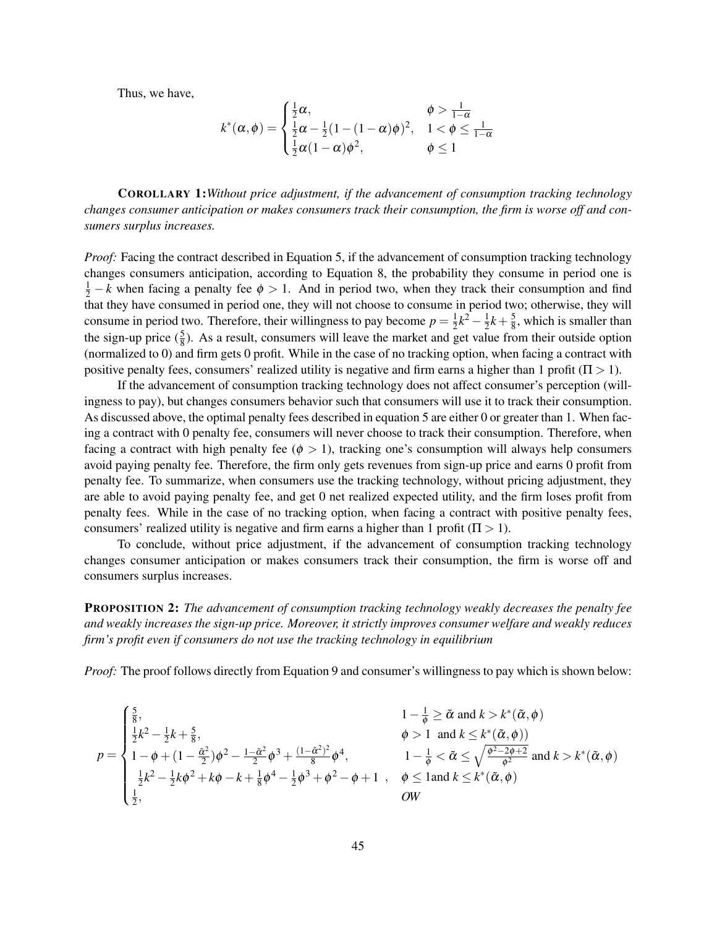Thus, we have,

$$
k^*(\alpha,\phi) = \begin{cases} \frac{1}{2}\alpha, & \phi > \frac{1}{1-\alpha} \\ \frac{1}{2}\alpha - \frac{1}{2}(1-(1-\alpha)\phi)^2, & 1 < \phi \leq \frac{1}{1-\alpha} \\ \frac{1}{2}\alpha(1-\alpha)\phi^2, & \phi \leq 1 \end{cases}
$$

COROLLARY 1:*Without price adjustment, if the advancement of consumption tracking technology changes consumer anticipation or makes consumers track their consumption, the firm is worse off and consumers surplus increases.*

*Proof:* Facing the contract described in Equation 5, if the advancement of consumption tracking technology changes consumers anticipation, according to Equation 8, the probability they consume in period one is  $\frac{1}{2} - k$  when facing a penalty fee  $\phi > 1$ . And in period two, when they track their consumption and find that they have consumed in period one, they will not choose to consume in period two; otherwise, they will consume in period two. Therefore, their willingness to pay become  $p = \frac{1}{2}$  $\frac{1}{2}k^2 - \frac{1}{2}$  $\frac{1}{2}k + \frac{5}{8}$  $\frac{5}{8}$ , which is smaller than the sign-up price  $(\frac{5}{8})$ . As a result, consumers will leave the market and get value from their outside option (normalized to 0) and firm gets 0 profit. While in the case of no tracking option, when facing a contract with positive penalty fees, consumers' realized utility is negative and firm earns a higher than 1 profit ( $\Pi > 1$ ).

If the advancement of consumption tracking technology does not affect consumer's perception (willingness to pay), but changes consumers behavior such that consumers will use it to track their consumption. As discussed above, the optimal penalty fees described in equation 5 are either 0 or greater than 1. When facing a contract with 0 penalty fee, consumers will never choose to track their consumption. Therefore, when facing a contract with high penalty fee ( $\phi > 1$ ), tracking one's consumption will always help consumers avoid paying penalty fee. Therefore, the firm only gets revenues from sign-up price and earns 0 profit from penalty fee. To summarize, when consumers use the tracking technology, without pricing adjustment, they are able to avoid paying penalty fee, and get 0 net realized expected utility, and the firm loses profit from penalty fees. While in the case of no tracking option, when facing a contract with positive penalty fees, consumers' realized utility is negative and firm earns a higher than 1 profit ( $\Pi > 1$ ).

To conclude, without price adjustment, if the advancement of consumption tracking technology changes consumer anticipation or makes consumers track their consumption, the firm is worse off and consumers surplus increases.

PROPOSITION 2: *The advancement of consumption tracking technology weakly decreases the penalty fee and weakly increases the sign-up price. Moreover, it strictly improves consumer welfare and weakly reduces firm's profit even if consumers do not use the tracking technology in equilibrium*

*Proof:* The proof follows directly from Equation 9 and consumer's willingness to pay which is shown below:

$$
p = \begin{cases} \frac{5}{8}, & 1 - \frac{1}{\phi} \ge \tilde{\alpha} \text{ and } k > k^*(\tilde{\alpha}, \phi) \\ \frac{1}{2}k^2 - \frac{1}{2}k + \frac{5}{8}, & \phi > 1 \text{ and } k \le k^*(\tilde{\alpha}, \phi) \\ 1 - \phi + (1 - \frac{\tilde{\alpha}^2}{2})\phi^2 - \frac{1 - \tilde{\alpha}^2}{2}\phi^3 + \frac{(1 - \tilde{\alpha}^2)^2}{8}\phi^4, & 1 - \frac{1}{\phi} < \tilde{\alpha} \le \sqrt{\frac{\phi^2 - 2\phi + 2}{\phi^2}} \text{ and } k > k^*(\tilde{\alpha}, \phi) \\ \frac{1}{2}k^2 - \frac{1}{2}k\phi^2 + k\phi - k + \frac{1}{8}\phi^4 - \frac{1}{2}\phi^3 + \phi^2 - \phi + 1, & \phi \le 1 \text{and } k \le k^*(\tilde{\alpha}, \phi) \\ \frac{1}{2}, & \text{OW} \end{cases}
$$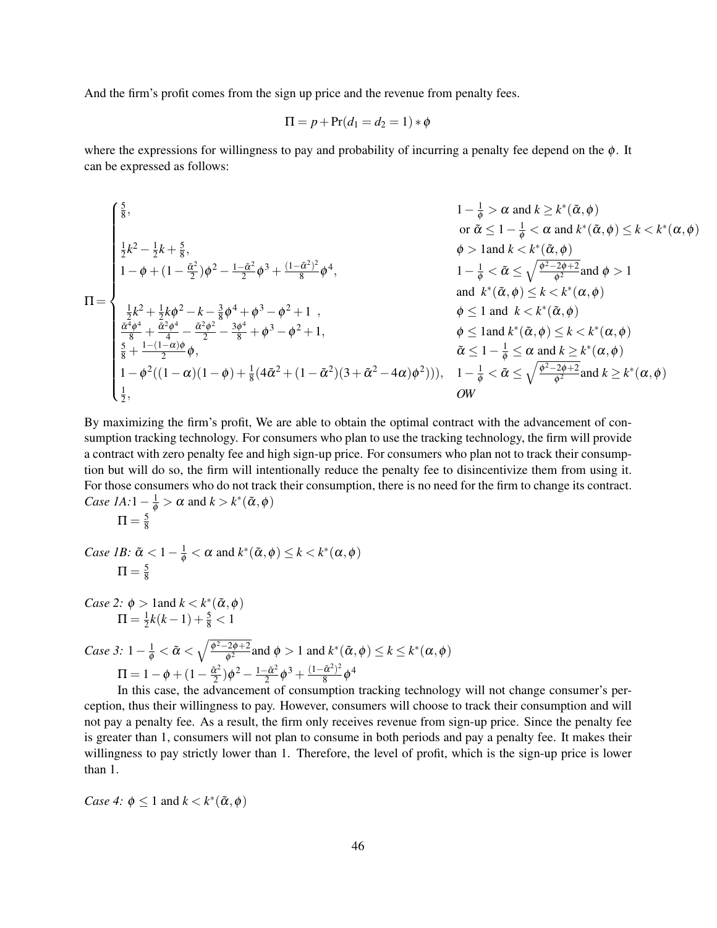And the firm's profit comes from the sign up price and the revenue from penalty fees.

$$
\Pi = p + \Pr(d_1 = d_2 = 1) * \phi
$$

where the expressions for willingness to pay and probability of incurring a penalty fee depend on the  $\phi$ . It can be expressed as follows:

$$
\Pi = \begin{cases}\n\frac{5}{8}, & 1 - \frac{1}{\phi} > \alpha \text{ and } k \geq k^*(\tilde{\alpha}, \phi) \\
\frac{1}{2}k^2 - \frac{1}{2}k + \frac{5}{8}, & \phi > 1 \text{ and } k < k^*(\tilde{\alpha}, \phi) \leq k < k^*(\alpha, \phi) \\
1 - \phi + (1 - \frac{\tilde{\alpha}^2}{2})\phi^2 - \frac{1 - \tilde{\alpha}^2}{2}\phi^3 + \frac{(1 - \tilde{\alpha}^2)^2}{8}\phi^4, & 1 - \frac{1}{\phi} < \tilde{\alpha} \leq \sqrt{\frac{\phi^2 - 2\phi + 2}{\phi^2}} \text{ and } \phi > 1 \\
\frac{1}{2}k^2 + \frac{1}{2}k\phi^2 - k - \frac{3}{8}\phi^4 + \phi^3 - \phi^2 + 1, & \phi \leq 1 \text{ and } k < k^*(\tilde{\alpha}, \phi) \leq k < k^*(\alpha, \phi) \\
\frac{\frac{5}{2}k^2 + \frac{1}{2}k\phi^2 - k - \frac{3}{8}\phi^4 + \phi^3 - \phi^2 + 1}{8}, & \phi \leq 1 \text{ and } k < k^*(\tilde{\alpha}, \phi) \leq k < k^*(\alpha, \phi) \\
\frac{\frac{\tilde{\alpha}^4\phi^4}{8} + \frac{\tilde{\alpha}^2\phi^4}{2} - \frac{\tilde{\alpha}^2\phi^2}{2} - \frac{3\phi^4}{8} + \phi^3 - \phi^2 + 1, & \phi \leq 1 \text{ and } k^*(\tilde{\alpha}, \phi) \leq k < k^*(\alpha, \phi) \\
\frac{5}{8} + \frac{1 - (1 - \alpha)\phi}{2}, & \tilde{\alpha} \leq 1 - \frac{1}{\phi} \leq \alpha \text{ and } k \geq k^*(\alpha, \phi) \\
1 - \phi^2((1 - \alpha)(1 - \phi) + \frac{1}{8}(4\tilde{\alpha}^2 + (1 - \tilde{\alpha}^2)(3 + \tilde{\alpha}^2 - 4\alpha)\phi^2))), & 1 - \frac{1}{\phi} < \tilde{\alpha} \leq \sqrt{\frac{\phi^2 - 2\phi + 2}{\phi^2}} \text{ and } k \geq
$$

By maximizing the firm's profit, We are able to obtain the optimal contract with the advancement of consumption tracking technology. For consumers who plan to use the tracking technology, the firm will provide a contract with zero penalty fee and high sign-up price. For consumers who plan not to track their consumption but will do so, the firm will intentionally reduce the penalty fee to disincentivize them from using it. For those consumers who do not track their consumption, there is no need for the firm to change its contract. *Case 1A:*  $1 - \frac{1}{\phi} > \alpha$  and  $k > k^*(\tilde{\alpha}, \phi)$ 

$$
\Pi=\tfrac{5}{8}
$$

Case 1B: 
$$
\tilde{\alpha} < 1 - \frac{1}{\phi} < \alpha
$$
 and  $k^*(\tilde{\alpha}, \phi) \le k < k^*(\alpha, \phi)$   
\n
$$
\Pi = \frac{5}{8}
$$

*Case 2:*  $\phi$  > 1 and  $k < k^*(\tilde{\alpha}, \phi)$  $\Pi=\frac{1}{2}$  $\frac{1}{2}k(k-1)+\frac{5}{8}<1$ 

Case 3: 
$$
1 - \frac{1}{\phi} < \tilde{\alpha} < \sqrt{\frac{\phi^2 - 2\phi + 2}{\phi^2}}
$$
 and  $\phi > 1$  and  $k^*(\tilde{\alpha}, \phi) \le k \le k^*(\alpha, \phi)$   
\n
$$
\Pi = 1 - \phi + (1 - \frac{\tilde{\alpha}^2}{2})\phi^2 - \frac{1 - \tilde{\alpha}^2}{2}\phi^3 + \frac{(1 - \tilde{\alpha}^2)^2}{8}\phi^4
$$

In  $2 \psi + 2 \psi = 2 \psi + 8 \psi$ <br>In this case, the advancement of consumption tracking technology will not change consumer's perception, thus their willingness to pay. However, consumers will choose to track their consumption and will not pay a penalty fee. As a result, the firm only receives revenue from sign-up price. Since the penalty fee is greater than 1, consumers will not plan to consume in both periods and pay a penalty fee. It makes their willingness to pay strictly lower than 1. Therefore, the level of profit, which is the sign-up price is lower than 1.

*Case 4:*  $\phi \leq 1$  and  $k < k^*(\tilde{\alpha}, \phi)$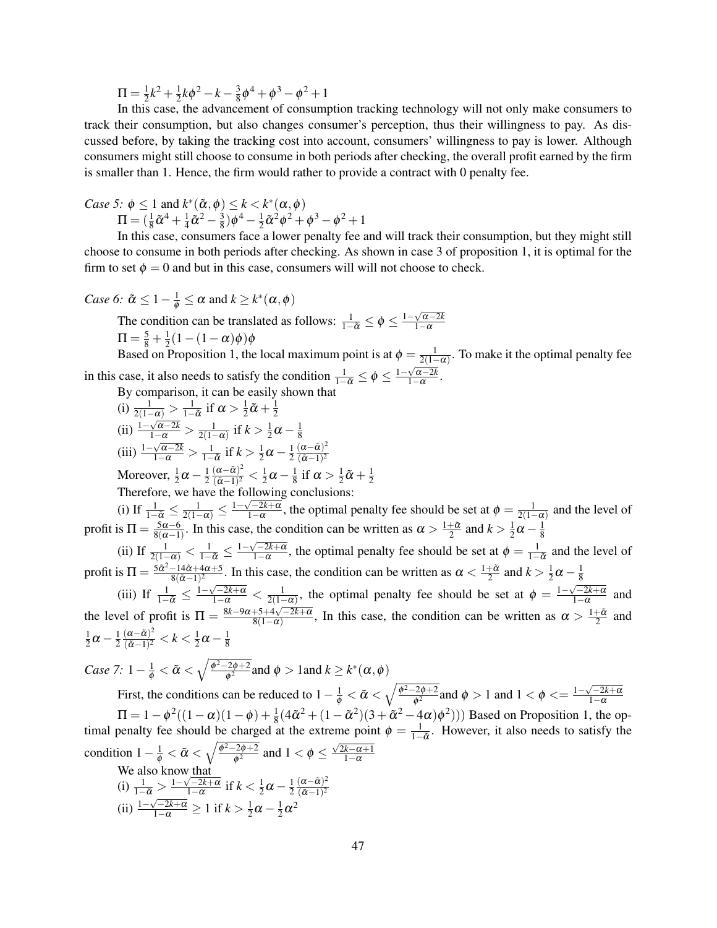$\Pi=\frac{1}{2}$  $\frac{1}{2}k^2 + \frac{1}{2}$  $\frac{1}{2}k\phi^2 - k - \frac{3}{8}$  $\frac{3}{8}\phi^4 + \phi^3 - \phi^2 + 1$ 

In this case, the advancement of consumption tracking technology will not only make consumers to track their consumption, but also changes consumer's perception, thus their willingness to pay. As discussed before, by taking the tracking cost into account, consumers' willingness to pay is lower. Although consumers might still choose to consume in both periods after checking, the overall profit earned by the firm is smaller than 1. Hence, the firm would rather to provide a contract with 0 penalty fee.

*Case 5:*  $\phi \leq 1$  and  $k^*(\tilde{\alpha}, \phi) \leq k < k^*(\alpha, \phi)$  $\Pi = (\frac{1}{8}\tilde{\alpha}^4 + \frac{1}{4}$  $\frac{1}{4} \tilde{\alpha}^2 - \frac{3}{8}$  $\frac{3}{8}$ ) $\phi^4 - \frac{1}{2}$  $\frac{1}{2}\tilde{\alpha}^2\phi^2 + \phi^3 - \phi^2 + 1$ 

In this case, consumers face a lower penalty fee and will track their consumption, but they might still choose to consume in both periods after checking. As shown in case 3 of proposition 1, it is optimal for the firm to set  $\phi = 0$  and but in this case, consumers will will not choose to check.

*Case 6*: 
$$
\tilde{\alpha} \leq 1 - \frac{1}{\phi} \leq \alpha
$$
 and  $k \geq k^*(\alpha, \phi)$ 

The condition can be translated as follows:  $\frac{1}{1-\tilde{\alpha}} \le \phi \le \frac{1-\sqrt{\alpha-2k}}{1-\alpha}$  $1-\alpha$  $\Pi = \frac{5}{8} + \frac{1}{2}$  $\frac{1}{2}(1-(1-\alpha)\phi)\phi$ 

Based on Proposition 1, the local maximum point is at  $\phi = \frac{1}{2(1-\alpha)}$ . To make it the optimal penalty fee in this case, it also needs to satisfy the condition  $\frac{1}{1-\tilde{\alpha}} \le \phi \le \frac{1-\sqrt{\alpha-2k}}{1-\alpha}$  $1-\alpha$ .

By comparison, it can be easily shown that

(i) 
$$
\frac{1}{2(1-\alpha)} > \frac{1}{1-\tilde{\alpha}}
$$
 if  $\alpha > \frac{1}{2}\tilde{\alpha} + \frac{1}{2}$   
\n(ii) 
$$
\frac{1-\sqrt{\alpha-2k}}{1-\alpha} > \frac{1}{2(1-\alpha)}
$$
 if  $k > \frac{1}{2}\alpha - \frac{1}{8}$   
\n(iii) 
$$
\frac{1-\sqrt{\alpha-2k}}{1-\alpha} > \frac{1}{1-\tilde{\alpha}}
$$
 if  $k > \frac{1}{2}\alpha - \frac{1}{2}\frac{(\alpha-\tilde{\alpha})^2}{(\tilde{\alpha}-1)^2}$   
\nMoreover, 
$$
\frac{1}{2}\alpha - \frac{1}{2}\frac{(\alpha-\tilde{\alpha})^2}{(\tilde{\alpha}-1)^2} < \frac{1}{2}\alpha - \frac{1}{8}
$$
 if  $\alpha > \frac{1}{2}\tilde{\alpha} + \frac{1}{2}\alpha$ 

Therefore, we have the following conclusions:

(i) If  $\frac{1}{1-\tilde{\alpha}} \leq \frac{1}{2(1-\alpha)} \leq \frac{1-\sqrt{-2k+\alpha}}{1-\alpha}$  $\frac{\sqrt{-2k+\alpha}}{1-\alpha}$ , the optimal penalty fee should be set at  $\phi = \frac{1}{2(1-\alpha)}$  and the level of profit is  $\Pi = \frac{5\alpha - 6}{8(\alpha - 1)}$  $\frac{5\alpha-6}{8(\alpha-1)}$ . In this case, the condition can be written as  $\alpha > \frac{1+\tilde{\alpha}}{2}$  and  $k > \frac{1}{2}$  $\frac{1}{2}\alpha - \frac{1}{8}$  $\frac{1}{2}$  and  $\frac{\pi}{2}$  and  $\frac{\pi}{2}$  and  $\frac{\pi}{2}$  and  $\frac{\pi}{2}$  and  $\frac{\pi}{2}$ 

1 2

(ii) If  $\frac{1}{2(1-\alpha)} < \frac{1}{1-\tilde{\alpha}} \leq \frac{1-\sqrt{-2k+\alpha}}{1-\alpha}$  $\frac{1}{1-\alpha}$ , the optimal penalty fee should be set at  $\phi = \frac{1}{1-\tilde{\alpha}}$  and the level of profit is  $\Pi = \frac{5\tilde{\alpha}^2 - 14\tilde{\alpha} + 4\alpha + 5}{8(\tilde{\alpha} - 1)^2}$  $\frac{-14\tilde{\alpha}+4\alpha+5}{8(\tilde{\alpha}-1)^2}$ . In this case, the condition can be written as  $\alpha < \frac{1+\tilde{\alpha}}{2}$  and  $k > \frac{1}{2}$  $\frac{1}{2}\alpha - \frac{1}{8}$ 8

(iii) If  $\frac{1}{1-\tilde{\alpha}} \le \frac{1-\sqrt{-2k+\alpha}}{1-\alpha} < \frac{1}{2(1-\alpha)}$ , the optimal penalty fee should be set at  $\phi = \frac{1-\sqrt{-2k+\alpha}}{1-\alpha}$  $\frac{1-2k+\alpha}{1-\alpha}$  and the level of profit is  $\Pi = \frac{8k-9\alpha+5+4\sqrt{-2k+\alpha}}{8(1-\alpha)}$  $\frac{8+5+4\sqrt{-2k+\alpha}}{8(1-\alpha)}$ , In this case, the condition can be written as  $\alpha > \frac{1+\tilde{\alpha}}{2}$  and 1  $\frac{1}{2}\alpha - \frac{1}{2}$ 2  $(\alpha-\tilde{\alpha})$ 2  $\frac{(\alpha-\tilde{\alpha})^2}{(\tilde{\alpha}-1)^2} < k < \frac{1}{2}$  $\frac{1}{2}\alpha - \frac{1}{8}$ 8

*Case 7:*  $1 - \frac{1}{\phi} < \tilde{\alpha} < \sqrt{\frac{\phi^2 - 2\phi + 2}{\phi^2}}$  $\frac{e^{2\phi+2}}{\phi^2}$  and  $\phi > 1$  and  $k \geq k^*(\alpha, \phi)$ 

First, the conditions can be reduced to  $1 - \frac{1}{\phi} < \tilde{\alpha} < \sqrt{\frac{\phi^2 - 2\phi + 2}{\phi^2}}$  $\frac{1}{\phi^2}$  and  $\phi > 1$  and  $1 < \phi < = \frac{1 - \sqrt{-2k + \alpha}}{1 - \alpha}$  $1-\alpha$  $\Pi = 1 - \phi^2((1 - \alpha)(1 - \phi) + \frac{1}{8}(4\tilde{\alpha}^2 + (1 - \tilde{\alpha}^2)(3 + \tilde{\alpha}^2 - 4\alpha)\phi^2))$  Based on Proposition 1, the optimal penalty fee should be charged at the extreme point  $\phi = \frac{1}{1-\tilde{\alpha}}$ . However, it also needs to satisfy the condition  $1-\frac{1}{\phi}<\tilde{\alpha}<\sqrt{\frac{\phi^2-2\phi+2}{\phi^2}}$  $\frac{1}{\phi^2}$  and  $1 < \phi \le$  $\frac{1}{\sqrt{2k−α+1}}$  $1-\alpha$ We also know that √ 2

(i) 
$$
\frac{1}{1-\tilde{\alpha}} > \frac{1-\sqrt{-2k+\alpha}}{1-\alpha}
$$
 if  $k < \frac{1}{2}\alpha - \frac{1}{2}\frac{(\alpha-\tilde{\alpha})^2}{(\tilde{\alpha}-1)^2}$   
(ii) 
$$
\frac{1-\sqrt{-2k+\alpha}}{1-\alpha} \ge 1
$$
 if  $k > \frac{1}{2}\alpha - \frac{1}{2}\alpha^2$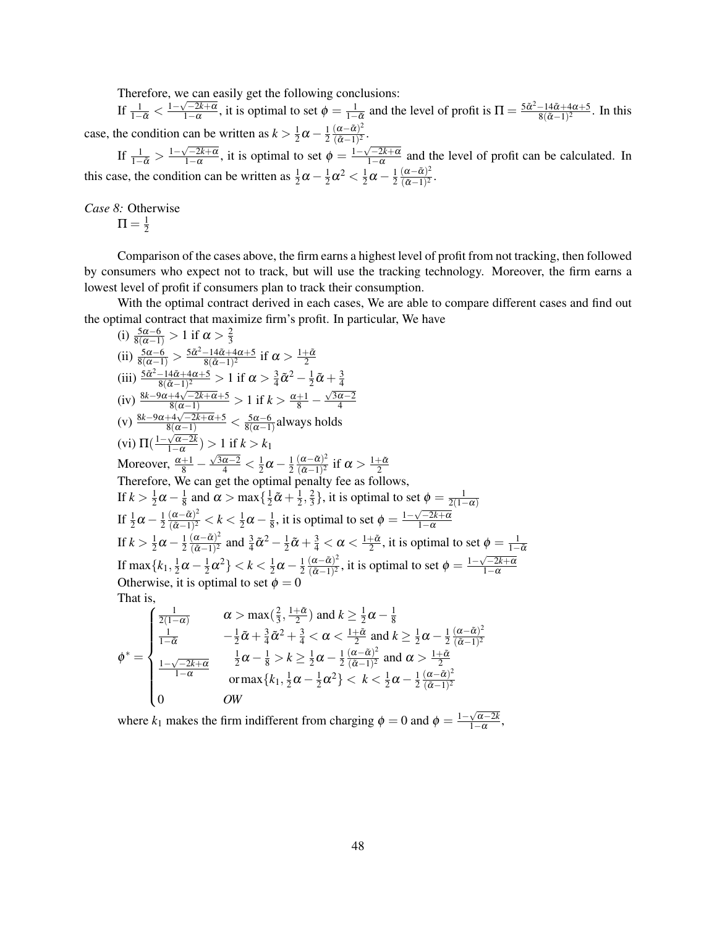Therefore, we can easily get the following conclusions:

If  $\frac{1}{1-\tilde{\alpha}} < \frac{1-\sqrt{-2k+\alpha}}{1-\alpha}$  $\sqrt{\frac{-2k+\alpha}{1-\alpha}}$ , it is optimal to set  $\phi = \frac{1}{1-\tilde{\alpha}}$  and the level of profit is  $\Pi = \frac{5\tilde{\alpha}^2 - 14\tilde{\alpha} + 4\alpha + 5}{8(\tilde{\alpha} - 1)^2}$  $\frac{-14\alpha+4\alpha+5}{8(\alpha-1)^2}$ . In this case, the condition can be written as  $k > \frac{1}{2}$  $\frac{1}{2}\alpha - \frac{1}{2}$ 2  $(\alpha-\tilde{\alpha})^2$  $\frac{(\alpha-\alpha)}{(\tilde{\alpha}-1)^2}$ .

If  $\frac{1}{1-\tilde{\alpha}} > \frac{1-\sqrt{-2k+\alpha}}{1-\alpha}$  $\frac{\sqrt{-2k+\alpha}}{1-\alpha}$ , it is optimal to set  $\phi = \frac{1-\sqrt{-2k+\alpha}}{1-\alpha}$  $\frac{1-2k+\alpha}{1-\alpha}$  and the level of profit can be calculated. In this case, the condition can be written as  $\frac{1}{2}\alpha - \frac{1}{2}$  $\frac{1}{2}\alpha^2 < \frac{1}{2}$  $rac{1}{2}\alpha - \frac{1}{2}$ 2  $(\alpha-\tilde{\alpha})^2$  $\frac{(\alpha-\alpha)^2}{(\tilde{\alpha}-1)^2}$ .

*Case 8:* Otherwise

$$
\Pi = \tfrac{1}{2}
$$

 $\begin{pmatrix} 0 \\ 0 \end{pmatrix}$ 

0 *OW*

Comparison of the cases above, the firm earns a highest level of profit from not tracking, then followed by consumers who expect not to track, but will use the tracking technology. Moreover, the firm earns a lowest level of profit if consumers plan to track their consumption.

With the optimal contract derived in each cases, We are able to compare different cases and find out the optimal contract that maximize firm's profit. In particular, We have

(i) 
$$
\frac{5\alpha-6}{8(\alpha-1)} > 1
$$
 if  $\alpha > \frac{2}{3}$ \n(ii)  $\frac{5\alpha-6}{8(\alpha-1)} > \frac{5\alpha^2-14\alpha+4\alpha+5}{8(\alpha-1)^2}$  if  $\alpha > \frac{1+\tilde{\alpha}}{2}$ \n(iii)  $\frac{5\alpha^2-14\tilde{\alpha}+4\alpha+5}{8(\alpha-1)^2} > 1$  if  $\alpha > \frac{3}{4}\tilde{\alpha}^2 - \frac{1}{2}\tilde{\alpha} + \frac{3}{4}$ \n(iv)  $\frac{8k-9\alpha+4\sqrt{-2k+\alpha+5}}{8(\alpha-1)} > 1$  if  $k > \frac{\alpha+1}{8} - \frac{\sqrt{3\alpha-2}}{4}$ \n(v)  $\frac{8k-9\alpha+4\sqrt{-2k+\alpha+5}}{8(\alpha-1)} < \frac{5\alpha-6}{8(\alpha-1)}$  always holds\n(vi)  $\Pi\left(\frac{1-\sqrt{\alpha-2k}}{1-\alpha}\right) > 1$  if  $k > k_1$ \nMoreover,  $\frac{\alpha+1}{8} - \frac{\sqrt{3\alpha-2}}{4} < \frac{1}{2}\alpha - \frac{1}{2}(\frac{\alpha-\tilde{\alpha}}{\tilde{\alpha}-1)^2}$  if  $\alpha > \frac{1+\tilde{\alpha}}{2}$ \nTherefore, We can get the optimal penalty fee as follows, If  $k > \frac{1}{2}\alpha - \frac{1}{8}$  and  $\alpha > \max\left\{\frac{1}{2}\tilde{\alpha} + \frac{1}{2}, \frac{2}{3}\right\}$ , it is optimal to set  $\phi = \frac{1}{2(1-\alpha)}$ \nIf  $\frac{1}{2}\alpha - \frac{1}{2}(\frac{\alpha-\tilde{\alpha})^2}{(\alpha-1)^2} < k < \frac{1}{2}\alpha - \frac{1}{8}$ , it is optimal to set  $\phi = \frac{1-\sqrt{-2k+\alpha}}{1-\alpha}$ \nIf  $k > \frac{1}{2}\alpha - \frac{1$ 

where  $k_1$  makes the firm indifferent from charging  $\phi = 0$  and  $\phi = \frac{1-\sqrt{\alpha-2k}}{1-\alpha}$  $\frac{\sqrt{\alpha-2k}}{1-\alpha}$ ,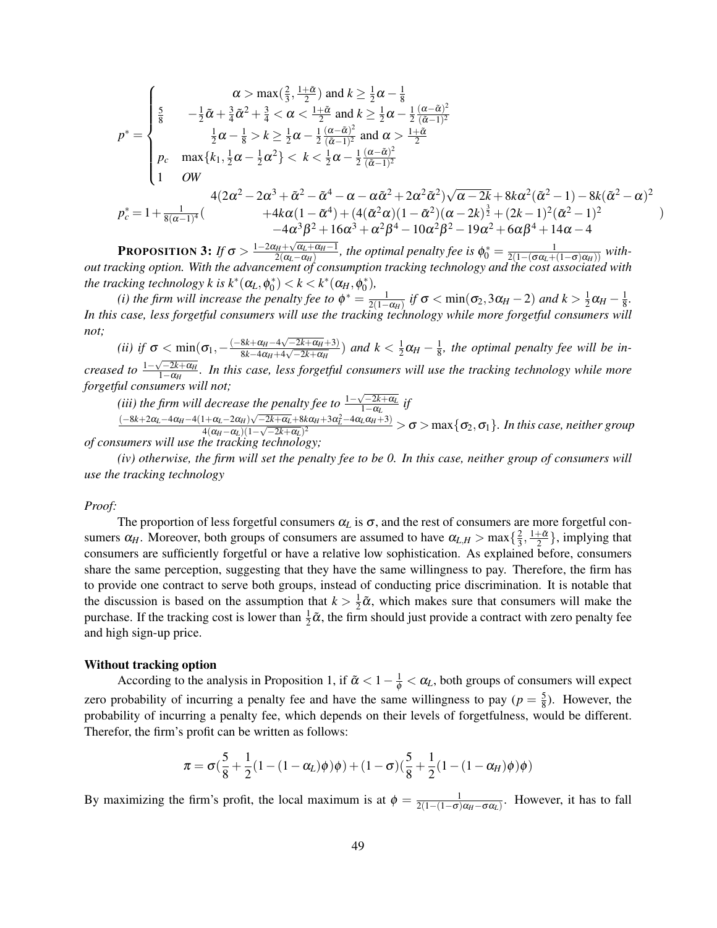$$
p^* = \begin{cases} \n\frac{\alpha}{8} & -\frac{1}{2}\tilde{\alpha} + \frac{3}{4}\tilde{\alpha}^2 + \frac{3}{4} < \alpha < \frac{1+\tilde{\alpha}}{2} \text{ and } k \ge \frac{1}{2}\alpha - \frac{1}{8} \\ \n\frac{5}{8} & -\frac{1}{2}\tilde{\alpha} + \frac{3}{4}\tilde{\alpha}^2 + \frac{3}{4} < \alpha < \frac{1+\tilde{\alpha}}{2} \text{ and } k \ge \frac{1}{2}\alpha - \frac{1}{2}\frac{(\alpha - \tilde{\alpha})^2}{(\tilde{\alpha} - 1)^2} \\ \n\frac{1}{2}\alpha - \frac{1}{8} > k \ge \frac{1}{2}\alpha - \frac{1}{2}\frac{(\alpha - \tilde{\alpha})^2}{(\tilde{\alpha} - 1)^2} \text{ and } \alpha > \frac{1+\tilde{\alpha}}{2} \\ \np_c \quad \max\{k_1, \frac{1}{2}\alpha - \frac{1}{2}\alpha^2\} < k < \frac{1}{2}\alpha - \frac{1}{2}\frac{(\alpha - \tilde{\alpha})^2}{(\tilde{\alpha} - 1)^2} \\ \n1 & \text{OW} \quad 4(2\alpha^2 - 2\alpha^3 + \tilde{\alpha}^2 - \tilde{\alpha}^4 - \alpha - \alpha\tilde{\alpha}^2 + 2\alpha^2\tilde{\alpha}^2)\sqrt{\alpha - 2k} + 8k\alpha^2(\tilde{\alpha}^2 - 1) - 8k(\tilde{\alpha}^2 - \alpha)^2 \\ \n& \quad + 4k\alpha(1 - \tilde{\alpha}^4) + (4(\tilde{\alpha}^2\alpha)(1 - \tilde{\alpha}^2)(\alpha - 2k)\frac{3}{2} + (2k - 1)^2(\tilde{\alpha}^2 - 1)^2 \\ \n& \quad - 4\alpha^3\beta^2 + 16\alpha^3 + \alpha^2\beta^4 - 10\alpha^2\beta^2 - 19\alpha^2 + 6\alpha\beta^4 + 14\alpha - 4 \n\end{cases}
$$

**PROPOSITION 3:** *If*  $\sigma > \frac{1-2\alpha_H + \sqrt{\alpha_L + \alpha_H - 1}}{2(\alpha_L - \alpha_H)}$  $\frac{2(a_L-\alpha_H)}{2(a_L-\alpha_H)}$ , the optimal penalty fee is  $\phi_0^*=\frac{1}{2(1-(\sigma\alpha_L+(1-\sigma)\alpha_H))}$  with*out tracking option. With the advancement of consumption tracking technology and the cost associated with the tracking technology k is*  $k^*(\alpha_L, \phi_0^*) < k < k^*(\alpha_H, \phi_0^*),$  $\alpha$   $\sim$   $\kappa$   $\alpha$   $\alpha$   $\beta$   $\gamma$ 

*(i) the firm will increase the penalty fee to*  $\phi^* = \frac{1}{2(1-\alpha_H)}$  *if*  $\sigma < \min(\sigma_2, 3\alpha_H - 2)$  *and*  $k > \frac{1}{2}$  $\frac{1}{2}\alpha_H-\frac{1}{8}$  $\frac{1}{8}$ . *In this case, less forgetful consumers will use the tracking technology while more forgetful consumers will not;*

(*ii*) *if*  $\sigma < \min(\sigma_1, -\frac{(-8k + \alpha_H - 4\sqrt{-2k + \alpha_H} + 3)}{8k - 4\alpha_H + 4\sqrt{-2k + \alpha_H}})$  $\frac{8k+α_{H}-4\sqrt{-2k+α_{H}+3})}{8k-4\alpha_{H}+4\sqrt{-2k+α_{H}}}$ ) *and*  $k < \frac{1}{2}$  $\frac{1}{2}\alpha_H-\frac{1}{8}$  $\frac{1}{8}$ , the optimal penalty fee will be in- $\frac{1-\sqrt{-2k+\alpha_H}}{1-\alpha_H}$ 1−α*<sup>H</sup> . In this case, less forgetful consumers will use the tracking technology while more forgetful consumers will not;*

*(iii)* the firm will decrease the penalty fee to  $\frac{1-\sqrt{-2k+α}L}{1-\alpha}$  $\frac{1-2k+α_L}{1-α_L}$  *if* 

 $(-8k+2\alpha_L-4\alpha_H-4(1+\alpha_L-2\alpha_H)\sqrt{-2k+\alpha_L}+8k\alpha_H+3\alpha_L^2-4\alpha_L\alpha_H+3)$ 4(α*H*−α*L*)(1− √ −2*k*+α*L*) <sup>2</sup> > σ > max{σ2,σ1}*. In this case, neither group of consumers will use the tracking technology;*

*(iv) otherwise, the firm will set the penalty fee to be 0. In this case, neither group of consumers will use the tracking technology*

#### *Proof:*

The proportion of less forgetful consumers  $\alpha_L$  is  $\sigma$ , and the rest of consumers are more forgetful consumers  $\alpha_H$ . Moreover, both groups of consumers are assumed to have  $\alpha_{L,H} > \max\{\frac{2}{3}\}$  $\frac{2}{3}, \frac{1+\tilde{\alpha}}{2}$ , implying that consumers are sufficiently forgetful or have a relative low sophistication. As explained before, consumers share the same perception, suggesting that they have the same willingness to pay. Therefore, the firm has to provide one contract to serve both groups, instead of conducting price discrimination. It is notable that the discussion is based on the assumption that  $k > \frac{1}{2}$  $\frac{1}{2}\tilde{\alpha}$ , which makes sure that consumers will make the purchase. If the tracking cost is lower than  $\frac{1}{2}\tilde{\alpha}$ , the firm should just provide a contract with zero penalty fee and high sign-up price.

#### Without tracking option

According to the analysis in Proposition 1, if  $\tilde{\alpha} < 1 - \frac{1}{\phi} < \alpha_L$ , both groups of consumers will expect zero probability of incurring a penalty fee and have the same willingness to pay ( $p = \frac{5}{8}$ )  $\frac{5}{8}$ ). However, the probability of incurring a penalty fee, which depends on their levels of forgetfulness, would be different. Therefor, the firm's profit can be written as follows:

$$
\pi = \sigma(\frac{5}{8} + \frac{1}{2}(1 - (1 - \alpha_L)\phi)\phi) + (1 - \sigma)(\frac{5}{8} + \frac{1}{2}(1 - (1 - \alpha_H)\phi)\phi)
$$

By maximizing the firm's profit, the local maximum is at  $\phi = \frac{1}{2(1-(1-\sigma)\alpha_H-\sigma\alpha_L)}$ . However, it has to fall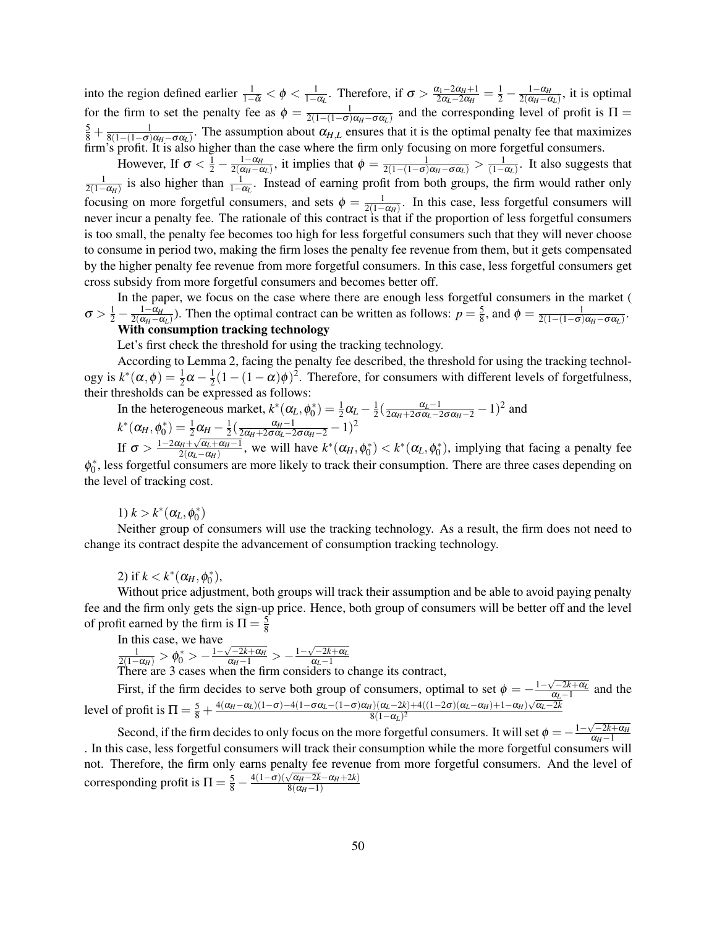into the region defined earlier  $\frac{1}{1-\tilde{\alpha}} < \phi < \frac{1}{1-\alpha_L}$ . Therefore, if  $\sigma > \frac{\alpha_1 - 2\alpha_H + 1}{2\alpha_L - 2\alpha_H}$  $\frac{\alpha_1 - 2\alpha_H + 1}{2\alpha_L - 2\alpha_H} = \frac{1}{2} - \frac{1 - \alpha_H}{2(\alpha_H - \alpha_H)}$  $\frac{1-\alpha_H}{2(\alpha_H-\alpha_L)}$ , it is optimal for the firm to set the penalty fee as  $\phi = \frac{1}{2(1-(1-\sigma)\alpha_H-\sigma\alpha_L)}$  and the corresponding level of profit is  $\Pi =$  $\frac{5}{8} + \frac{1}{8(1-(1-\sigma)\alpha_H-\sigma\alpha_L)}$ . The assumption about  $\alpha_{H,L}$  ensures that it is the optimal penalty fee that maximizes firm's profit. It is also higher than the case where the firm only focusing on more forgetful consumers.

However, If  $\sigma < \frac{1}{2} - \frac{1 - \alpha_H}{2(\alpha_H - \alpha_H)}$  $\frac{1-\alpha_H}{2(\alpha_H-\alpha_L)}$ , it implies that  $\phi = \frac{1}{2(1-(1-\sigma)\alpha_H-\sigma\alpha_L)} > \frac{1}{(1-\alpha_L)}$ . It also suggests that  $\frac{1}{2(1-\alpha_H)}$  is also higher than  $\frac{1}{1-\alpha_L}$ . Instead of earning profit from both groups, the firm would rather only focusing on more forgetful consumers, and sets  $\phi = \frac{1}{2(1-\alpha_H)}$ . In this case, less forgetful consumers will never incur a penalty fee. The rationale of this contract is that if the proportion of less forgetful consumers is too small, the penalty fee becomes too high for less forgetful consumers such that they will never choose to consume in period two, making the firm loses the penalty fee revenue from them, but it gets compensated by the higher penalty fee revenue from more forgetful consumers. In this case, less forgetful consumers get cross subsidy from more forgetful consumers and becomes better off.

In the paper, we focus on the case where there are enough less forgetful consumers in the market (  $\sigma > \frac{1}{2} - \frac{1-\alpha_H}{2(\alpha_H - \alpha_H)}$  $\frac{1-\alpha_H}{2(\alpha_H-\alpha_L)}$ ). Then the optimal contract can be written as follows:  $p=\frac{5}{8}$  $\frac{5}{8}$ , and  $\phi = \frac{1}{2(1-(1-\sigma)\alpha_H-\sigma\alpha_L)}$ .

# With consumption tracking technology

Let's first check the threshold for using the tracking technology.

According to Lemma 2, facing the penalty fee described, the threshold for using the tracking technology is  $k^*(\alpha, \phi) = \frac{1}{2}\alpha - \frac{1}{2}$  $\frac{1}{2}(1-(1-\alpha)\phi)^2$ . Therefore, for consumers with different levels of forgetfulness, their thresholds can be expressed as follows:

In the heterogeneous market, 
$$
k^*(\alpha_L, \phi_0^*) = \frac{1}{2}\alpha_L - \frac{1}{2}(\frac{\alpha_L - 1}{2\alpha_H + 2\sigma\alpha_L - 2\sigma\alpha_H - 2} - 1)^2
$$
 and  $k^*(\alpha_H, \phi_0^*) = \frac{1}{2}\alpha_H - \frac{1}{2}(\frac{\alpha_H - 1}{2\alpha_H + 2\sigma\alpha_L - 2\sigma\alpha_H - 2} - 1)^2$ 

If 
$$
\sigma > \frac{1-2\alpha_H + \sqrt{\alpha_L + \alpha_H - 1}}{2(\alpha_L - \alpha_H)}
$$
, we will have  $k^*(\alpha_H, \phi_0^*) < k^*(\alpha_L, \phi_0^*)$ , implying

ing that facing a penalty fee  $\phi_0^*$ , less forgetful consumers are more likely to track their consumption. There are three cases depending on the level of tracking cost.

# 1)  $k > k^*$  (α<sub>L</sub>,  $φ_0^*$ )

Neither group of consumers will use the tracking technology. As a result, the firm does not need to change its contract despite the advancement of consumption tracking technology.

# 2) if  $k < k^*(\alpha_H, \phi_0^*),$

Without price adjustment, both groups will track their assumption and be able to avoid paying penalty fee and the firm only gets the sign-up price. Hence, both group of consumers will be better off and the level of profit earned by the firm is  $\Pi = \frac{5}{8}$ 8

In this case, we have  
\n
$$
\frac{1}{2(1-\alpha_H)} > \phi_0^* > -\frac{1-\sqrt{-2k+\alpha_H}}{\alpha_H-1} > -\frac{1-\sqrt{-2k+\alpha_L}}{\alpha_L-1}
$$

There are 3 cases when the firm considers to change its contract,

First, if the firm decides to serve both group of consumers, optimal to set  $\phi = -\frac{1-\sqrt{-2k+\alpha_L}}{\alpha_L-1}$  $\frac{a_L - 1}{a_L - 1}$  and the level of profit is  $\Pi = \frac{5}{8} + \frac{4(\alpha_H - \alpha_L)(1-\sigma) - 4(1-\sigma\alpha_L - (1-\sigma)\alpha_H)(\alpha_L - 2k) + 4((1-2\sigma)(\alpha_L - \alpha_H) + 1-\alpha_H)\sqrt{\alpha_L - 2k}}{8(1-\alpha_L)^2}$ 8(1−α*L*) 2 √

Second, if the firm decides to only focus on the more forgetful consumers. It will set  $\phi = -\frac{1-\sqrt{-2k+\alpha_H}}{\alpha_H-1}$  $\alpha_H-1$ . In this case, less forgetful consumers will track their consumption while the more forgetful consumers will not. Therefore, the firm only earns penalty fee revenue from more forgetful consumers. And the level of corresponding profit is  $\Pi = \frac{5}{8}$  –  $4(1-σ)(\sqrt{\alpha_H-2k}-\alpha_H+2k)$  $8(\alpha_H-1)$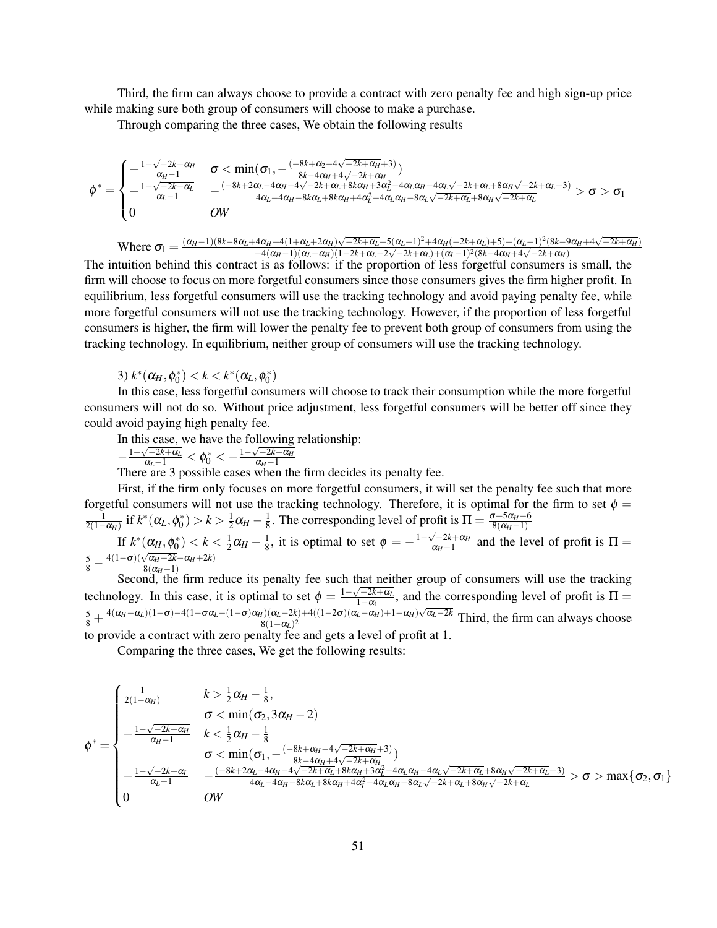Third, the firm can always choose to provide a contract with zero penalty fee and high sign-up price while making sure both group of consumers will choose to make a purchase.

Through comparing the three cases, We obtain the following results

$$
\phi^* = \begin{cases} -\frac{1-\sqrt{-2k+\alpha_H}}{\alpha_H-1} & \sigma < \min(\sigma_1, -\frac{(-8k+\alpha_2-4\sqrt{-2k+\alpha_H}+3)}{8k-4\alpha_H+4\sqrt{-2k+\alpha_H}}) \\ -\frac{1-\sqrt{-2k+\alpha_L}}{\alpha_L-1} & \frac{(-8k+2\alpha_L-4\alpha_H-4\sqrt{-2k+\alpha_L}+8\alpha_H+3\alpha_L^2-4\alpha_L\alpha_H-4\alpha_L\sqrt{-2k+\alpha_L}+8\alpha_H\sqrt{-2k+\alpha_L}+3)}{4\alpha_L-4\alpha_H-8k\alpha_L+8k\alpha_H+4\alpha_L^2-4\alpha_L\alpha_H-8\alpha_L\sqrt{-2k+\alpha_L}+8\alpha_H\sqrt{-2k+\alpha_L}} > \sigma > \sigma_1 \\ 0 & \text{OW} & \end{cases}
$$

Where  $\sigma_1 = \frac{(\alpha_H - 1)(8k - 8\alpha_L + 4\alpha_H + 4(1 + \alpha_L + 2\alpha_H)\sqrt{-2k + \alpha_L} + 5(\alpha_L - 1)^2 + 4\alpha_H(-2k + \alpha_L) + 5) + (\alpha_L - 1)^2(8k - 9\alpha_H + 4\sqrt{-2k + \alpha_H})}{-4(\alpha_H - 1)(\alpha_L - \alpha_H)(1 - 2k + \alpha_L - 2\sqrt{-2k + \alpha_L} + (\alpha_L - 1)^2(8k - 4\alpha_H + 4\sqrt{-2k + \alpha_H})}$  $-\frac{4(\alpha_H+1)(\alpha_L-\alpha_H)(1-2k+\alpha_L+3)(\alpha_L-1)+4\alpha_H(-2k+\alpha_L)+3)+(\alpha_L-1)(\alpha_K-3)}{(\alpha_L-1)(\alpha_L-\alpha_H)(1-2k+\alpha_L-2\sqrt{-2k+\alpha_L})+(\alpha_L-1)^2(8k-4\alpha_H+4\sqrt{-2k+\alpha_H})}$ 

The intuition behind this contract is as follows: if the proportion of less forgetful consumers is small, the firm will choose to focus on more forgetful consumers since those consumers gives the firm higher profit. In equilibrium, less forgetful consumers will use the tracking technology and avoid paying penalty fee, while more forgetful consumers will not use the tracking technology. However, if the proportion of less forgetful consumers is higher, the firm will lower the penalty fee to prevent both group of consumers from using the tracking technology. In equilibrium, neither group of consumers will use the tracking technology.

3)  $k^*(\alpha_H, \phi_0^*) < k < k^*(\alpha_L, \phi_0^*)$ 

In this case, less forgetful consumers will choose to track their consumption while the more forgetful consumers will not do so. Without price adjustment, less forgetful consumers will be better off since they could avoid paying high penalty fee.

In this case, we have the following relationship:

$$
-\tfrac{1-\sqrt{-2k+\alpha_L}}{\alpha_L-1}<\phi^*_0<-\tfrac{1-\sqrt{-2k+\alpha_H}}{\alpha_H-1}
$$

 $-\frac{1-\sqrt{2k+\alpha_L}}{\alpha_L-1} < \phi_0^* < -\frac{1-\sqrt{2k+\alpha_H}}{\alpha_H-1}$ <br>There are 3 possible cases when the firm decides its penalty fee.

First, if the firm only focuses on more forgetful consumers, it will set the penalty fee such that more forgetful consumers will not use the tracking technology. Therefore, it is optimal for the firm to set  $\phi =$  $\frac{1}{2(1-\alpha_H)}$  if  $k^*(α_L, φ_0^*) > k > \frac{1}{2}$  $\frac{1}{2}\alpha_H - \frac{1}{8}$  $\frac{1}{8}$ . The corresponding level of profit is  $\Pi = \frac{\sigma + 5\alpha_H - 6}{8(\alpha_H - 1)}$  $8(\alpha_H-1)$ If  $k^*(\alpha_H, \phi_0^*) < k < \frac{1}{2}$  $\frac{1}{2}\alpha_H-\frac{1}{8}$  $\frac{1}{8}$ , it is optimal to set  $\phi = -\frac{1-\sqrt{-2k+\alpha_H}}{\alpha_H-1}$  $\frac{\sqrt{-2k+1}\alpha_H}{\alpha_H-1}$  and the level of profit is  $\Pi =$  $\frac{5}{8}$  –  $4(1-\sigma)(\sqrt{\alpha_H-2k}-\alpha_H+2k)$ 

Second, the firm reduce its penalty fee such that neither group of consumers will use the tracking technology. In this case, it is optimal to set  $\phi = \frac{1 - \sqrt{-2k + \alpha_L}}{1 - \alpha_L}$  $\frac{1-2k+\alpha_k}{1-\alpha_1}$ , and the corresponding level of profit is  $\Pi =$  $\frac{5}{8} + \frac{4(\alpha_H - \alpha_L)(1 - \sigma) - 4(1 - \sigma\alpha_L - (1 - \sigma)\alpha_H)(\alpha_L - 2k) + 4((1 - 2\sigma)(\alpha_L - \alpha_H) + 1 - \alpha_H)\sqrt{\alpha_L - 2k}}{8(1 - \alpha_L)^2}$  $\frac{8(1-\alpha_L)^2}{(1-\alpha_L)^2}$  ( $\frac{(a_L-\alpha_H)+1-a_H}{\alpha_L}$  Third, the firm can always choose to provide a contract with zero penalty fee and gets a level of profit at 1.

Comparing the three cases, We get the following results:

$$
\phi^* = \begin{cases}\n\frac{1}{2(1-\alpha_H)} & k > \frac{1}{2}\alpha_H - \frac{1}{8}, \\
\sigma < \min(\sigma_2, 3\alpha_H - 2) \\
\frac{1-\sqrt{-2k+\alpha_H}}{\alpha_H - 1} & k < \frac{1}{2}\alpha_H - \frac{1}{8} \\
\sigma < \min(\sigma_1, -\frac{(-8k+\alpha_H - 4\sqrt{-2k+\alpha_H} + 3)}{8k - 4\alpha_H + 4\sqrt{-2k+\alpha_H}}) \\
\frac{1-\sqrt{-2k+\alpha_L}}{\alpha_L - 1} & \frac{(-8k+2\alpha_L - 4\alpha_H - 4\sqrt{-2k+\alpha_L} + 8k\alpha_H + 3\alpha_L^2 - 4\alpha_L\alpha_H - 4\alpha_L\sqrt{-2k+\alpha_L} + 8\alpha_H\sqrt{-2k+\alpha_L} + 3)}{4\alpha_L - 4\alpha_H - 8k\alpha_L + 8k\alpha_H + 4\alpha_L^2 - 4\alpha_L\alpha_H - 8\alpha_L\sqrt{-2k+\alpha_L} + 8\alpha_H\sqrt{-2k+\alpha_L}} > \sigma > \max\{\sigma_2, \sigma_1\} \\
0 & \text{OW}\n\end{cases}
$$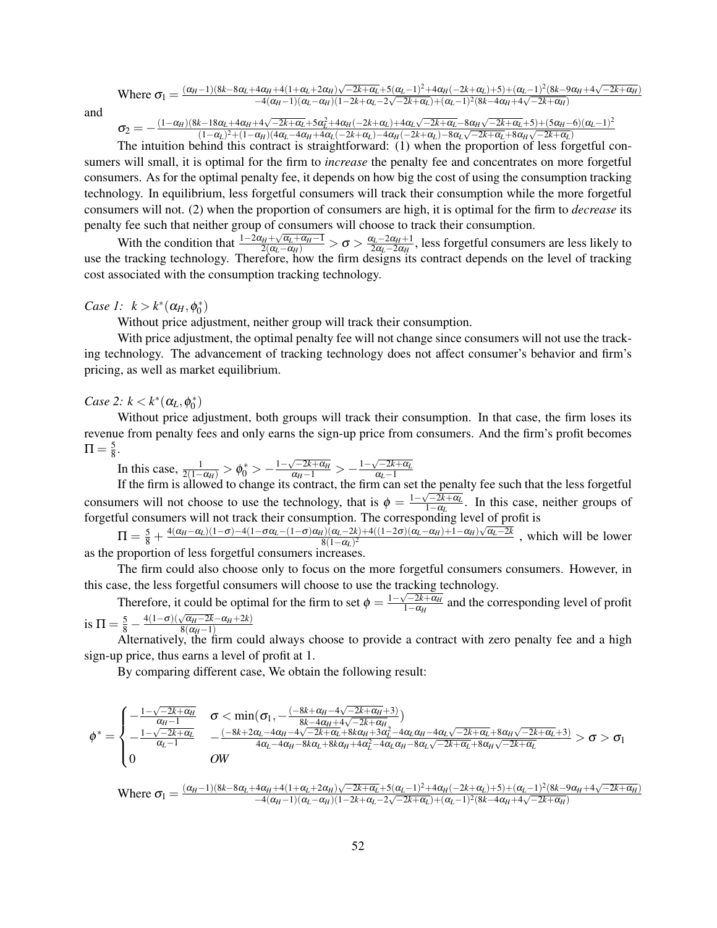Where 
$$
\sigma_1 = \frac{(\alpha_H - 1)(8k - 8\alpha_L + 4\alpha_H + 4(1 + \alpha_L + 2\alpha_H)\sqrt{-2k + \alpha_L} + 5(\alpha_L - 1)^2 + 4\alpha_H(-2k + \alpha_L) + 5) + (\alpha_L - 1)^2(8k - 9\alpha_H + 4\sqrt{-2k + \alpha_H})}{-4(\alpha_H - 1)(\alpha_L - \alpha_H)(1 - 2k + \alpha_L - 2\sqrt{-2k + \alpha_L}) + (\alpha_L - 1)^2(8k - 4\alpha_H + 4\sqrt{-2k + \alpha_H})}
$$

and

$$
\sigma_2=-\tfrac{(1-\alpha_H)(8k-18\alpha_L+4\alpha_H+4\sqrt{-2k+\alpha_L}+5\alpha_L^2+4\alpha_H(-2k+\alpha_L)+4\alpha_L\sqrt{-2k+\alpha_L}-8\alpha_H\sqrt{-2k+\alpha_L}+5)+(5\alpha_H-6)(\alpha_L-1)^2}{(1-\alpha_L)^2+(1-\alpha_H)(4\alpha_L-4\alpha_H+4\alpha_L(-2k+\alpha_L)-4\alpha_H(-2k+\alpha_L)-8\alpha_L\sqrt{-2k+\alpha_L}+8\alpha_H\sqrt{-2k+\alpha_L})}
$$

The intuition behind this contract is straightforward: (1) when the proportion of less forgetful consumers will small, it is optimal for the firm to *increase* the penalty fee and concentrates on more forgetful consumers. As for the optimal penalty fee, it depends on how big the cost of using the consumption tracking technology. In equilibrium, less forgetful consumers will track their consumption while the more forgetful consumers will not. (2) when the proportion of consumers are high, it is optimal for the firm to *decrease* its penalty fee such that neither group of consumers will choose to track their consumption.

With the condition that  $\frac{1-2\alpha_H + \sqrt{\alpha_L+\alpha_H-1}}{2(\alpha_L-\alpha_H)} > \sigma > \frac{\alpha_L-2\alpha_H+1}{2\alpha_L-2\alpha_H}$  $\frac{\alpha_L - 2\alpha_H + 1}{2\alpha_L - 2\alpha_H}$ , less forgetful consumers are less likely to use the tracking technology. Therefore, how the firm designs its contract depends on the level of tracking cost associated with the consumption tracking technology.

# *Case 1:*  $k > k^*(\alpha_H, \phi_0^*)$

Without price adjustment, neither group will track their consumption.

With price adjustment, the optimal penalty fee will not change since consumers will not use the tracking technology. The advancement of tracking technology does not affect consumer's behavior and firm's pricing, as well as market equilibrium.

*Case 2:*  $k < k^*(\alpha_L, \phi_0^*)$ 

Without price adjustment, both groups will track their consumption. In that case, the firm loses its revenue from penalty fees and only earns the sign-up price from consumers. And the firm's profit becomes  $\Pi = \frac{5}{8}$  $\frac{5}{8}$ .

In this case,  $\frac{1}{2(1-\alpha_H)} > \phi_0^* > -\frac{1-\sqrt{-2k+\alpha_H}}{\alpha_H-1} > -\frac{1-\sqrt{-2k+\alpha_L}}{\alpha_L-1}$ 

If the firm is allowed to change its contract, the firm can set the penalty fee such that the less forgetful<br>If the firm is allowed to change its contract, the firm can set the penalty fee such that the less forgetful consumers will not choose to use the technology, that is  $\phi = \frac{1 - \sqrt{-2k + \alpha_L}}{1 - \alpha_L}$  $\frac{1-2k+α_L}{1-α_L}$ . In this case, neither groups of forgetful consumers will not track their consumption. The corresponding level of profit is

If  $= \frac{5}{8} + \frac{4(\alpha_H - \alpha_L)(1 - \sigma) - 4(1 - \sigma \alpha_L - (1 - \sigma)\alpha_H)(\alpha_L - 2k) + 4((1 - 2\sigma)(\alpha_L - \alpha_H) + 1 - \alpha_H)\sqrt{\alpha_L - 2k}}{8(1 - \alpha_L)^2}$  $\frac{8(1-\alpha_L)^2}{(1-\alpha_L)^2}$ , which will be lower as the proportion of less forgetful consumers increases.

The firm could also choose only to focus on the more forgetful consumers consumers. However, in this case, the less forgetful consumers will choose to use the tracking technology.

Therefore, it could be optimal for the firm to set  $\phi = \frac{1-\sqrt{-2k+1}}{1-\alpha_k}$  $\frac{1-2k+ \alpha_H}{1-\alpha_H}$  and the corresponding level of profit is  $\Pi = \frac{5}{8} -$ 4(1−σ)(<sup>√</sup> α*H*−2*k*−α*H*+2*k*)

 $\frac{8}{8}$  alternatively, the firm could always choose to provide a contract with zero penalty fee and a high sign-up price, thus earns a level of profit at 1.

By comparing different case, We obtain the following result:

$$
\phi^* = \begin{cases} -\frac{1-\sqrt{-2k+\alpha_H}}{\alpha_H-1} & \sigma < \min(\sigma_1, -\frac{(-8k+\alpha_H-4\sqrt{-2k+\alpha_H}+3)}{8k-4\alpha_H+4\sqrt{-2k+\alpha_H}}) \\ -\frac{1-\sqrt{-2k+\alpha_L}}{\alpha_L-1} & -\frac{(-8k+2\alpha_L-4\alpha_H-4\sqrt{-2k+\alpha_L}+8k\alpha_H+3\alpha_L^2-4\alpha_L\alpha_H-4\alpha_L\sqrt{-2k+\alpha_L}+8\alpha_H\sqrt{-2k+\alpha_L}+3)}{4\alpha_L-4\alpha_H-8k\alpha_L+8k\alpha_H+4\alpha_L^2-4\alpha_L\alpha_H-8\alpha_L\sqrt{-2k+\alpha_L}+8\alpha_H\sqrt{-2k+\alpha_L}} > \sigma > \sigma_1 \\ 0 & \text{OW} & \end{cases}
$$

Where 
$$
\sigma_{1} = \frac{(\alpha_{H}-1)(8k-8\alpha_{L}+4\alpha_{H}+4(1+\alpha_{L}+2\alpha_{H})\sqrt{-2k+\alpha_{L}}+5(\alpha_{L}-1)^{2}+4\alpha_{H}(-2k+\alpha_{L})+5)+(\alpha_{L}-1)^{2}(8k-9\alpha_{H}+4\sqrt{-2k+\alpha_{H}})}{-(4(\alpha_{H}-1)(\alpha_{L}-\alpha_{H})(1-2k+\alpha_{L}-2\sqrt{-2k+\alpha_{L}})+(\alpha_{L}-1)^{2}(8k-4\alpha_{H}+4\sqrt{-2k+\alpha_{H}})}}
$$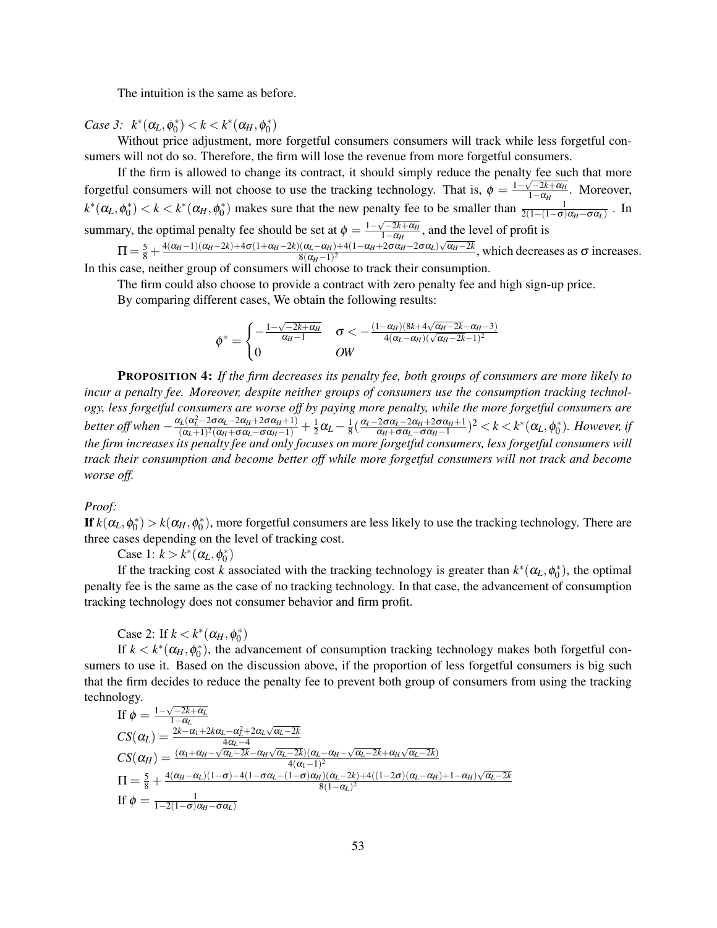The intuition is the same as before.

*Case 3:*  $k^*(\alpha_L, \phi_0^*) < k < k^*(\alpha_H, \phi_0^*)$ 

Without price adjustment, more forgetful consumers consumers will track while less forgetful consumers will not do so. Therefore, the firm will lose the revenue from more forgetful consumers.

If the firm is allowed to change its contract, it should simply reduce the penalty fee such that more forgetful consumers will not choose to use the tracking technology. That is,  $\phi = \frac{1-\sqrt{-2k+1}}{1-\alpha_H}$  $\frac{1-2k+α_H}{1-α_H}$ . Moreover,  $k^*(\alpha_L, \phi_0^*) < k < k^*(\alpha_H, \phi_0^*)$  makes sure that the new penalty fee to be smaller than  $\frac{1}{2(1-(1-\sigma)\alpha_H-\sigma\alpha_L)}$ . In summary, the optimal penalty fee should be set at  $\phi = \frac{1 - \sqrt{-2k + \alpha_H}}{1 - \alpha_H}$  $\frac{1-2k+\alpha_H}{1-\alpha_H}$ , and the level of profit is  $\Pi = \frac{5}{8} + \frac{4(\alpha_H - 1)(\alpha_H - 2k) + 4\sigma(1 + \alpha_H - 2k)(\alpha_L - \alpha_H) + 4(1 - \alpha_H + 2\sigma\alpha_H - 2\sigma\alpha_L)\sqrt{\alpha_H - 2k}}{8(\alpha_H - 1)^2}$  $\frac{(\alpha_L - \alpha_H) + 4(1 - \alpha_H + 20\alpha_H - 20\alpha_L)\sqrt{\alpha_H - 2\alpha_H}}{8(\alpha_H - 1)^2}$ , which decreases as  $\sigma$  increases.

In this case, neither group of consumers will choose to track their consumption.

The firm could also choose to provide a contract with zero penalty fee and high sign-up price.

By comparing different cases, We obtain the following results:

$$
\phi^* = \begin{cases} -\frac{1-\sqrt{-2k+\alpha_H}}{\alpha_H-1} & \sigma < -\frac{(1-\alpha_H)(8k+4\sqrt{\alpha_H-2k}-\alpha_H-3)}{4(\alpha_L-\alpha_H)(\sqrt{\alpha_H-2k}-1)^2} \\ 0 & \text{OW} \end{cases}
$$

PROPOSITION 4: *If the firm decreases its penalty fee, both groups of consumers are more likely to incur a penalty fee. Moreover, despite neither groups of consumers use the consumption tracking technology, less forgetful consumers are worse off by paying more penalty, while the more forgetful consumers are better off when*  $-\frac{\alpha_L(\alpha_L^2 - 2\sigma\alpha_L - 2\alpha_H + 2\sigma\alpha_H + 1)}{(\alpha_L + 1)^2(\alpha_L + \sigma\alpha_L - \sigma\alpha_H + 1)}$  $\frac{(\alpha_L^2-2\sigma\alpha_L-2\alpha_H+2\sigma\alpha_H+1)}{(\alpha_L+1)^2(\alpha_H+\sigma\alpha_L-\sigma\alpha_H-1)}+\frac{1}{2}$  $\frac{1}{2}\alpha_L - \frac{1}{8}$  $\frac{1}{8}(\frac{\alpha_L-2\sigma\alpha_L-2\alpha_H+2\sigma\alpha_H+1}{\alpha_H+\sigma\alpha_L-\sigma\alpha_H-1})$  $\frac{2\sigma\alpha_L-2\alpha_H+2\sigma\alpha_H+1}{\alpha_H+\sigma\alpha_L-\sigma\alpha_H-1}$ <sup>2</sup> < *k* < *k*<sup>\*</sup>( $\alpha_L,$  φ<sup>\*</sup>). However, if *the firm increases its penalty fee and only focuses on more forgetful consumers, less forgetful consumers will track their consumption and become better off while more forgetful consumers will not track and become worse off.*

*Proof:*

If  $k(\alpha_L, \phi_0^*) > k(\alpha_H, \phi_0^*)$ , more forgetful consumers are less likely to use the tracking technology. There are three cases depending on the level of tracking cost.

Case 1:  $k > k^*(\alpha_L, \phi_0^*)$ 

If the tracking cost *k* associated with the tracking technology is greater than  $k^*(\alpha_L, \phi_0^*)$ , the optimal penalty fee is the same as the case of no tracking technology. In that case, the advancement of consumption tracking technology does not consumer behavior and firm profit.

Case 2: If  $k < k^*(\alpha_H, \phi_0^*)$ 

If  $k < k^*(\alpha_H, \phi_0^*)$ , the advancement of consumption tracking technology makes both forgetful consumers to use it. Based on the discussion above, if the proportion of less forgetful consumers is big such that the firm decides to reduce the penalty fee to prevent both group of consumers from using the tracking technology. √

If 
$$
\phi = \frac{1-\sqrt{-2k+\alpha_L}}{1-\alpha_L}
$$
  
\n
$$
CS(\alpha_L) = \frac{2k-\alpha_1+2k\alpha_L-\alpha_L^2+2\alpha_L\sqrt{\alpha_L-2k}}{4\alpha_L-4}
$$
\n
$$
CS(\alpha_H) = \frac{(\alpha_1+\alpha_H-\sqrt{\alpha_L-2k}-\alpha_H\sqrt{\alpha_L-2k})(\alpha_L-\alpha_H-\sqrt{\alpha_L-2k}+\alpha_H\sqrt{\alpha_L-2k})}{4(\alpha_1-1)^2}
$$
\n
$$
\Pi = \frac{5}{8} + \frac{4(\alpha_H-\alpha_L)(1-\sigma) - 4(1-\sigma\alpha_L - (1-\sigma)\alpha_H)(\alpha_L-2k) + 4((1-2\sigma)(\alpha_L-\alpha_H)+1-\alpha_H)\sqrt{\alpha_L-2k})}{8(1-\alpha_L)^2}
$$
\nIf  $\phi = \frac{1}{1-2(1-\sigma)\alpha_H-\sigma\alpha_L}$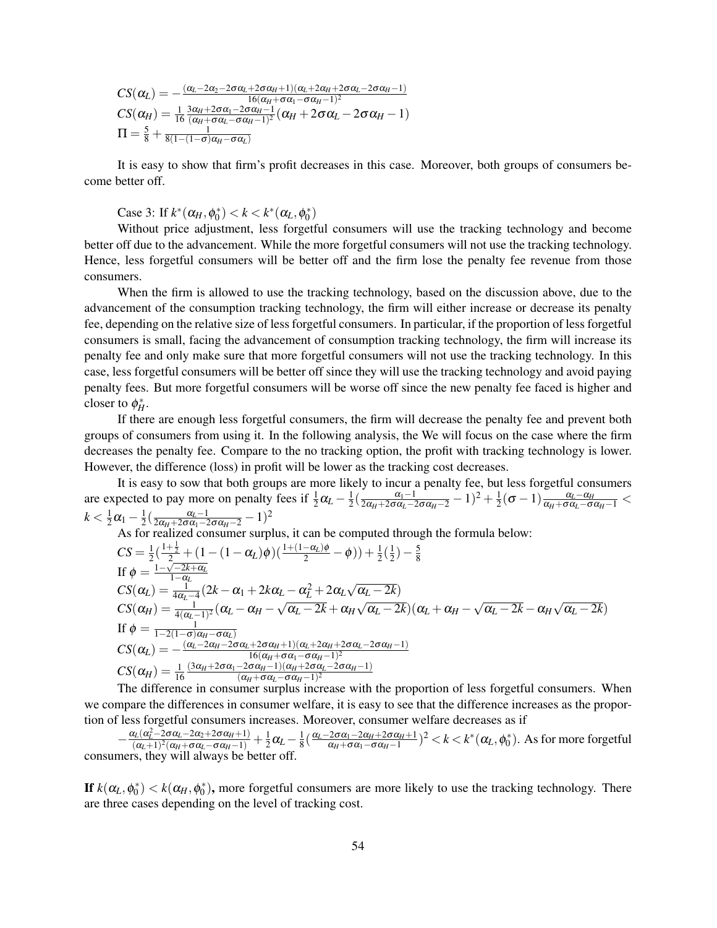$$
CS(\alpha_L) = -\frac{(\alpha_L - 2\alpha_2 - 2\sigma\alpha_L + 2\sigma\alpha_H + 1)(\alpha_L + 2\alpha_H + 2\sigma\alpha_L - 2\sigma\alpha_H - 1)}{16(\alpha_H + \sigma\alpha_1 - \sigma\alpha_H - 1)^2}
$$
  
\n
$$
CS(\alpha_H) = \frac{1}{16} \frac{3\alpha_H + 2\sigma\alpha_1 - 2\sigma\alpha_H - 1}{(\alpha_H + \sigma\alpha_L - \sigma\alpha_H - 1)^2} (\alpha_H + 2\sigma\alpha_L - 2\sigma\alpha_H - 1)
$$
  
\n
$$
\Pi = \frac{5}{8} + \frac{1}{8(1 - (1 - \sigma)\alpha_H - \sigma\alpha_L)}
$$

It is easy to show that firm's profit decreases in this case. Moreover, both groups of consumers become better off.

Case 3: If  $k^*(\alpha_H, \phi_0^*) < k < k^*(\alpha_L, \phi_0^*)$ 

Without price adjustment, less forgetful consumers will use the tracking technology and become better off due to the advancement. While the more forgetful consumers will not use the tracking technology. Hence, less forgetful consumers will be better off and the firm lose the penalty fee revenue from those consumers.

When the firm is allowed to use the tracking technology, based on the discussion above, due to the advancement of the consumption tracking technology, the firm will either increase or decrease its penalty fee, depending on the relative size of less forgetful consumers. In particular, if the proportion of less forgetful consumers is small, facing the advancement of consumption tracking technology, the firm will increase its penalty fee and only make sure that more forgetful consumers will not use the tracking technology. In this case, less forgetful consumers will be better off since they will use the tracking technology and avoid paying penalty fees. But more forgetful consumers will be worse off since the new penalty fee faced is higher and closer to  $\phi_H^*$ .

If there are enough less forgetful consumers, the firm will decrease the penalty fee and prevent both groups of consumers from using it. In the following analysis, the We will focus on the case where the firm decreases the penalty fee. Compare to the no tracking option, the profit with tracking technology is lower. However, the difference (loss) in profit will be lower as the tracking cost decreases.

It is easy to sow that both groups are more likely to incur a penalty fee, but less forgetful consumers are expected to pay more on penalty fees if  $\frac{1}{2}\alpha_L - \frac{1}{2}$  $\frac{1}{2}(\frac{\alpha_1-1}{2\alpha_H+2\sigma\alpha_L-2\sigma\alpha_H-2}-1)^2+\frac{1}{2}$  $\frac{1}{2}(\sigma-1)\frac{\alpha_L-\alpha_H}{\alpha_H+\sigma\alpha_L-\sigma\alpha_H-1}<$  $k < \frac{1}{2}$  $\frac{1}{2}\alpha_1 - \frac{1}{2}$  $\frac{1}{2}(\frac{\alpha_L-1}{2\alpha_H+2\sigma\alpha_1-2\sigma\alpha_H-2}-1)^2$ 

As for realized consumer surplus, it can be computed through the formula below:  
\n
$$
CS = \frac{1}{2}(\frac{1+\frac{1}{2}}{2} + (1 - (1 - \alpha_L)\phi)(\frac{1+(1-\alpha_L)\phi}{2} - \phi)) + \frac{1}{2}(\frac{1}{2}) - \frac{5}{8}
$$
\nIf  $\phi = \frac{1-\sqrt{-2k+\alpha_L}}{1-\alpha_L}$   
\n
$$
CS(\alpha_L) = \frac{1}{4\alpha_L - 4}(2k - \alpha_1 + 2k\alpha_L - \alpha_L^2 + 2\alpha_L\sqrt{\alpha_L - 2k})
$$
\n
$$
CS(\alpha_H) = \frac{1}{4(\alpha_L - 1)^2}(\alpha_L - \alpha_H - \sqrt{\alpha_L - 2k} + \alpha_H\sqrt{\alpha_L - 2k})(\alpha_L + \alpha_H - \sqrt{\alpha_L - 2k} - \alpha_H\sqrt{\alpha_L - 2k})
$$
\nIf  $\phi = \frac{1}{1-2(1-\sigma)\alpha_H - \sigma\alpha_L}$   
\n
$$
CS(\alpha_L) = -\frac{(\alpha_L - 2\alpha_H + 2\sigma\alpha_L + 2\sigma\alpha_H + 1)(\alpha_L + 2\alpha_H + 2\sigma\alpha_L - 2\sigma\alpha_H - 1)}{16(\alpha_H + \sigma\alpha_1 - \sigma\alpha_H - 1)^2}
$$
\n
$$
CS(\alpha_H) = \frac{1}{16}\frac{(3\alpha_H + 2\sigma\alpha_1 - 2\sigma\alpha_H - 1)(\alpha_H + 2\sigma\alpha_L - 2\sigma\alpha_H - 1)}{(\alpha_H + \sigma\alpha_L - \sigma\alpha_H - 1)^2}
$$

The difference in consumer surplus increase with the proportion of less forgetful consumers. When we compare the differences in consumer welfare, it is easy to see that the difference increases as the proportion of less forgetful consumers increases. Moreover, consumer welfare decreases as if

$$
-\frac{\alpha_L(\alpha_L^2 - 2\sigma\alpha_L - 2\alpha_2 + 2\sigma\alpha_H + 1)}{(\alpha_L + 1)^2(\alpha_H + \sigma\alpha_L - \sigma\alpha_H - 1)} + \frac{1}{2}\alpha_L - \frac{1}{8}(\frac{\alpha_L - 2\sigma\alpha_1 - 2\alpha_H + 2\sigma\alpha_H + 1}{\alpha_H + \sigma\alpha_1 - \sigma\alpha_H - 1})^2 < k < k^*(\alpha_L, \phi_0^*).
$$
 As for more forgetful consumers, they will always be better off.

If  $k(\alpha_L, \phi_0^*) < k(\alpha_H, \phi_0^*)$ , more forgetful consumers are more likely to use the tracking technology. There are three cases depending on the level of tracking cost.